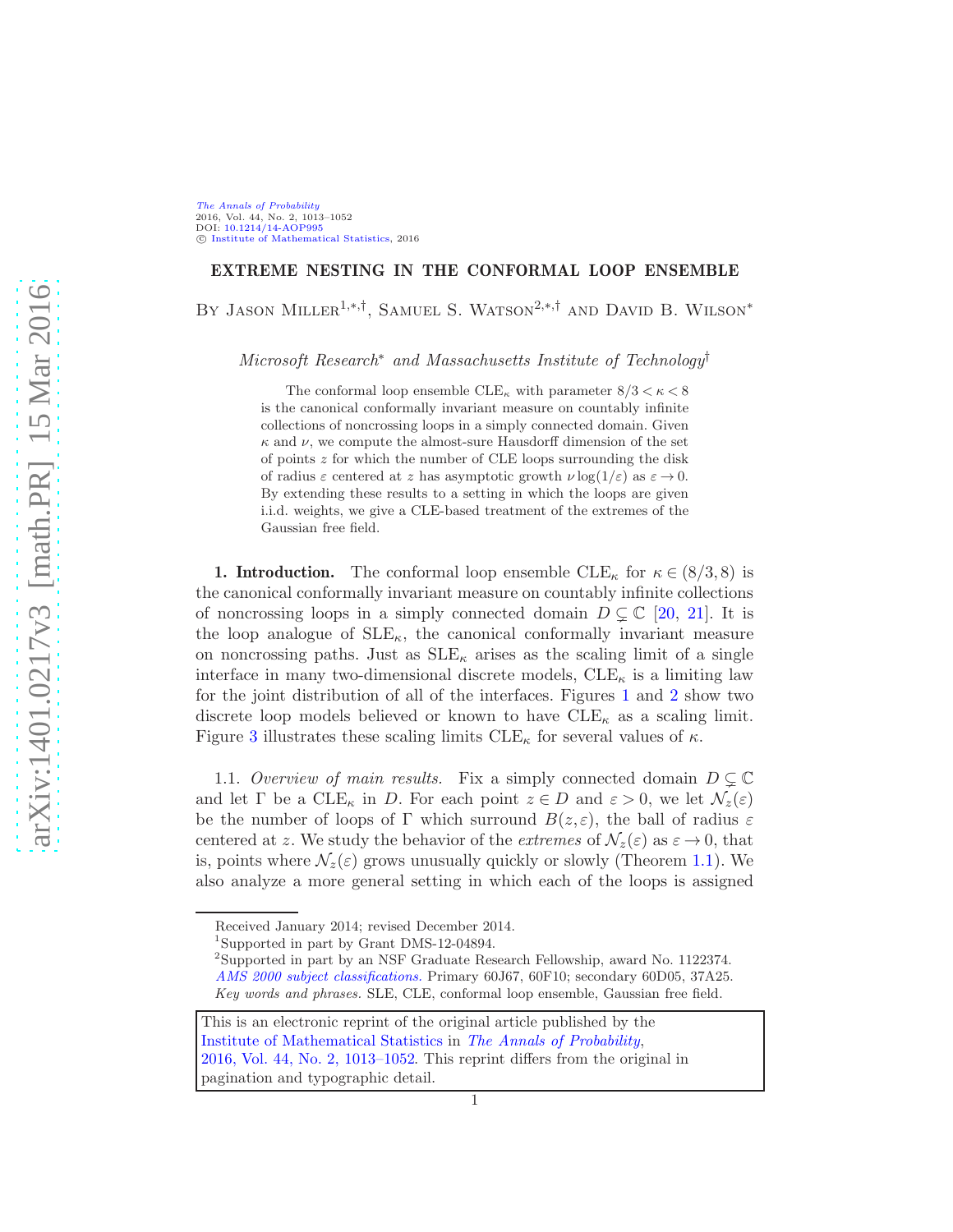## EXTREME NESTING IN THE CONFORMAL LOOP ENSEMBLE

BY JASON MILLER<sup>1,\*,†</sup>, SAMUEL S. WATSON<sup>2,\*,†</sup> AND DAVID B. WILSON<sup>\*</sup>

Microsoft Research<sup>∗</sup> and Massachusetts Institute of Technology†

The conformal loop ensemble  $CLE_{\kappa}$  with parameter  $8/3 < \kappa < 8$ is the canonical conformally invariant measure on countably infinite collections of noncrossing loops in a simply connected domain. Given  $\kappa$  and  $\nu$ , we compute the almost-sure Hausdorff dimension of the set of points z for which the number of CLE loops surrounding the disk of radius  $\varepsilon$  centered at z has asymptotic growth  $\nu \log(1/\varepsilon)$  as  $\varepsilon \to 0$ . By extending these results to a setting in which the loops are given i.i.d. weights, we give a CLE-based treatment of the extremes of the Gaussian free field.

<span id="page-0-0"></span>**1. Introduction.** The conformal loop ensemble  $\text{CLE}_{\kappa}$  for  $\kappa \in (8/3, 8)$  is the canonical conformally invariant measure on countably infinite collections of noncrossing loops in a simply connected domain  $D \subsetneq \mathbb{C}$  [\[20,](#page-40-0) [21\]](#page-40-1). It is the loop analogue of  $\text{SLE}_{\kappa}$ , the canonical conformally invariant measure on noncrossing paths. Just as  $SLE_{\kappa}$  arises as the scaling limit of a single interface in many two-dimensional discrete models,  $CLE_{\kappa}$  is a limiting law for the joint distribution of all of the interfaces. Figures [1](#page-1-0) and [2](#page-1-1) show two discrete loop models believed or known to have  $CLE_{\kappa}$  as a scaling limit. Figure [3](#page-2-0) illustrates these scaling limits  $\text{CLE}_{\kappa}$  for several values of  $\kappa$ .

<span id="page-0-1"></span>1.1. Overview of main results. Fix a simply connected domain  $D \subsetneq \mathbb{C}$ and let  $\Gamma$  be a  $CLE_{\kappa}$  in D. For each point  $z \in D$  and  $\varepsilon > 0$ , we let  $\mathcal{N}_z(\varepsilon)$ be the number of loops of Γ which surround  $B(z, \varepsilon)$ , the ball of radius  $\varepsilon$ centered at z. We study the behavior of the extremes of  $\mathcal{N}_z(\varepsilon)$  as  $\varepsilon \to 0$ , that is, points where  $\mathcal{N}_z(\varepsilon)$  grows unusually quickly or slowly (Theorem [1.1\)](#page-3-0). We also analyze a more general setting in which each of the loops is assigned

Received January 2014; revised December 2014.

<sup>1</sup> Supported in part by Grant DMS-12-04894.

<sup>2</sup> Supported in part by an NSF Graduate Research Fellowship, award No. 1122374. [AMS 2000 subject classifications.](http://www.ams.org/msc/) Primary 60J67, 60F10; secondary 60D05, 37A25. Key words and phrases. SLE, CLE, conformal loop ensemble, Gaussian free field.

This is an electronic reprint of the original article published by the [Institute of Mathematical Statistics](http://www.imstat.org) in [The Annals of Probability](http://www.imstat.org/aop/), [2016, Vol. 44, No. 2, 1013–1052.](http://dx.doi.org/10.1214/14-AOP995) This reprint differs from the original in pagination and typographic detail.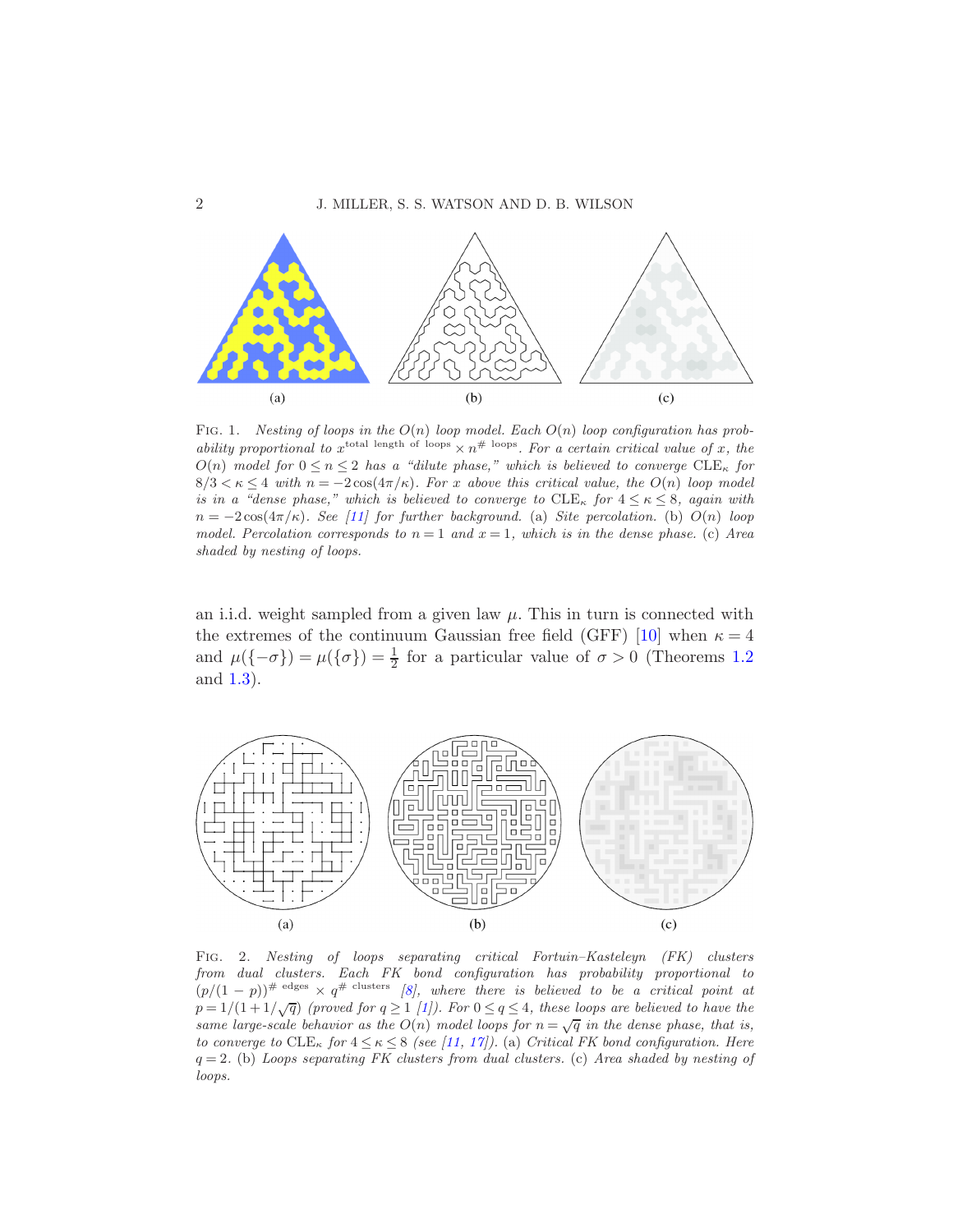

<span id="page-1-0"></span>FIG. 1. Nesting of loops in the  $O(n)$  loop model. Each  $O(n)$  loop configuration has probability proportional to  $x^{\text{total length of loops}} \times n^{\# \text{ loops}}$ . For a certain critical value of x, the  $O(n)$  model for  $0 \le n \le 2$  has a "dilute phase," which is believed to converge  $CLE_{\kappa}$  for  $8/3 < \kappa \leq 4$  with  $n = -2\cos(4\pi/\kappa)$ . For x above this critical value, the  $O(n)$  loop model is in a "dense phase," which is believed to converge to  $CLE_{\kappa}$  for  $4 \leq \kappa \leq 8$ , again with  $n = -2\cos(4\pi/\kappa)$ . See [\[11\]](#page-40-2) for further background. (a) Site percolation. (b)  $O(n)$  loop model. Percolation corresponds to  $n = 1$  and  $x = 1$ , which is in the dense phase. (c) Area shaded by nesting of loops.

an i.i.d. weight sampled from a given law  $\mu$ . This in turn is connected with the extremes of the continuum Gaussian free field (GFF) [\[10](#page-40-3)] when  $\kappa = 4$ and  $\mu({\lbrace -\sigma \rbrace}) = \mu({\lbrace \sigma \rbrace}) = \frac{1}{2}$  for a particular value of  $\sigma > 0$  (Theorems [1.2](#page-6-0)) and [1.3\)](#page-6-1).



<span id="page-1-1"></span>Fig. 2. Nesting of loops separating critical Fortuin–Kasteleyn (FK) clusters from dual clusters. Each FK bond configuration has probability proportional to  $(p/(1-p))^{\# \text{ edges}} \times q^{\# \text{ clusters}}$  [\[8\]](#page-40-4), where there is believed to be a critical point at  $p = 1/(1+1/\sqrt{q})$  (proved for  $q \ge 1$  [\[1\]](#page-39-0)). For  $0 \le q \le 4$ , these loops are believed to have the same large-scale behavior as the  $O(n)$  model loops for  $n = \sqrt{q}$  in the dense phase, that is, to converge to  $CLE_{\kappa}$  for  $4 \leq \kappa \leq 8$  (see [\[11,](#page-40-2) [17\]](#page-40-5)). (a) Critical FK bond configuration. Here  $q = 2$ . (b) Loops separating FK clusters from dual clusters. (c) Area shaded by nesting of loops.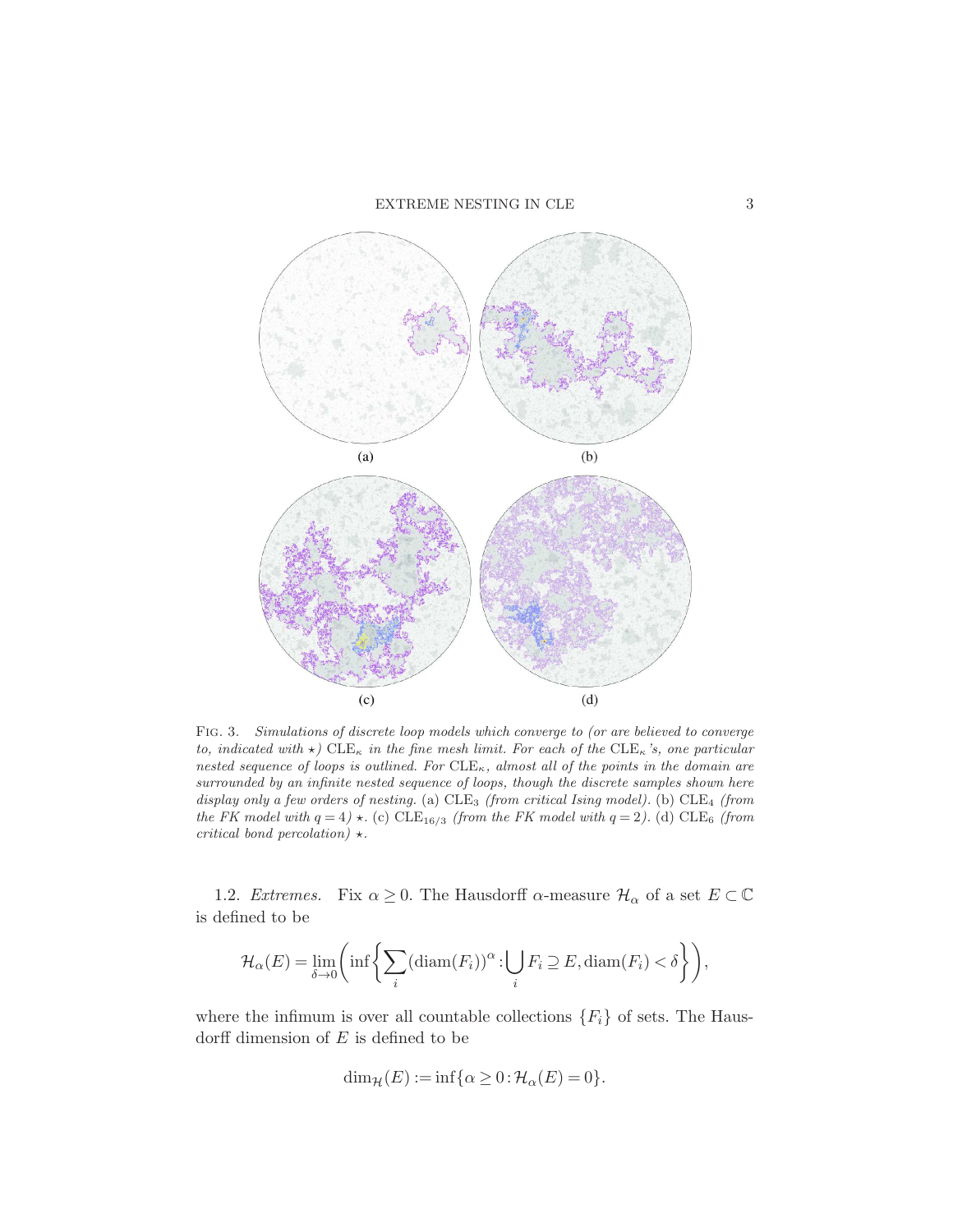## $\,$  EXTREME NESTING IN CLE  $3$



<span id="page-2-0"></span>Fig. 3. Simulations of discrete loop models which converge to (or are believed to converge to, indicated with  $\star$ ) CLE<sub>K</sub> in the fine mesh limit. For each of the CLE<sub>K</sub>'s, one particular nested sequence of loops is outlined. For  $_{CE\kappa}$ , almost all of the points in the domain are surrounded by an infinite nested sequence of loops, though the discrete samples shown here display only a few orders of nesting. (a)  $CLE_3$  (from critical Ising model). (b)  $CLE_4$  (from the FK model with  $q = 4$ )  $\star$ . (c) CLE<sub>16/3</sub> (from the FK model with  $q = 2$ ). (d) CLE<sub>6</sub> (from critical bond percolation)  $\star$ .

1.2. Extremes. Fix  $\alpha \geq 0$ . The Hausdorff  $\alpha$ -measure  $\mathcal{H}_{\alpha}$  of a set  $E \subset \mathbb{C}$ is defined to be

$$
\mathcal{H}_{\alpha}(E) = \lim_{\delta \to 0} \left( \inf \left\{ \sum_{i} (\text{diam}(F_i))^{\alpha} : \bigcup_{i} F_i \supseteq E, \text{diam}(F_i) < \delta \right\} \right),
$$

where the infimum is over all countable collections  ${F_i}$  of sets. The Hausdorff dimension of  $E$  is defined to be

$$
\dim_{\mathcal{H}}(E) := \inf \{ \alpha \ge 0 : \mathcal{H}_{\alpha}(E) = 0 \}.
$$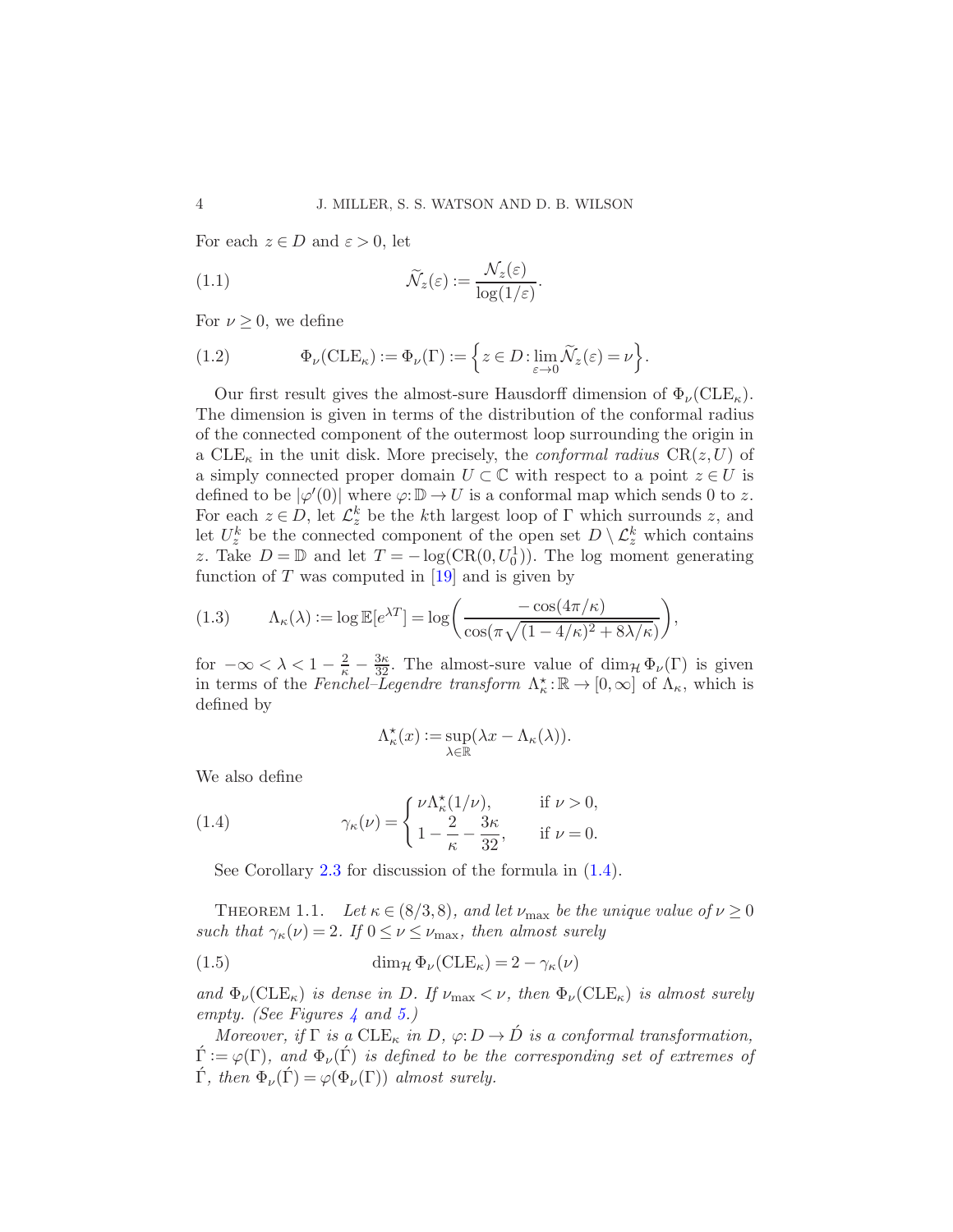For each  $z \in D$  and  $\varepsilon > 0$ , let

<span id="page-3-4"></span>(1.1) 
$$
\widetilde{\mathcal{N}}_z(\varepsilon) := \frac{\mathcal{N}_z(\varepsilon)}{\log(1/\varepsilon)}.
$$

For  $\nu \geq 0$ , we define

<span id="page-3-3"></span>(1.2) 
$$
\Phi_{\nu}(\text{CLE}_{\kappa}) := \Phi_{\nu}(\Gamma) := \left\{ z \in D : \lim_{\varepsilon \to 0} \widetilde{\mathcal{N}}_{z}(\varepsilon) = \nu \right\}.
$$

Our first result gives the almost-sure Hausdorff dimension of  $\Phi_{\nu}(\text{CLE}_\kappa)$ . The dimension is given in terms of the distribution of the conformal radius of the connected component of the outermost loop surrounding the origin in a  $CLE_{\kappa}$  in the unit disk. More precisely, the *conformal radius*  $CR(z, U)$  of a simply connected proper domain  $U \subset \mathbb{C}$  with respect to a point  $z \in U$  is defined to be  $|\varphi'(0)|$  where  $\varphi: \mathbb{D} \to U$  is a conformal map which sends 0 to z. For each  $z \in D$ , let  $\mathcal{L}_z^k$  be the k<sup>th</sup> largest loop of  $\Gamma$  which surrounds z, and let  $U_z^k$  be the connected component of the open set  $D \setminus \mathcal{L}_z^k$  which contains z. Take  $D = \mathbb{D}$  and let  $T = -\log(\text{CR}(0, U_0^1))$ . The log moment generating function of  $T$  was computed in [\[19\]](#page-40-6) and is given by

<span id="page-3-2"></span>(1.3) 
$$
\Lambda_{\kappa}(\lambda) := \log \mathbb{E}[e^{\lambda T}] = \log \left( \frac{-\cos(4\pi/\kappa)}{\cos(\pi\sqrt{(1-4/\kappa)^2 + 8\lambda/\kappa})} \right),
$$

for  $-\infty < \lambda < 1 - \frac{2}{\kappa} - \frac{3\kappa}{32}$ . The almost-sure value of  $\dim_{\mathcal{H}} \Phi_{\nu}(\Gamma)$  is given in terms of the Fenchel–Legendre transform  $\Lambda_{\kappa}^* : \mathbb{R} \to [0, \infty]$  of  $\Lambda_{\kappa}$ , which is defined by

<span id="page-3-1"></span>
$$
\Lambda_{\kappa}^{\star}(x) := \sup_{\lambda \in \mathbb{R}} (\lambda x - \Lambda_{\kappa}(\lambda)).
$$

We also define

(1.4) 
$$
\gamma_{\kappa}(\nu) = \begin{cases} \nu \Lambda_{\kappa}^{\star}(1/\nu), & \text{if } \nu > 0, \\ 1 - \frac{2}{\kappa} - \frac{3\kappa}{32}, & \text{if } \nu = 0. \end{cases}
$$

<span id="page-3-0"></span>See Corollary [2.3](#page-10-0) for discussion of the formula in [\(1.4\)](#page-3-1).

THEOREM 1.1. Let  $\kappa \in (8/3, 8)$ , and let  $\nu_{\text{max}}$  be the unique value of  $\nu \geq 0$ such that  $\gamma_{\kappa}(\nu) = 2$ . If  $0 \leq \nu \leq \nu_{\max}$ , then almost surely

(1.5) 
$$
\dim_{\mathcal{H}} \Phi_{\nu}(\text{CLE}_{\kappa}) = 2 - \gamma_{\kappa}(\nu)
$$

and  $\Phi_{\nu}(\text{CLE}_{\kappa})$  is dense in D. If  $\nu_{\text{max}} < \nu$ , then  $\Phi_{\nu}(\text{CLE}_{\kappa})$  is almost surely empty. (See Figures [4](#page-4-0) and [5.](#page-4-1))

Moreover, if  $\Gamma$  is a  $\text{CLE}_{\kappa}$  in  $D$ ,  $\varphi: D \to \hat{D}$  is a conformal transformation,  $\acute{\Gamma} := \varphi(\Gamma)$ , and  $\Phi_{\nu}(\acute{\Gamma})$  is defined to be the corresponding set of extremes of  $\hat{\Gamma}$ , then  $\Phi_{\nu}(\hat{\Gamma}) = \varphi(\Phi_{\nu}(\Gamma))$  almost surely.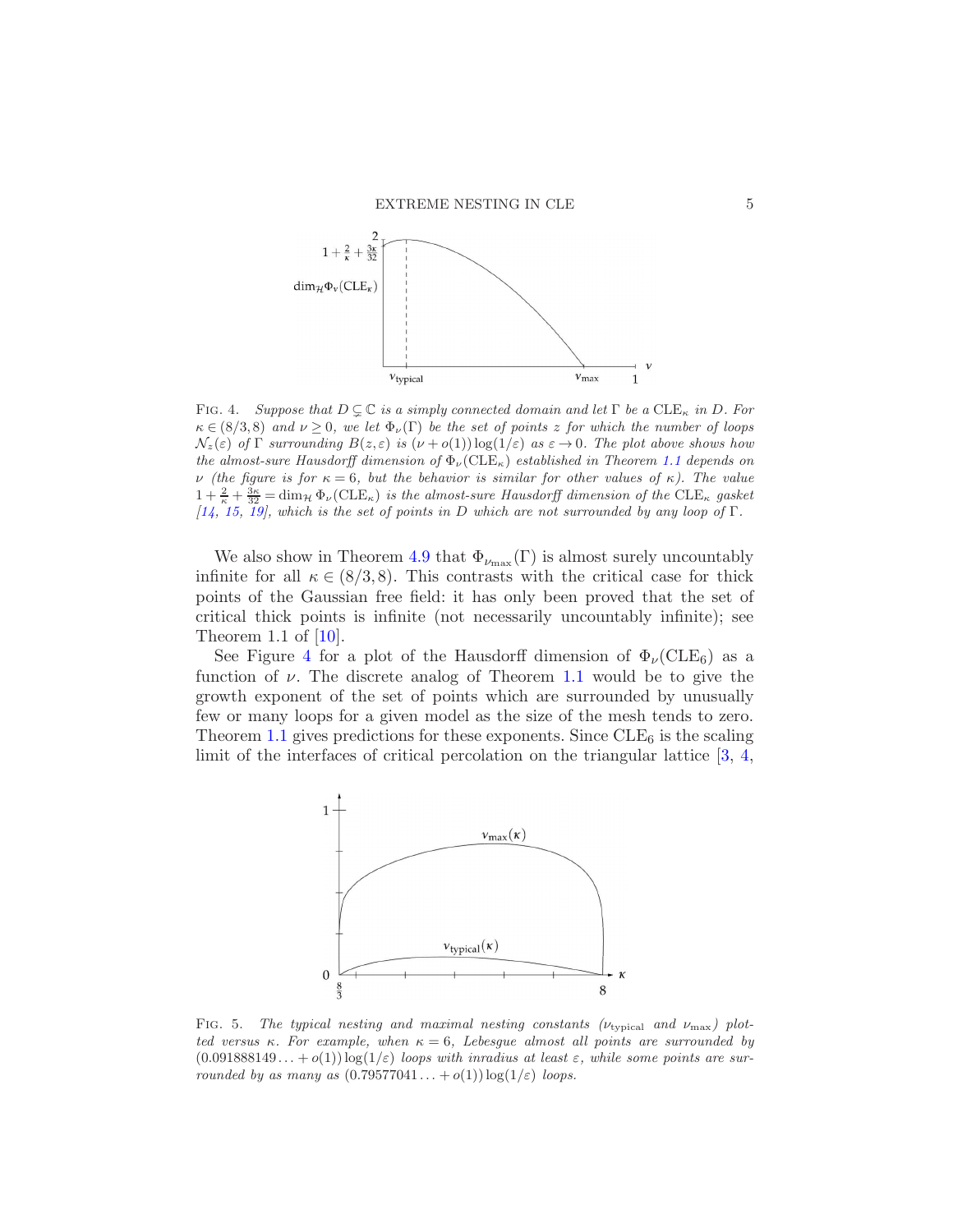

<span id="page-4-0"></span>FIG. 4. Suppose that  $D \subsetneq \mathbb{C}$  is a simply connected domain and let  $\Gamma$  be a  $CLE_{\kappa}$  in  $D$ . For  $\kappa \in (8/3, 8)$  and  $\nu > 0$ , we let  $\Phi_{\nu}(\Gamma)$  be the set of points z for which the number of loops  $\mathcal{N}_z(\varepsilon)$  of  $\Gamma$  surrounding  $B(z,\varepsilon)$  is  $(\nu+o(1))\log(1/\varepsilon)$  as  $\varepsilon\to 0$ . The plot above shows how the almost-sure Hausdorff dimension of  $\Phi_{\nu}(\text{CLE}_{\kappa})$  established in Theorem [1.1](#page-3-0) depends on ν (the figure is for κ = 6, but the behavior is similar for other values of κ). The value  $1+\frac{2}{\kappa}+\frac{3\kappa}{32}=\dim_{\mathcal{H}}\Phi_{\nu}(\text{CLE}_{\kappa})$  is the almost-sure Hausdorff dimension of the CLE<sub> $\kappa$ </sub> gasket [\[14](#page-40-7), [15](#page-40-8), [19](#page-40-6)], which is the set of points in D which are not surrounded by any loop of  $\Gamma$ .

We also show in Theorem [4.9](#page-27-0) that  $\Phi_{\nu_{\text{max}}}(\Gamma)$  is almost surely uncountably infinite for all  $\kappa \in (8/3, 8)$ . This contrasts with the critical case for thick points of the Gaussian free field: it has only been proved that the set of critical thick points is infinite (not necessarily uncountably infinite); see Theorem 1.1 of [\[10\]](#page-40-3).

See Figure [4](#page-4-0) for a plot of the Hausdorff dimension of  $\Phi_{\nu}(\text{CLE}_6)$  as a function of  $\nu$ . The discrete analog of Theorem [1.1](#page-3-0) would be to give the growth exponent of the set of points which are surrounded by unusually few or many loops for a given model as the size of the mesh tends to zero. Theorem [1.1](#page-3-0) gives predictions for these exponents. Since  $CLE<sub>6</sub>$  is the scaling limit of the interfaces of critical percolation on the triangular lattice  $[3, 4, 4]$  $[3, 4, 4]$  $[3, 4, 4]$ 



<span id="page-4-1"></span>FIG. 5. The typical nesting and maximal nesting constants  $(\nu_{\text{typical}}$  and  $\nu_{\text{max}})$  plotted versus κ. For example, when  $\kappa = 6$ , Lebesgue almost all points are surrounded by  $(0.091888149...+o(1))\log(1/\varepsilon)$  loops with inradius at least  $\varepsilon$ , while some points are surrounded by as many as  $(0.79577041...+o(1))\log(1/\varepsilon)$  loops.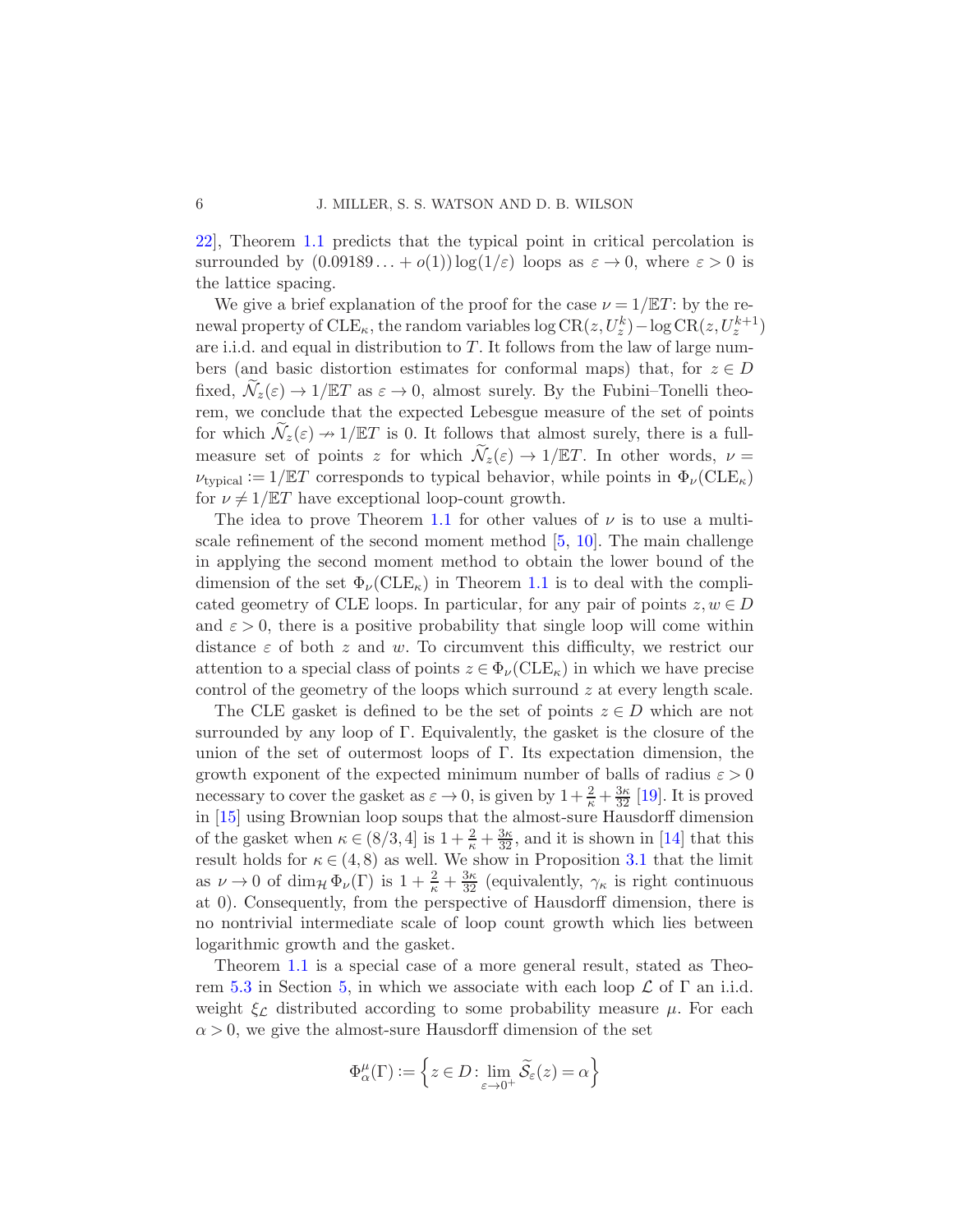[22\]](#page-40-10), Theorem [1.1](#page-3-0) predicts that the typical point in critical percolation is surrounded by  $(0.09189...+o(1))\log(1/\varepsilon)$  loops as  $\varepsilon \to 0$ , where  $\varepsilon > 0$  is the lattice spacing.

We give a brief explanation of the proof for the case  $\nu = 1/\mathbb{E}T$ : by the renewal property of  $\text{CLE}_{\kappa}$ , the random variables  $\log \text{CR}(z, U_z^k) - \log \text{CR}(z, U_z^{k+1})$ are i.i.d. and equal in distribution to  $T$ . It follows from the law of large numbers (and basic distortion estimates for conformal maps) that, for  $z \in D$ fixed,  $\mathcal{N}_z(\varepsilon) \to 1/\mathbb{E}T$  as  $\varepsilon \to 0$ , almost surely. By the Fubini–Tonelli theorem, we conclude that the expected Lebesgue measure of the set of points for which  $\mathcal{N}_z(\varepsilon) \to 1/\mathbb{E}T$  is 0. It follows that almost surely, there is a fullmeasure set of points z for which  $\mathcal{N}_z(\varepsilon) \to 1/\mathbb{E}T$ . In other words,  $\nu =$  $\nu_{\text{tvoical}} := 1/\mathbb{E}T$  corresponds to typical behavior, while points in  $\Phi_{\nu}(\text{CLE}_{\kappa})$ for  $\nu \neq 1/\mathbb{E}T$  have exceptional loop-count growth.

The idea to prove Theorem [1.1](#page-3-0) for other values of  $\nu$  is to use a multiscale refinement of the second moment method [\[5](#page-40-11), [10](#page-40-3)]. The main challenge in applying the second moment method to obtain the lower bound of the dimension of the set  $\Phi_{\nu}(\text{CLE}_\kappa)$  in Theorem [1.1](#page-3-0) is to deal with the complicated geometry of CLE loops. In particular, for any pair of points  $z, w \in D$ and  $\varepsilon > 0$ , there is a positive probability that single loop will come within distance  $\varepsilon$  of both z and w. To circumvent this difficulty, we restrict our attention to a special class of points  $z \in \Phi_{\nu}(\text{CLE}_\kappa)$  in which we have precise control of the geometry of the loops which surround z at every length scale.

The CLE gasket is defined to be the set of points  $z \in D$  which are not surrounded by any loop of Γ. Equivalently, the gasket is the closure of the union of the set of outermost loops of  $\Gamma$ . Its expectation dimension, the growth exponent of the expected minimum number of balls of radius  $\varepsilon > 0$ necessary to cover the gasket as  $\varepsilon \to 0$ , is given by  $1 + \frac{2}{\kappa} + \frac{3\kappa}{32}$  [\[19\]](#page-40-6). It is proved in [\[15](#page-40-8)] using Brownian loop soups that the almost-sure Hausdorff dimension of the gasket when  $\kappa \in (8/3, 4]$  is  $1 + \frac{2}{\kappa} + \frac{3\kappa}{32}$ , and it is shown in [\[14](#page-40-7)] that this result holds for  $\kappa \in (4, 8)$  as well. We show in Proposition [3.1](#page-14-0) that the limit as  $\nu \to 0$  of dim<sub> $\mathcal{H} \Phi_{\nu}(\Gamma)$  is  $1 + \frac{2}{\kappa} + \frac{3\kappa}{32}$  (equivalently,  $\gamma_{\kappa}$  is right continuous</sub> at 0). Consequently, from the perspective of Hausdorff dimension, there is no nontrivial intermediate scale of loop count growth which lies between logarithmic growth and the gasket.

Theorem [1.1](#page-3-0) is a special case of a more general result, stated as Theo-rem [5.3](#page-34-0) in Section [5,](#page-29-0) in which we associate with each loop  $\mathcal L$  of  $\Gamma$  an i.i.d. weight  $\xi_{\mathcal{L}}$  distributed according to some probability measure  $\mu$ . For each  $\alpha > 0$ , we give the almost-sure Hausdorff dimension of the set

$$
\Phi^\mu_\alpha(\Gamma) := \left\{ z \in D \colon \lim_{\varepsilon \to 0^+} \widetilde{\mathcal{S}}_\varepsilon(z) = \alpha \right\}
$$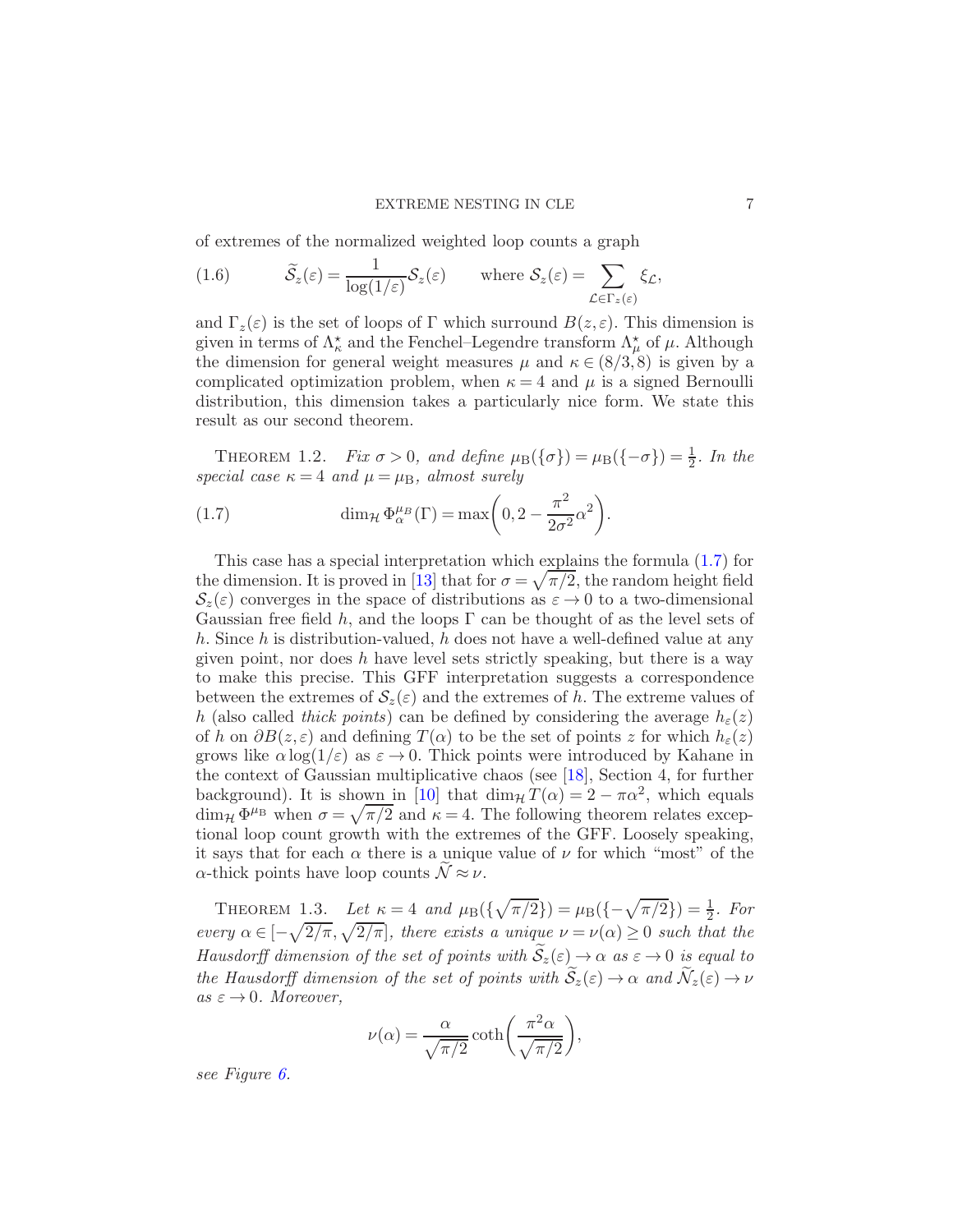of extremes of the normalized weighted loop counts a graph

<span id="page-6-3"></span>(1.6) 
$$
\widetilde{S}_z(\varepsilon) = \frac{1}{\log(1/\varepsilon)} S_z(\varepsilon) \quad \text{where } S_z(\varepsilon) = \sum_{\mathcal{L} \in \Gamma_z(\varepsilon)} \xi_{\mathcal{L}},
$$

and  $\Gamma_z(\varepsilon)$  is the set of loops of Γ which surround  $B(z,\varepsilon)$ . This dimension is given in terms of  $\Lambda_{\kappa}^*$  and the Fenchel–Legendre transform  $\Lambda_{\mu}^*$  of  $\mu$ . Although the dimension for general weight measures  $\mu$  and  $\kappa \in (8/3, 8)$  is given by a complicated optimization problem, when  $\kappa = 4$  and  $\mu$  is a signed Bernoulli distribution, this dimension takes a particularly nice form. We state this result as our second theorem.

<span id="page-6-0"></span>THEOREM 1.2. Fix  $\sigma > 0$ , and define  $\mu_{\text{B}}(\{\sigma\}) = \mu_{\text{B}}(\{-\sigma\}) = \frac{1}{2}$ . In the special case  $\kappa = 4$  and  $\mu = \mu_B$ , almost surely

<span id="page-6-2"></span>(1.7) 
$$
\dim_{\mathcal{H}} \Phi^{\mu}_{\alpha}(\Gamma) = \max\left(0, 2 - \frac{\pi^2}{2\sigma^2} \alpha^2\right).
$$

This case has a special interpretation which explains the formula [\(1.7\)](#page-6-2) for the dimension. It is proved in [\[13\]](#page-40-12) that for  $\sigma = \sqrt{\pi/2}$ , the random height field  $\mathcal{S}_z(\varepsilon)$  converges in the space of distributions as  $\varepsilon \to 0$  to a two-dimensional Gaussian free field h, and the loops  $\Gamma$  can be thought of as the level sets of h. Since h is distribution-valued, h does not have a well-defined value at any given point, nor does  $h$  have level sets strictly speaking, but there is a way to make this precise. This GFF interpretation suggests a correspondence between the extremes of  $\mathcal{S}_z(\varepsilon)$  and the extremes of h. The extreme values of h (also called thick points) can be defined by considering the average  $h_{\varepsilon}(z)$ of h on  $\partial B(z,\varepsilon)$  and defining  $T(\alpha)$  to be the set of points z for which  $h_{\varepsilon}(z)$ grows like  $\alpha \log(1/\varepsilon)$  as  $\varepsilon \to 0$ . Thick points were introduced by Kahane in the context of Gaussian multiplicative chaos (see [\[18](#page-40-13)], Section 4, for further background). It is shown in [\[10\]](#page-40-3) that  $\dim_{\mathcal{H}} T(\alpha) = 2 - \pi \alpha^2$ , which equals  $\dim_{\mathcal{H}} \Phi^{\mu}$  when  $\sigma = \sqrt{\pi/2}$  and  $\kappa = 4$ . The following theorem relates exceptional loop count growth with the extremes of the GFF. Loosely speaking, it says that for each  $\alpha$  there is a unique value of  $\nu$  for which "most" of the  $\alpha$ -thick points have loop counts  $\mathcal{N} \approx \nu$ .

<span id="page-6-1"></span>THEOREM 1.3. Let  $\kappa = 4$  and  $\mu_B(\{\sqrt{\pi/2}\}) = \mu_B(\{-\sqrt{\pi/2}\}) = \frac{1}{2}$ . For every  $\alpha \in [-\sqrt{2/\pi}, \sqrt{2/\pi}]$ , there exists a unique  $\nu = \nu(\alpha) \geq 0$  such that the Hausdorff dimension of the set of points with  $\widetilde{S}_z(\varepsilon) \to \alpha$  as  $\varepsilon \to 0$  is equal to the Hausdorff dimension of the set of points with  $\widetilde{S}_z(\varepsilon) \to \alpha$  and  $\widetilde{\mathcal{N}}_z(\varepsilon) \to \nu$ as  $\varepsilon \to 0$ . Moreover,

$$
\nu(\alpha) = \frac{\alpha}{\sqrt{\pi/2}} \coth\left(\frac{\pi^2 \alpha}{\sqrt{\pi/2}}\right),\,
$$

see Figure [6.](#page-7-0)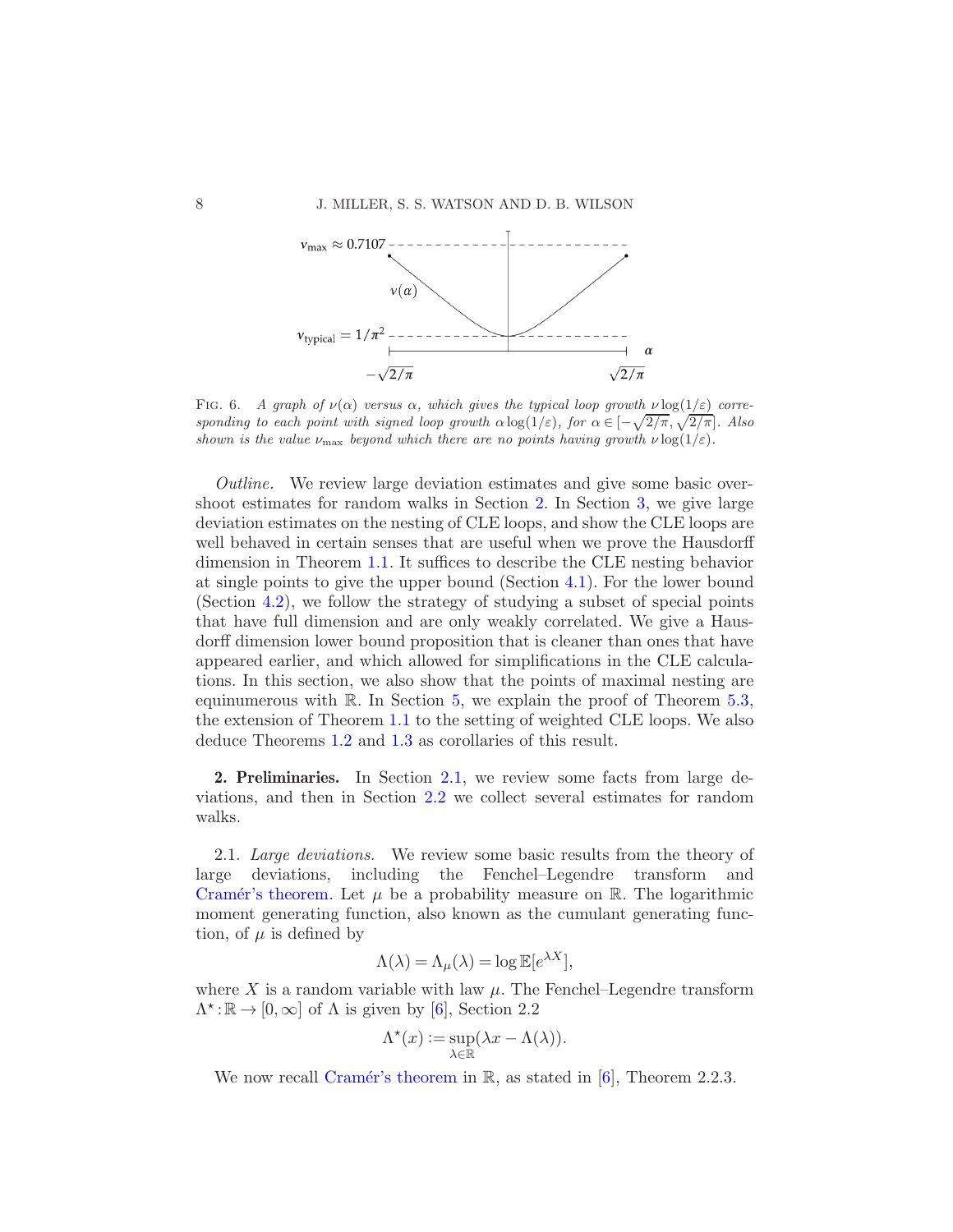

<span id="page-7-0"></span>FIG. 6. A graph of  $\nu(\alpha)$  versus  $\alpha$ , which gives the typical loop growth  $\nu \log(1/\varepsilon)$  corresponding to each point with signed loop growth  $\alpha \log(1/\varepsilon)$ , for  $\alpha \in [-\sqrt{2/\pi},\sqrt{2/\pi}]$ . Also shown is the value  $\nu_{\text{max}}$  beyond which there are no points having growth  $\nu \log(1/\varepsilon)$ .

Outline. We review large deviation estimates and give some basic overshoot estimates for random walks in Section [2.](#page-7-1) In Section [3,](#page-13-0) we give large deviation estimates on the nesting of CLE loops, and show the CLE loops are well behaved in certain senses that are useful when we prove the Hausdorff dimension in Theorem [1.1.](#page-3-0) It suffices to describe the CLE nesting behavior at single points to give the upper bound (Section [4.1\)](#page-19-0). For the lower bound (Section [4.2\)](#page-20-0), we follow the strategy of studying a subset of special points that have full dimension and are only weakly correlated. We give a Hausdorff dimension lower bound proposition that is cleaner than ones that have appeared earlier, and which allowed for simplifications in the CLE calculations. In this section, we also show that the points of maximal nesting are equinumerous with  $\mathbb R$ . In Section [5,](#page-29-0) we explain the proof of Theorem [5.3,](#page-34-0) the extension of Theorem [1.1](#page-3-0) to the setting of weighted CLE loops. We also deduce Theorems [1.2](#page-6-0) and [1.3](#page-6-1) as corollaries of this result.

<span id="page-7-1"></span>2. Preliminaries. In Section [2.1,](#page-7-2) we review some facts from large deviations, and then in Section [2.2](#page-12-0) we collect several estimates for random walks.

<span id="page-7-2"></span>2.1. Large deviations. We review some basic results from the theory of large deviations, including the Fenchel–Legendre transform and Cramér's theorem. Let  $\mu$  be a probability measure on R. The logarithmic moment generating function, also known as the cumulant generating function, of  $\mu$  is defined by

$$
\Lambda(\lambda) = \Lambda_{\mu}(\lambda) = \log \mathbb{E}[e^{\lambda X}],
$$

where X is a random variable with law  $\mu$ . The Fenchel–Legendre transform  $\Lambda^{\star}:\mathbb{R}\to[0,\infty]$  of  $\Lambda$  is given by [\[6](#page-40-14)], Section 2.2

$$
\Lambda^\star(x) := \sup_{\lambda \in \mathbb{R}} (\lambda x - \Lambda(\lambda)).
$$

<span id="page-7-3"></span>We now recall Cramér's theorem in  $\mathbb{R}$ , as stated in [\[6](#page-40-14)], Theorem 2.2.3.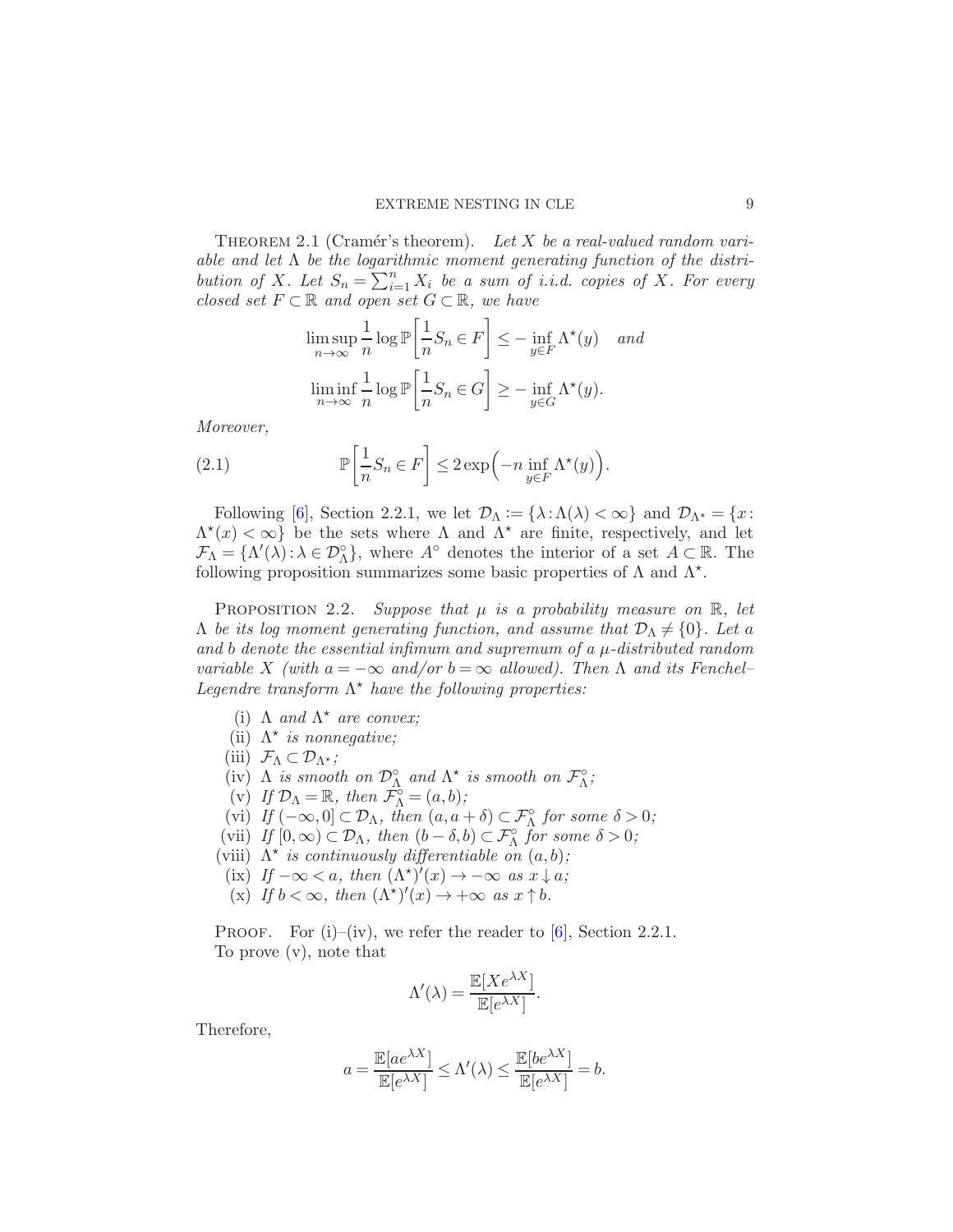THEOREM 2.1 (Cramér's theorem). Let X be a real-valued random variable and let  $\Lambda$  be the logarithmic moment generating function of the distribution of X. Let  $S_n = \sum_{i=1}^n X_i$  be a sum of i.i.d. copies of X. For every closed set  $F \subset \mathbb{R}$  and open set  $G \subset \mathbb{R}$ , we have

<span id="page-8-1"></span>
$$
\limsup_{n \to \infty} \frac{1}{n} \log \mathbb{P} \left[ \frac{1}{n} S_n \in F \right] \le - \inf_{y \in F} \Lambda^*(y) \quad and
$$
  

$$
\liminf_{n \to \infty} \frac{1}{n} \log \mathbb{P} \left[ \frac{1}{n} S_n \in G \right] \ge - \inf_{y \in G} \Lambda^*(y).
$$

Moreover,

(2.1) 
$$
\mathbb{P}\left[\frac{1}{n}S_n \in F\right] \leq 2\exp\left(-n\inf_{y \in F}\Lambda^*(y)\right).
$$

Following [\[6\]](#page-40-14), Section 2.2.1, we let  $\mathcal{D}_{\Lambda} := {\lambda : \Lambda(\lambda) < \infty}$  and  $\mathcal{D}_{\Lambda^*} = \{x : \Lambda(\lambda) < \infty\}$  $\Lambda^*(x) < \infty$  be the sets where  $\Lambda$  and  $\Lambda^*$  are finite, respectively, and let  $\mathcal{F}_{\Lambda} = {\Lambda'(\lambda) : \lambda \in \mathcal{D}_{\Lambda}^{\circ}}$ , where  $A^{\circ}$  denotes the interior of a set  $A \subset \mathbb{R}$ . The following proposition summarizes some basic properties of  $\Lambda$  and  $\Lambda^*$ .

<span id="page-8-0"></span>PROPOSITION 2.2. Suppose that  $\mu$  is a probability measure on  $\mathbb{R}$ , let  $\Lambda$  be its log moment generating function, and assume that  $\mathcal{D}_{\Lambda} \neq \{0\}$ . Let a and b denote the essential infimum and supremum of a  $\mu$ -distributed random variable X (with  $a = -\infty$  and/or  $b = \infty$  allowed). Then  $\Lambda$  and its Fenchel– Legendre transform  $\Lambda^*$  have the following properties:

- (i)  $\Lambda$  and  $\Lambda^*$  are convex;
- (ii)  $\Lambda^*$  is nonnegative;
- (iii)  $\mathcal{F}_{\Lambda} \subset \mathcal{D}_{\Lambda^{\star}};$
- (iv)  $\Lambda$  is smooth on  $\mathcal{D}_{\Lambda}^{\circ}$  and  $\Lambda^*$  is smooth on  $\mathcal{F}_{\Lambda}^{\circ}$ ;
- (v) If  $\mathcal{D}_{\Lambda} = \mathbb{R}$ , then  $\tilde{\mathcal{F}}_{\Lambda}^{\circ} = (a, b)$ ;
- (vi) If  $(-\infty,0] \subset \mathcal{D}_\Lambda$ , then  $(a, a + \delta) \subset \mathcal{F}_\Lambda^{\circ}$  for some  $\delta > 0$ ;
- (vii) If  $[0, \infty) \subset \mathcal{D}_{\Lambda}$ , then  $(b \delta, b) \subset \mathcal{F}_{\Lambda}^{\circ}$  for some  $\delta > 0$ ;
- (viii)  $\Lambda^*$  is continuously differentiable on  $(a, b)$ ;
- (ix) If  $-\infty < a$ , then  $(\Lambda^*)'(x) \to -\infty$  as  $x \downarrow a$ ;
- (x) If  $b < \infty$ , then  $(\Lambda^*)'(x) \to +\infty$  as  $x \uparrow b$ .

PROOF. For  $(i)$ – $(iv)$ , we refer the reader to  $[6]$ , Section 2.2.1. To prove (v), note that

$$
\Lambda'(\lambda) = \frac{\mathbb{E}[Xe^{\lambda X}]}{\mathbb{E}[e^{\lambda X}]}.
$$

Therefore,

$$
a = \frac{\mathbb{E}[ae^{\lambda X}]}{\mathbb{E}[e^{\lambda X}]} \le \Lambda'(\lambda) \le \frac{\mathbb{E}[be^{\lambda X}]}{\mathbb{E}[e^{\lambda X}]} = b.
$$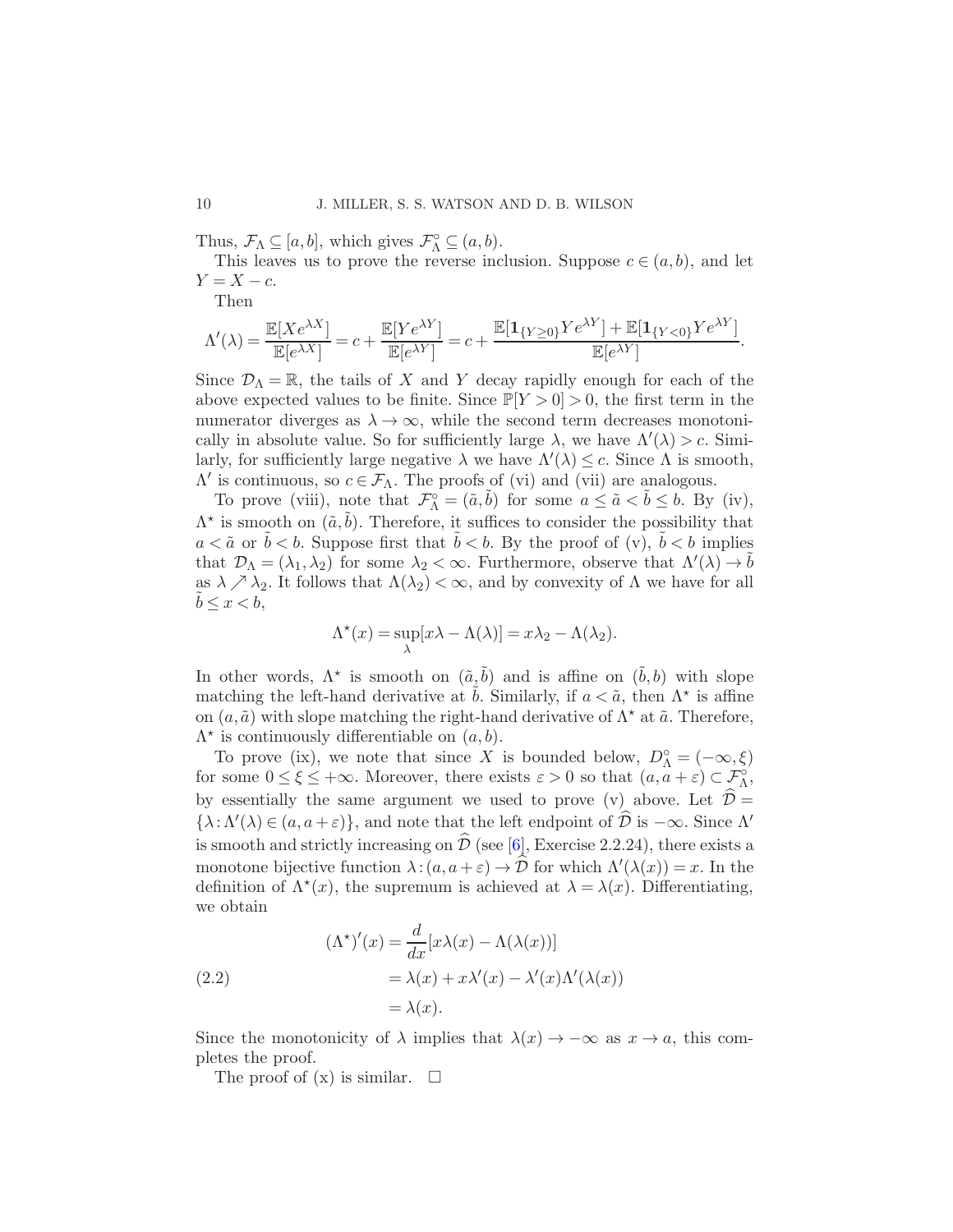Thus,  $\mathcal{F}_{\Lambda} \subseteq [a, b]$ , which gives  $\mathcal{F}_{\Lambda}^{\circ} \subseteq (a, b)$ .

This leaves us to prove the reverse inclusion. Suppose  $c \in (a, b)$ , and let  $Y = X - c$ .

Then

$$
\Lambda'(\lambda)=\frac{\mathbb{E}[Xe^{\lambda X}]}{\mathbb{E}[e^{\lambda X}]}=c+\frac{\mathbb{E}[Ye^{\lambda Y}]}{\mathbb{E}[e^{\lambda Y}]}=c+\frac{\mathbb{E}[\mathbf{1}_{\{Y\geq 0\}}Ye^{\lambda Y}]+\mathbb{E}[\mathbf{1}_{\{Y<0\}}Ye^{\lambda Y}]}{\mathbb{E}[e^{\lambda Y}]}.
$$

Since  $\mathcal{D}_{\Lambda} = \mathbb{R}$ , the tails of X and Y decay rapidly enough for each of the above expected values to be finite. Since  $\mathbb{P}[Y > 0] > 0$ , the first term in the numerator diverges as  $\lambda \to \infty$ , while the second term decreases monotonically in absolute value. So for sufficiently large  $\lambda$ , we have  $\Lambda'(\lambda) > c$ . Similarly, for sufficiently large negative  $\lambda$  we have  $\Lambda'(\lambda) \leq c$ . Since  $\Lambda$  is smooth,  $Λ'$  is continuous, so  $c \in \mathcal{F}_Λ$ . The proofs of (vi) and (vii) are analogous.

To prove (viii), note that  $\mathcal{F}_{\Lambda}^{\circ} = (\tilde{a}, \tilde{b})$  for some  $a \leq \tilde{a} < \tilde{b} \leq b$ . By (iv),  $\Lambda^*$  is smooth on  $(\tilde{a}, \tilde{b})$ . Therefore, it suffices to consider the possibility that  $a < \tilde{a}$  or  $b < b$ . Suppose first that  $b < b$ . By the proof of (v),  $b < b$  implies that  $\mathcal{D}_{\Lambda} = (\lambda_1, \lambda_2)$  for some  $\lambda_2 < \infty$ . Furthermore, observe that  $\Lambda'(\lambda) \to \tilde{b}$ as  $\lambda \nearrow \lambda_2$ . It follows that  $\Lambda(\lambda_2) < \infty$ , and by convexity of  $\Lambda$  we have for all  $b \leq x < b$ ,

$$
\Lambda^*(x) = \sup_{\lambda} [x\lambda - \Lambda(\lambda)] = x\lambda_2 - \Lambda(\lambda_2).
$$

In other words,  $\Lambda^*$  is smooth on  $(\tilde{a}, \tilde{b})$  and is affine on  $(\tilde{b}, b)$  with slope matching the left-hand derivative at  $\tilde{b}$ . Similarly, if  $a < \tilde{a}$ , then  $\Lambda^*$  is affine on  $(a, \tilde{a})$  with slope matching the right-hand derivative of  $\Lambda^*$  at  $\tilde{a}$ . Therefore,  $\Lambda^*$  is continuously differentiable on  $(a, b)$ .

To prove (ix), we note that since X is bounded below,  $D_{\Lambda}^{\circ} = (-\infty, \xi)$ for some  $0 \leq \xi \leq +\infty$ . Moreover, there exists  $\varepsilon > 0$  so that  $(a, a + \varepsilon) \subset \mathcal{F}_{\Lambda}^{\circ}$ , by essentially the same argument we used to prove (v) above. Let  $\hat{\mathcal{D}} =$  $\{\lambda : \Lambda'(\lambda) \in (a, a + \varepsilon)\}\$ , and note that the left endpoint of  $\widehat{\mathcal{D}}$  is  $-\infty$ . Since  $\Lambda'$ is smooth and strictly increasing on  $\hat{\mathcal{D}}$  (see [\[6\]](#page-40-14), Exercise 2.2.24), there exists a monotone bijective function  $\lambda$ :  $(a, a + \varepsilon) \to \hat{\mathcal{D}}$  for which  $\Lambda'(\lambda(x)) = x$ . In the definition of  $\Lambda^*(x)$ , the supremum is achieved at  $\lambda = \lambda(x)$ . Differentiating, we obtain

(2.2)  
\n
$$
(\Lambda^{\star})'(x) = \frac{d}{dx} [x\lambda(x) - \Lambda(\lambda(x))]
$$
\n
$$
= \lambda(x) + x\lambda'(x) - \lambda'(x)\Lambda'(\lambda(x))
$$
\n
$$
= \lambda(x).
$$

Since the monotonicity of  $\lambda$  implies that  $\lambda(x) \to -\infty$  as  $x \to a$ , this completes the proof.

The proof of  $(x)$  is similar.  $\square$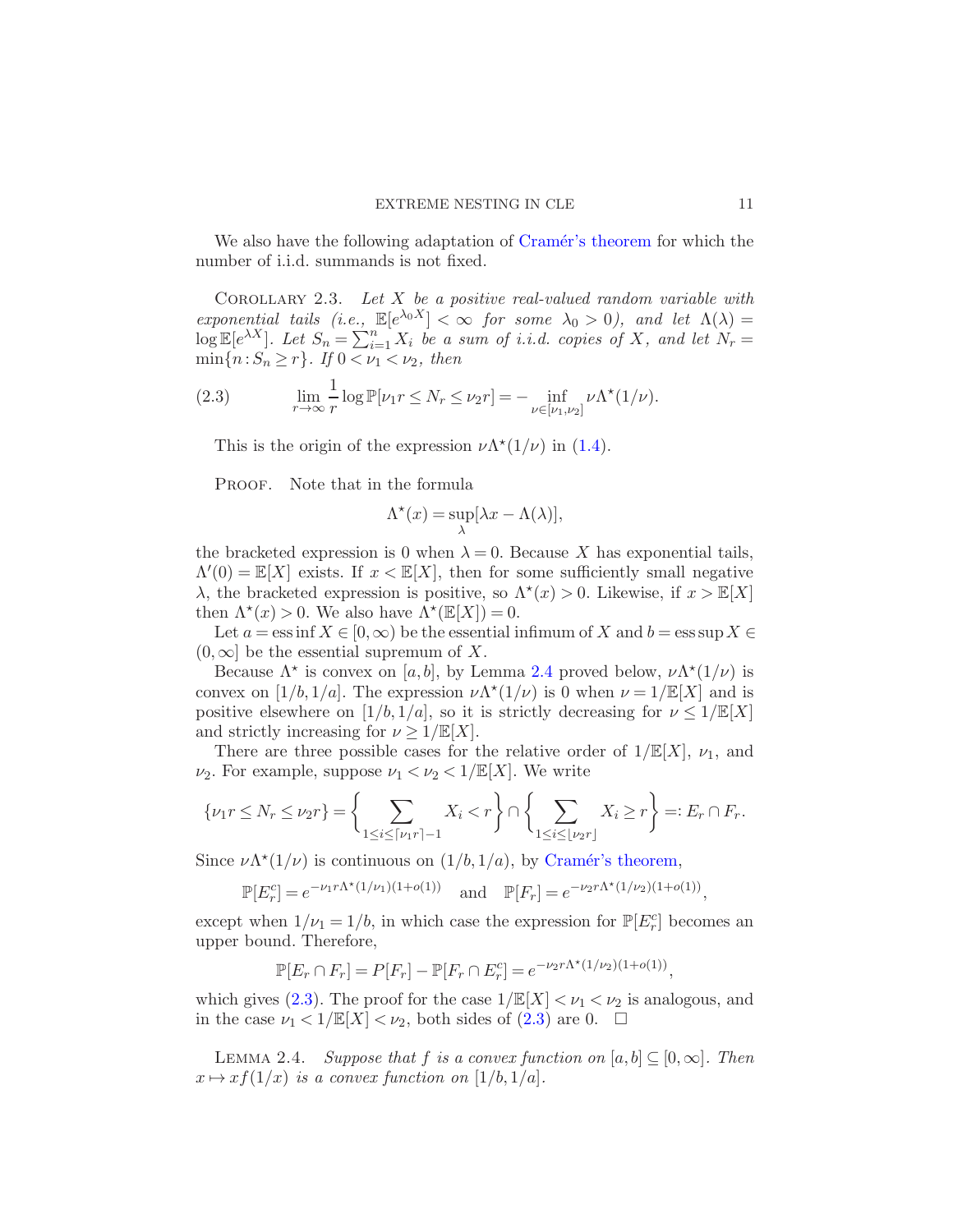<span id="page-10-0"></span>We also have the following adaptation of Cramér's theorem for which the number of i.i.d. summands is not fixed.

COROLLARY 2.3. Let  $X$  be a positive real-valued random variable with exponential tails (i.e.,  $\mathbb{E}[e^{\lambda_0 X}] < \infty$  for some  $\lambda_0 > 0$ ), and let  $\Lambda(\lambda) =$  $\log \mathbb{E}[e^{\lambda X}]$ . Let  $S_n = \sum_{i=1}^n X_i$  be a sum of i.i.d. copies of X, and let  $N_r =$  $\min\{n: S_n \geq r\}$ . If  $0 < \nu_1 < \nu_2$ , then

(2.3) 
$$
\lim_{r \to \infty} \frac{1}{r} \log \mathbb{P}[\nu_1 r \le N_r \le \nu_2 r] = - \inf_{\nu \in [\nu_1, \nu_2]} \nu \Lambda^*(1/\nu).
$$

<span id="page-10-2"></span>This is the origin of the expression  $\nu \Lambda^*(1/\nu)$  in [\(1.4\)](#page-3-1).

PROOF. Note that in the formula

$$
\Lambda^\star(x) = \sup_{\lambda} [\lambda x - \Lambda(\lambda)],
$$

the bracketed expression is 0 when  $\lambda = 0$ . Because X has exponential tails,  $\Lambda'(0) = \mathbb{E}[X]$  exists. If  $x < \mathbb{E}[X]$ , then for some sufficiently small negative λ, the bracketed expression is positive, so  $Λ<sup>*</sup>(x) > 0$ . Likewise, if  $x > \mathbb{E}[X]$ then  $\Lambda^*(x) > 0$ . We also have  $\Lambda^*(\mathbb{E}[X]) = 0$ .

Let  $a = \operatorname{ess inf} X \in [0, \infty)$  be the essential infimum of X and  $b = \operatorname{ess sup} X \in$  $(0, \infty]$  be the essential supremum of X.

Because  $\Lambda^*$  is convex on [a, b], by Lemma [2.4](#page-10-1) proved below,  $\nu \Lambda^*(1/\nu)$  is convex on [1/b, 1/a]. The expression  $\nu \Lambda^*(1/\nu)$  is 0 when  $\nu = 1/\mathbb{E}[X]$  and is positive elsewhere on  $[1/b, 1/a]$ , so it is strictly decreasing for  $\nu \leq 1/\mathbb{E}[X]$ and strictly increasing for  $\nu \geq 1/\mathbb{E}[X]$ .

There are three possible cases for the relative order of  $1/\mathbb{E}[X]$ ,  $\nu_1$ , and  $\nu_2$ . For example, suppose  $\nu_1 < \nu_2 < 1/\mathbb{E}[X]$ . We write

$$
\{\nu_1 r \leq N_r \leq \nu_2 r\} = \left\{ \sum_{1 \leq i \leq \lceil \nu_1 r \rceil - 1} X_i < r \right\} \cap \left\{ \sum_{1 \leq i \leq \lfloor \nu_2 r \rfloor} X_i \geq r \right\} =: E_r \cap F_r.
$$

Since  $\nu \Lambda^*(1/\nu)$  is continuous on  $(1/b, 1/a)$ , by Cramér's theorem,

$$
\mathbb{P}[E_r^c] = e^{-\nu_1 r \Lambda^{\star}(1/\nu_1)(1+o(1))} \quad \text{and} \quad \mathbb{P}[F_r] = e^{-\nu_2 r \Lambda^{\star}(1/\nu_2)(1+o(1))},
$$

except when  $1/\nu_1 = 1/b$ , in which case the expression for  $\mathbb{P}[E_r^c]$  becomes an upper bound. Therefore,

$$
\mathbb{P}[E_r \cap F_r] = P[F_r] - \mathbb{P}[F_r \cap E_r^c] = e^{-\nu_2 r \Lambda^*(1/\nu_2)(1 + o(1))},
$$

which gives [\(2.3\)](#page-10-2). The proof for the case  $1/\mathbb{E}[X] < \nu_1 < \nu_2$  is analogous, and in the case  $\nu_1 < 1/\mathbb{E}[X] < \nu_2$ , both sides of  $(2.3)$  are 0.  $\Box$ 

<span id="page-10-1"></span>LEMMA 2.4. Suppose that f is a convex function on  $[a, b] \subseteq [0, \infty]$ . Then  $x \mapsto xf(1/x)$  is a convex function on  $[1/b, 1/a]$ .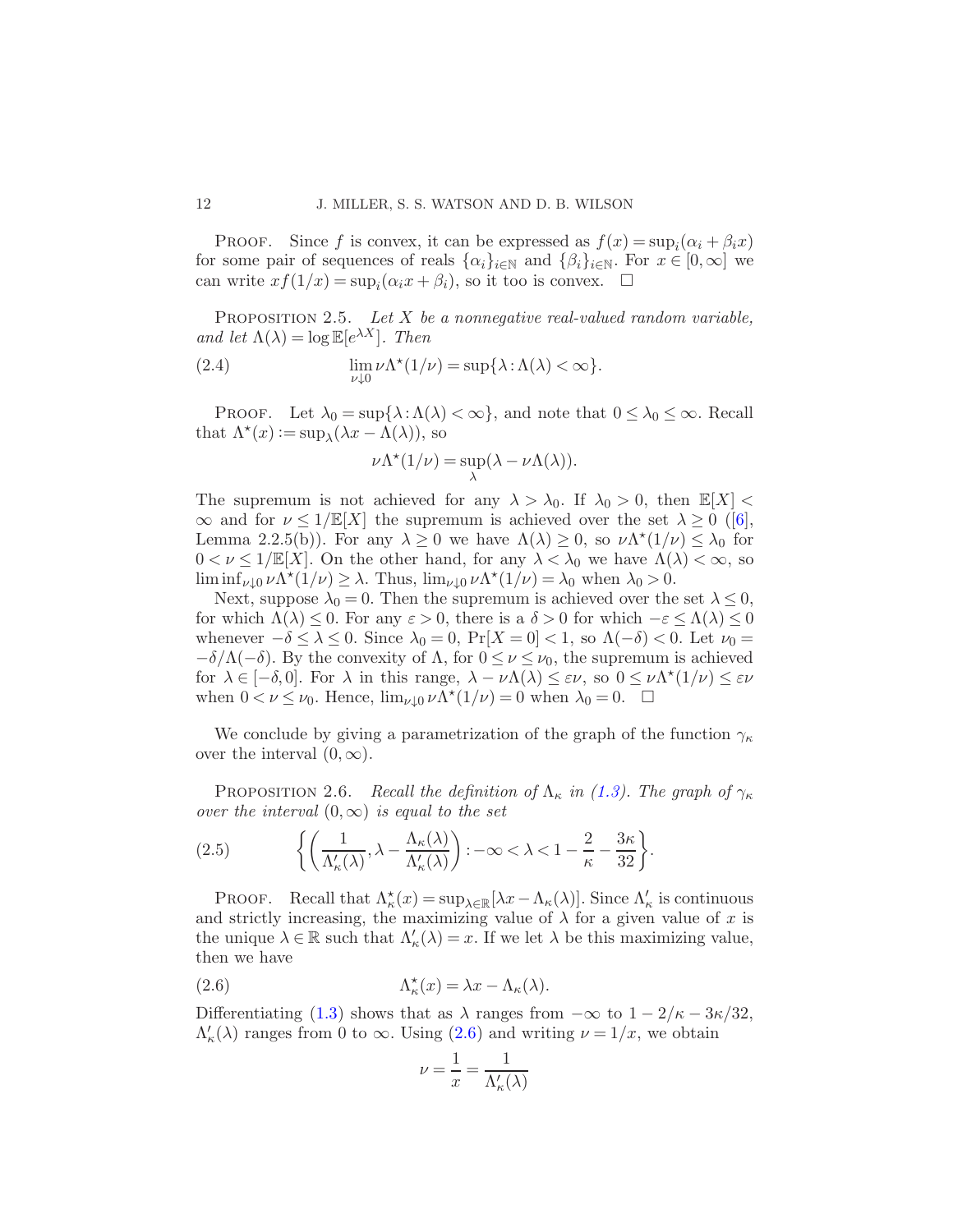PROOF. Since f is convex, it can be expressed as  $f(x) = \sup_i(\alpha_i + \beta_i x)$ for some pair of sequences of reals  $\{\alpha_i\}_{i\in\mathbb{N}}$  and  $\{\beta_i\}_{i\in\mathbb{N}}$ . For  $x\in[0,\infty]$  we can write  $xf(1/x) = \sup_i(\alpha_i x + \beta_i)$ , so it too is convex.  $\square$ 

<span id="page-11-3"></span>PROPOSITION 2.5. Let  $X$  be a nonnegative real-valued random variable, and let  $\Lambda(\lambda) = \log \mathbb{E}[e^{\lambda X}]$ . Then

(2.4) 
$$
\lim_{\nu \downarrow 0} \nu \Lambda^*(1/\nu) = \sup \{ \lambda : \Lambda(\lambda) < \infty \}.
$$

PROOF. Let  $\lambda_0 = \sup\{\lambda : \Lambda(\lambda) < \infty\}$ , and note that  $0 \leq \lambda_0 \leq \infty$ . Recall that  $\Lambda^*(x) := \sup_{\lambda} (\lambda x - \Lambda(\lambda)),$  so

$$
\nu \Lambda^*(1/\nu) = \sup_{\lambda} (\lambda - \nu \Lambda(\lambda)).
$$

The supremum is not achieved for any  $\lambda > \lambda_0$ . If  $\lambda_0 > 0$ , then  $\mathbb{E}[X] <$  $\infty$ and for  $\nu \leq 1/\mathbb{E}[X]$  the supremum is achieved over the set  $\lambda \geq 0$  ([\[6](#page-40-14)], Lemma 2.2.5(b)). For any  $\lambda \geq 0$  we have  $\Lambda(\lambda) \geq 0$ , so  $\nu \Lambda^*(1/\nu) \leq \lambda_0$  for  $0 < \nu \leq 1/\mathbb{E}[X]$ . On the other hand, for any  $\lambda < \lambda_0$  we have  $\Lambda(\lambda) < \infty$ , so  $\liminf_{\nu \downarrow 0} \nu \Lambda^*(1/\nu) \ge \lambda$ . Thus,  $\lim_{\nu \downarrow 0} \nu \Lambda^*(1/\nu) = \lambda_0$  when  $\lambda_0 > 0$ .

Next, suppose  $\lambda_0 = 0$ . Then the supremum is achieved over the set  $\lambda \leq 0$ , for which  $\Lambda(\lambda) \leq 0$ . For any  $\varepsilon > 0$ , there is a  $\delta > 0$  for which  $-\varepsilon \leq \Lambda(\lambda) \leq 0$ whenever  $-\delta \leq \lambda \leq 0$ . Since  $\lambda_0 = 0$ ,  $Pr[X = 0] < 1$ , so  $\Lambda(-\delta) < 0$ . Let  $\nu_0 =$  $-\delta/\Lambda(-\delta)$ . By the convexity of  $\Lambda$ , for  $0 \leq \nu \leq \nu_0$ , the supremum is achieved for  $\lambda \in [-\delta, 0]$ . For  $\lambda$  in this range,  $\lambda - \nu \Lambda(\lambda) \leq \varepsilon \nu$ , so  $0 \leq \nu \Lambda^*(1/\nu) \leq \varepsilon \nu$ when  $0 < \nu \leq \nu_0$ . Hence,  $\lim_{\nu \downarrow 0} \nu \Lambda^*(1/\nu) = 0$  when  $\lambda_0 = 0$ .  $\Box$ 

<span id="page-11-2"></span>We conclude by giving a parametrization of the graph of the function  $\gamma_{\kappa}$ over the interval  $(0, \infty)$ .

PROPOSITION 2.6. Recall the definition of  $\Lambda_{\kappa}$  in [\(1.3\)](#page-3-2). The graph of  $\gamma_{\kappa}$ over the interval  $(0, \infty)$  is equal to the set

<span id="page-11-1"></span>(2.5) 
$$
\left\{ \left( \frac{1}{\Lambda'_{\kappa}(\lambda)}, \lambda - \frac{\Lambda_{\kappa}(\lambda)}{\Lambda'_{\kappa}(\lambda)} \right) : -\infty < \lambda < 1 - \frac{2}{\kappa} - \frac{3\kappa}{32} \right\}.
$$

PROOF. Recall that  $\Lambda_{\kappa}^{\star}(x) = \sup_{\lambda \in \mathbb{R}} [\lambda x - \Lambda_{\kappa}(\lambda)]$ . Since  $\Lambda_{\kappa}'$  is continuous and strictly increasing, the maximizing value of  $\lambda$  for a given value of x is the unique  $\lambda \in \mathbb{R}$  such that  $\Lambda'_{\kappa}(\lambda) = x$ . If we let  $\lambda$  be this maximizing value, then we have

(2.6) 
$$
\Lambda_{\kappa}^{\star}(x) = \lambda x - \Lambda_{\kappa}(\lambda).
$$

Differentiating [\(1.3\)](#page-3-2) shows that as  $\lambda$  ranges from  $-\infty$  to  $1 - 2/\kappa - 3\kappa/32$ ,  $\Lambda'_{\kappa}(\lambda)$  ranges from 0 to  $\infty$ . Using [\(2.6\)](#page-11-0) and writing  $\nu = 1/x$ , we obtain

<span id="page-11-0"></span>
$$
\nu = \frac{1}{x} = \frac{1}{\Lambda'_{\kappa}(\lambda)}
$$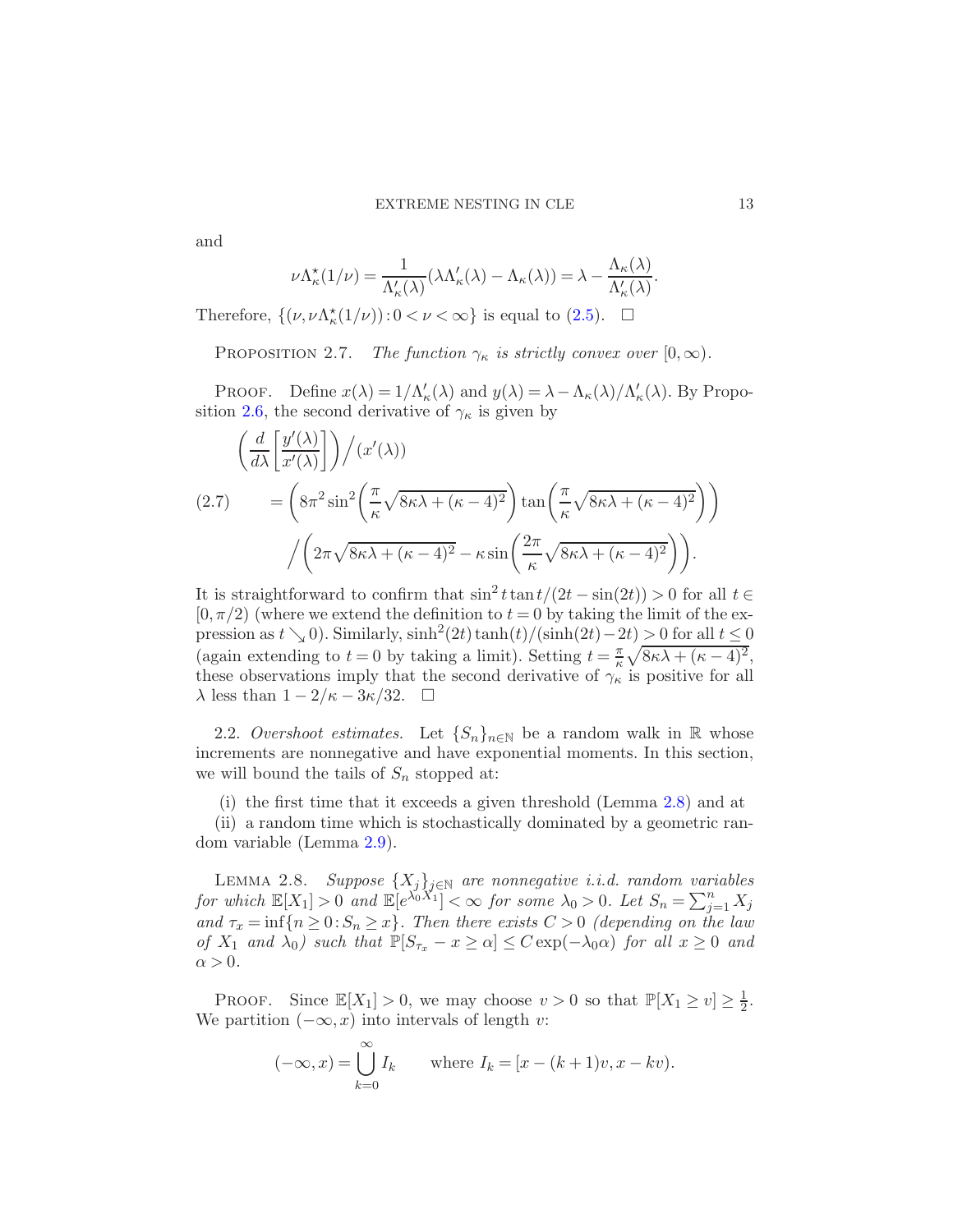and

$$
\nu \Lambda_{\kappa}^{\star}(1/\nu) = \frac{1}{\Lambda_{\kappa}'(\lambda)} (\lambda \Lambda_{\kappa}'(\lambda) - \Lambda_{\kappa}(\lambda)) = \lambda - \frac{\Lambda_{\kappa}(\lambda)}{\Lambda_{\kappa}'(\lambda)}.
$$

<span id="page-12-2"></span>Therefore,  $\{(\nu, \nu \Lambda_{\kappa}^*(1/\nu)) : 0 < \nu < \infty\}$  is equal to [\(2.5\)](#page-11-1).  $\Box$ 

PROPOSITION 2.7. The function  $\gamma_{\kappa}$  is strictly convex over  $[0,\infty)$ .

PROOF. Define  $x(\lambda) = 1/\Lambda'_{\kappa}(\lambda)$  and  $y(\lambda) = \lambda - \Lambda_{\kappa}(\lambda)/\Lambda'_{\kappa}(\lambda)$ . By Propo-sition [2.6,](#page-11-2) the second derivative of  $\gamma_{\kappa}$  is given by

$$
\left(\frac{d}{d\lambda}\left[\frac{y'(\lambda)}{x'(\lambda)}\right]\right)/(x'(\lambda))
$$
\n
$$
(2.7) \qquad = \left(8\pi^2 \sin^2\left(\frac{\pi}{\kappa}\sqrt{8\kappa\lambda + (\kappa - 4)^2}\right)\tan\left(\frac{\pi}{\kappa}\sqrt{8\kappa\lambda + (\kappa - 4)^2}\right)\right)
$$
\n
$$
\left/\left(2\pi\sqrt{8\kappa\lambda + (\kappa - 4)^2} - \kappa\sin\left(\frac{2\pi}{\kappa}\sqrt{8\kappa\lambda + (\kappa - 4)^2}\right)\right).
$$

It is straightforward to confirm that  $\sin^2 t \tan t/(2t - \sin(2t)) > 0$  for all  $t \in$  $[0, \pi/2)$  (where we extend the definition to  $t = 0$  by taking the limit of the expression as  $t \searrow 0$ ). Similarly,  $\sinh^2(2t) \tanh(t)/(\sinh(2t)-2t) > 0$  for all  $t \leq 0$ (again extending to  $t = 0$  by taking a limit). Setting  $t = \frac{\pi}{6}$  $\frac{\pi}{\kappa}\sqrt{8\kappa\lambda+(\kappa-4)^2},$ these observations imply that the second derivative of  $\gamma_{\kappa}$  is positive for all  $\lambda$  less than  $1 - 2/\kappa - 3\kappa/32$ .  $\Box$ 

<span id="page-12-0"></span>2.2. Overshoot estimates. Let  $\{S_n\}_{n\in\mathbb{N}}$  be a random walk in R whose increments are nonnegative and have exponential moments. In this section, we will bound the tails of  $S_n$  stopped at:

(i) the first time that it exceeds a given threshold (Lemma [2.8\)](#page-12-1) and at (ii) a random time which is stochastically dominated by a geometric random variable (Lemma [2.9\)](#page-13-1).

<span id="page-12-1"></span>LEMMA 2.8. Suppose  $\{X_j\}_{j\in\mathbb{N}}$  are nonnegative i.i.d. random variables for which  $\mathbb{E}[X_1] > 0$  and  $\mathbb{E}[e^{\lambda_0 X_1}] < \infty$  for some  $\lambda_0 > 0$ . Let  $S_n = \sum_{j=1}^n X_j$ and  $\tau_x = \inf\{n \geq 0 : S_n \geq x\}$ . Then there exists  $C > 0$  (depending on the law of  $X_1$  and  $\lambda_0$ ) such that  $\mathbb{P}[S_{\tau_x} - x \ge \alpha] \le C \exp(-\lambda_0 \alpha)$  for all  $x \ge 0$  and  $\alpha > 0$ .

PROOF. Since  $\mathbb{E}[X_1] > 0$ , we may choose  $v > 0$  so that  $\mathbb{P}[X_1 \ge v] \ge \frac{1}{2}$  $rac{1}{2}$ . We partition  $(-\infty, x)$  into intervals of length v:

$$
(-\infty, x) = \bigcup_{k=0}^{\infty} I_k \quad \text{where } I_k = [x - (k+1)v, x - kv).
$$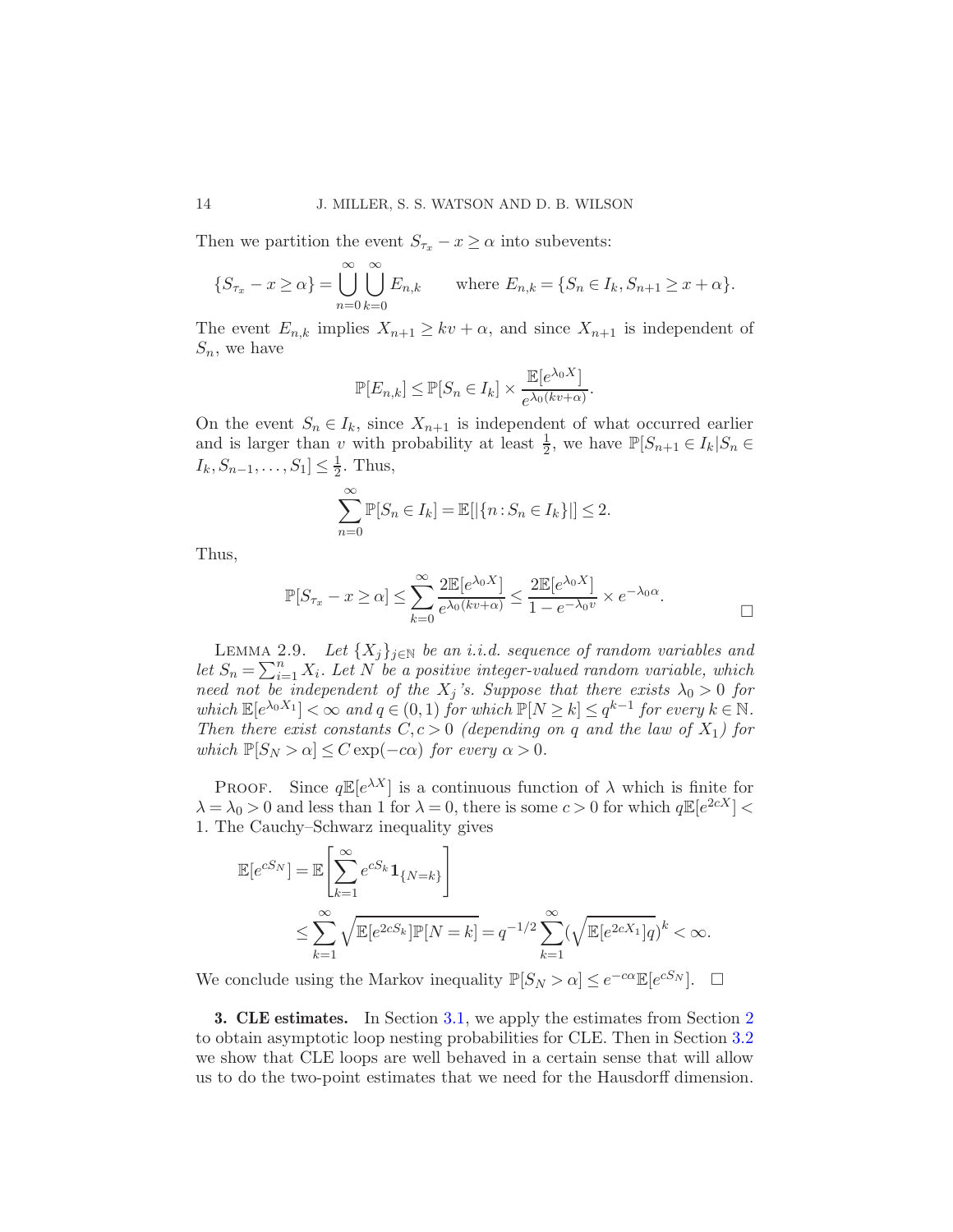Then we partition the event  $S_{\tau_x} - x \ge \alpha$  into subevents:

$$
\{S_{\tau_x} - x \ge \alpha\} = \bigcup_{n=0}^{\infty} \bigcup_{k=0}^{\infty} E_{n,k} \quad \text{where } E_{n,k} = \{S_n \in I_k, S_{n+1} \ge x + \alpha\}.
$$

The event  $E_{n,k}$  implies  $X_{n+1} \geq kv + \alpha$ , and since  $X_{n+1}$  is independent of  $S_n$ , we have

$$
\mathbb{P}[E_{n,k}] \le \mathbb{P}[S_n \in I_k] \times \frac{\mathbb{E}[e^{\lambda_0 X}]}{e^{\lambda_0(kv+\alpha)}}.
$$

On the event  $S_n \in I_k$ , since  $X_{n+1}$  is independent of what occurred earlier and is larger than v with probability at least  $\frac{1}{2}$ , we have  $\mathbb{P}[S_{n+1} \in I_k | S_n \in$  $I_k, S_{n-1}, \ldots, S_1] \leq \frac{1}{2}$  $\frac{1}{2}$ . Thus,

$$
\sum_{n=0}^{\infty} \mathbb{P}[S_n \in I_k] = \mathbb{E}[|\{n : S_n \in I_k\}|] \le 2.
$$

Thus,

$$
\mathbb{P}[S_{\tau_x} - x \ge \alpha] \le \sum_{k=0}^{\infty} \frac{2\mathbb{E}[e^{\lambda_0 X}]}{e^{\lambda_0(kv+\alpha)}} \le \frac{2\mathbb{E}[e^{\lambda_0 X}]}{1 - e^{-\lambda_0 v}} \times e^{-\lambda_0 \alpha}.
$$

<span id="page-13-1"></span>LEMMA 2.9. Let  $\{X_i\}_{i\in\mathbb{N}}$  be an i.i.d. sequence of random variables and let  $S_n = \sum_{i=1}^n X_i$ . Let N be a positive integer-valued random variable, which need not be independent of the  $X_j$ 's. Suppose that there exists  $\lambda_0 > 0$  for which  $\mathbb{E}[e^{\lambda_0 X_1}] < \infty$  and  $q \in (0,1)$  for which  $\mathbb{P}[N \ge k] \le q^{k-1}$  for every  $k \in \mathbb{N}$ . Then there exist constants  $C, c > 0$  (depending on q and the law of  $X_1$ ) for which  $\mathbb{P}[S_N > \alpha] \leq C \exp(-c\alpha)$  for every  $\alpha > 0$ .

**PROOF.** Since  $q\mathbb{E}[e^{\lambda X}]$  is a continuous function of  $\lambda$  which is finite for  $\lambda = \lambda_0 > 0$  and less than 1 for  $\lambda = 0$ , there is some  $c > 0$  for which  $q \mathbb{E}[e^{2cX}] <$ 1. The Cauchy–Schwarz inequality gives

$$
\mathbb{E}[e^{cS_N}] = \mathbb{E}\left[\sum_{k=1}^{\infty} e^{cS_k} \mathbf{1}_{\{N=k\}}\right]
$$
  

$$
\leq \sum_{k=1}^{\infty} \sqrt{\mathbb{E}[e^{2cS_k}]\mathbb{P}[N=k]} = q^{-1/2} \sum_{k=1}^{\infty} (\sqrt{\mathbb{E}[e^{2cX_1}]}q)^k < \infty.
$$

We conclude using the Markov inequality  $\mathbb{P}[S_N > \alpha] \leq e^{-c\alpha} \mathbb{E}[e^{cS_N}]$ .  $\Box$ 

<span id="page-13-0"></span>3. CLE estimates. In Section [3.1,](#page-14-1) we apply the estimates from Section [2](#page-7-1) to obtain asymptotic loop nesting probabilities for CLE. Then in Section [3.2](#page-15-0) we show that CLE loops are well behaved in a certain sense that will allow us to do the two-point estimates that we need for the Hausdorff dimension.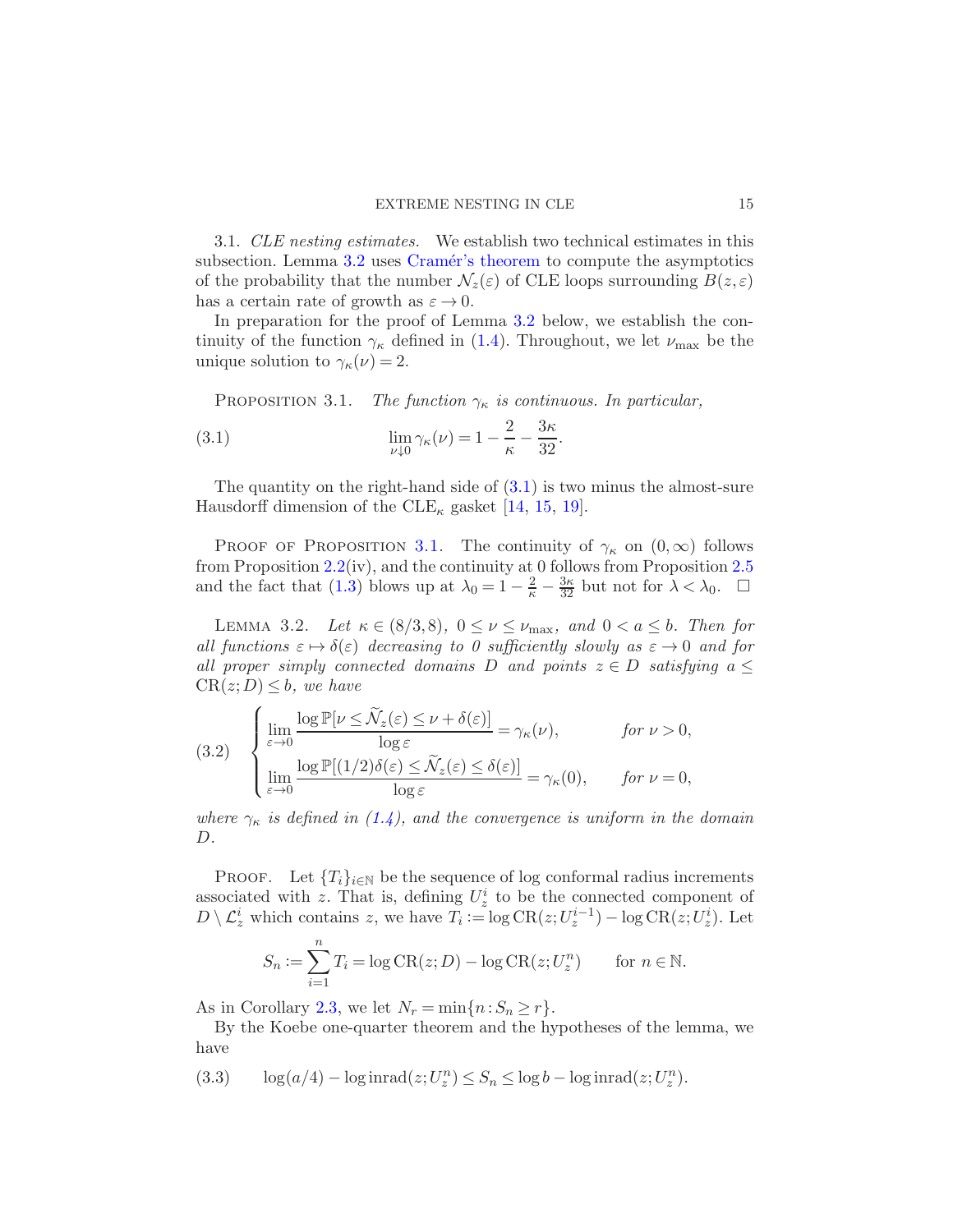<span id="page-14-1"></span>3.1. CLE nesting estimates. We establish two technical estimates in this subsection. Lemma [3.2](#page-14-2) uses Cramér's theorem to compute the asymptotics of the probability that the number  $\mathcal{N}_z(\varepsilon)$  of CLE loops surrounding  $B(z,\varepsilon)$ has a certain rate of growth as  $\varepsilon \to 0$ .

<span id="page-14-0"></span>In preparation for the proof of Lemma [3.2](#page-14-2) below, we establish the continuity of the function  $\gamma_{\kappa}$  defined in [\(1.4\)](#page-3-1). Throughout, we let  $\nu_{\text{max}}$  be the unique solution to  $\gamma_{\kappa}(\nu) = 2$ .

PROPOSITION 3.1. The function  $\gamma_{\kappa}$  is continuous. In particular,

(3.1) 
$$
\lim_{\nu \downarrow 0} \gamma_{\kappa}(\nu) = 1 - \frac{2}{\kappa} - \frac{3\kappa}{32}.
$$

The quantity on the right-hand side of  $(3.1)$  is two minus the almost-sure Hausdorff dimension of the  $CLE_{\kappa}$  gasket [\[14](#page-40-7), [15](#page-40-8), [19](#page-40-6)].

PROOF OF PROPOSITION [3.1.](#page-14-0) The continuity of  $\gamma_{\kappa}$  on  $(0,\infty)$  follows from Proposition [2.2\(](#page-8-0)iv), and the continuity at 0 follows from Proposition [2.5](#page-11-3) and the fact that [\(1.3\)](#page-3-2) blows up at  $\lambda_0 = 1 - \frac{2}{\kappa} - \frac{3\kappa}{32}$  but not for  $\lambda < \lambda_0$ .  $\Box$ 

<span id="page-14-2"></span>LEMMA 3.2. Let  $\kappa \in (8/3, 8)$ ,  $0 \le \nu \le \nu_{\text{max}}$ , and  $0 < a \le b$ . Then for all functions  $\varepsilon \mapsto \delta(\varepsilon)$  decreasing to 0 sufficiently slowly as  $\varepsilon \to 0$  and for all proper simply connected domains D and points  $z \in D$  satisfying  $a \leq$  $CR(z;D) \leq b$ , we have

<span id="page-14-4"></span>(3.2) 
$$
\begin{cases} \lim_{\varepsilon \to 0} \frac{\log \mathbb{P}[\nu \leq \widetilde{\mathcal{N}}_z(\varepsilon) \leq \nu + \delta(\varepsilon)]}{\log \varepsilon} = \gamma_{\kappa}(\nu), & \text{for } \nu > 0, \\ \lim_{\varepsilon \to 0} \frac{\log \mathbb{P}[(1/2)\delta(\varepsilon) \leq \widetilde{\mathcal{N}}_z(\varepsilon) \leq \delta(\varepsilon)]}{\log \varepsilon} = \gamma_{\kappa}(0), & \text{for } \nu = 0, \end{cases}
$$

where  $\gamma_{\kappa}$  is defined in [\(1.4\)](#page-3-1), and the convergence is uniform in the domain D.

PROOF. Let  ${T_i}_{i\in\mathbb{N}}$  be the sequence of log conformal radius increments associated with z. That is, defining  $U_z^i$  to be the connected component of  $D \setminus \mathcal{L}_z^i$  which contains z, we have  $T_i := \log \text{CR}(z; U_z^{i-1}) - \log \text{CR}(z; U_z^i)$ . Let

$$
S_n := \sum_{i=1}^n T_i = \log \text{CR}(z; D) - \log \text{CR}(z; U_z^n) \quad \text{for } n \in \mathbb{N}.
$$

As in Corollary [2.3,](#page-10-0) we let  $N_r = \min\{n : S_n \geq r\}.$ 

By the Koebe one-quarter theorem and the hypotheses of the lemma, we have

<span id="page-14-3"></span>(3.3) 
$$
\log(a/4) - \log \operatorname{inrad}(z; U_z^n) \leq S_n \leq \log b - \log \operatorname{inrad}(z; U_z^n).
$$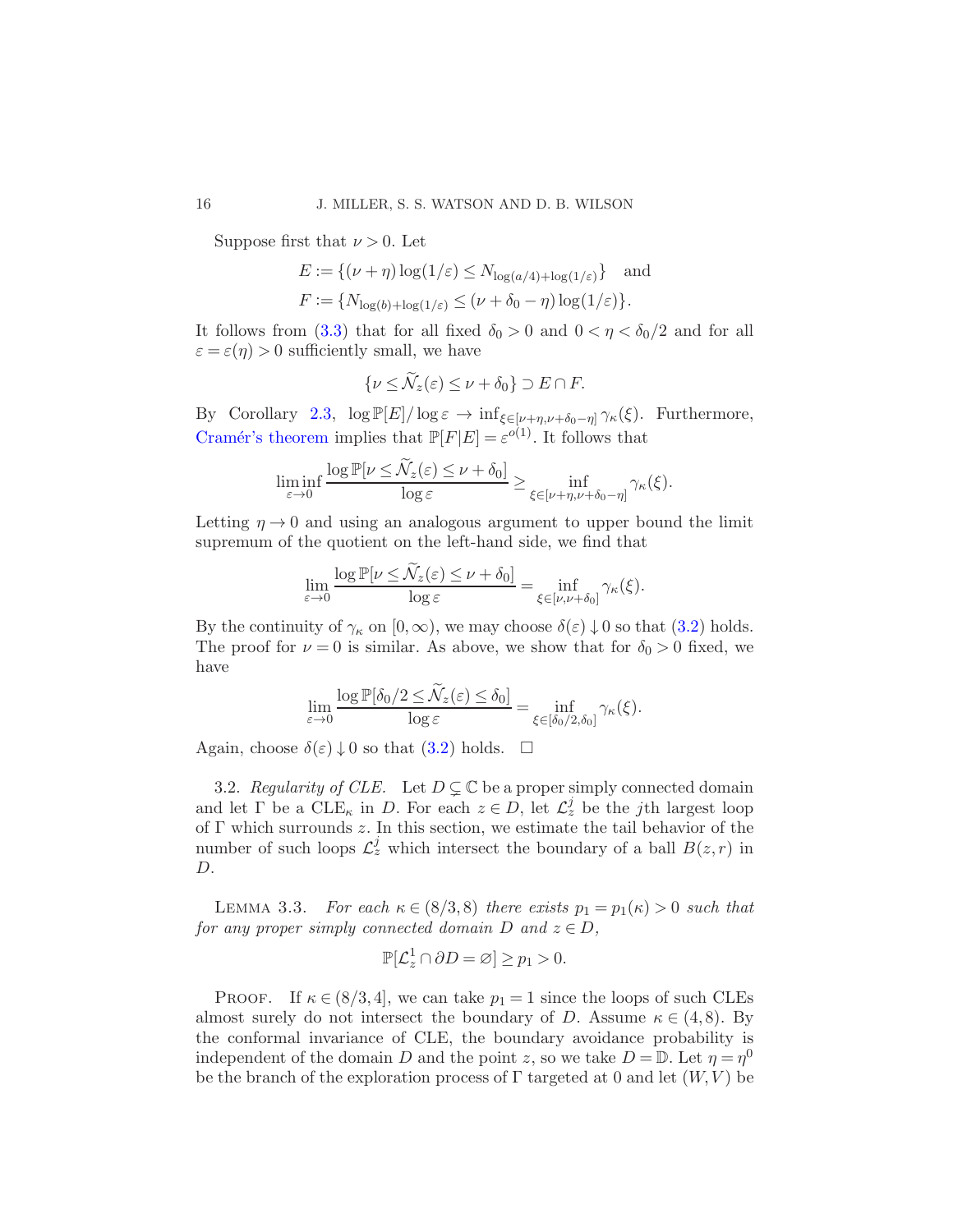Suppose first that  $\nu > 0$ . Let

$$
E := \{ (\nu + \eta) \log(1/\varepsilon) \le N_{\log(a/4) + \log(1/\varepsilon)} \} \text{ and}
$$
  

$$
F := \{ N_{\log(b) + \log(1/\varepsilon)} \le (\nu + \delta_0 - \eta) \log(1/\varepsilon) \}.
$$

It follows from [\(3.3\)](#page-14-3) that for all fixed  $\delta_0 > 0$  and  $0 < \eta < \delta_0/2$  and for all  $\varepsilon = \varepsilon(\eta) > 0$  sufficiently small, we have

$$
\{\nu \leq \widetilde{\mathcal{N}}_z(\varepsilon) \leq \nu + \delta_0\} \supset E \cap F.
$$

By Corollary [2.3,](#page-10-0)  $\log \mathbb{P}[E]/\log \varepsilon \to \inf_{\xi \in [\nu + \eta, \nu + \delta_0 - \eta]} \gamma_{\kappa}(\xi)$ . Furthermore, Cramér's theorem implies that  $\mathbb{P}[F|E] = \varepsilon^{o(1)}$ . It follows that

$$
\liminf_{\varepsilon \to 0} \frac{\log \mathbb{P}[\nu \leq \mathcal{N}_z(\varepsilon) \leq \nu + \delta_0]}{\log \varepsilon} \geq \inf_{\xi \in [\nu + \eta, \nu + \delta_0 - \eta]} \gamma_{\kappa}(\xi).
$$

Letting  $\eta \rightarrow 0$  and using an analogous argument to upper bound the limit supremum of the quotient on the left-hand side, we find that

$$
\lim_{\varepsilon \to 0} \frac{\log \mathbb{P}[\nu \le \mathcal{N}_z(\varepsilon) \le \nu + \delta_0]}{\log \varepsilon} = \inf_{\xi \in [\nu, \nu + \delta_0]} \gamma_\kappa(\xi).
$$

By the continuity of  $\gamma_{\kappa}$  on  $[0,\infty)$ , we may choose  $\delta(\varepsilon) \downarrow 0$  so that  $(3.2)$  holds. The proof for  $\nu = 0$  is similar. As above, we show that for  $\delta_0 > 0$  fixed, we have

$$
\lim_{\varepsilon \to 0} \frac{\log \mathbb{P}[\delta_0/2 \leq \widetilde{\mathcal{N}}_z(\varepsilon) \leq \delta_0]}{\log \varepsilon} = \inf_{\xi \in [\delta_0/2, \delta_0]} \gamma_{\kappa}(\xi).
$$

Again, choose  $\delta(\varepsilon) \downarrow 0$  so that  $(3.2)$  holds.  $\square$ 

<span id="page-15-0"></span>3.2. Regularity of CLE. Let  $D \subsetneq \mathbb{C}$  be a proper simply connected domain and let  $\Gamma$  be a  $CLE_{\kappa}$  in D. For each  $z \in D$ , let  $\mathcal{L}_z^j$  be the jth largest loop of  $\Gamma$  which surrounds z. In this section, we estimate the tail behavior of the number of such loops  $\mathcal{L}_z^j$  which intersect the boundary of a ball  $B(z, r)$  in D.

<span id="page-15-1"></span>LEMMA 3.3. For each  $\kappa \in (8/3, 8)$  there exists  $p_1 = p_1(\kappa) > 0$  such that for any proper simply connected domain D and  $z \in D$ ,

$$
\mathbb{P}[\mathcal{L}_z^1 \cap \partial D = \varnothing] \ge p_1 > 0.
$$

PROOF. If  $\kappa \in (8/3, 4]$ , we can take  $p_1 = 1$  since the loops of such CLEs almost surely do not intersect the boundary of D. Assume  $\kappa \in (4,8)$ . By the conformal invariance of CLE, the boundary avoidance probability is independent of the domain D and the point z, so we take  $D = \mathbb{D}$ . Let  $\eta = \eta^0$ be the branch of the exploration process of  $\Gamma$  targeted at 0 and let  $(W, V)$  be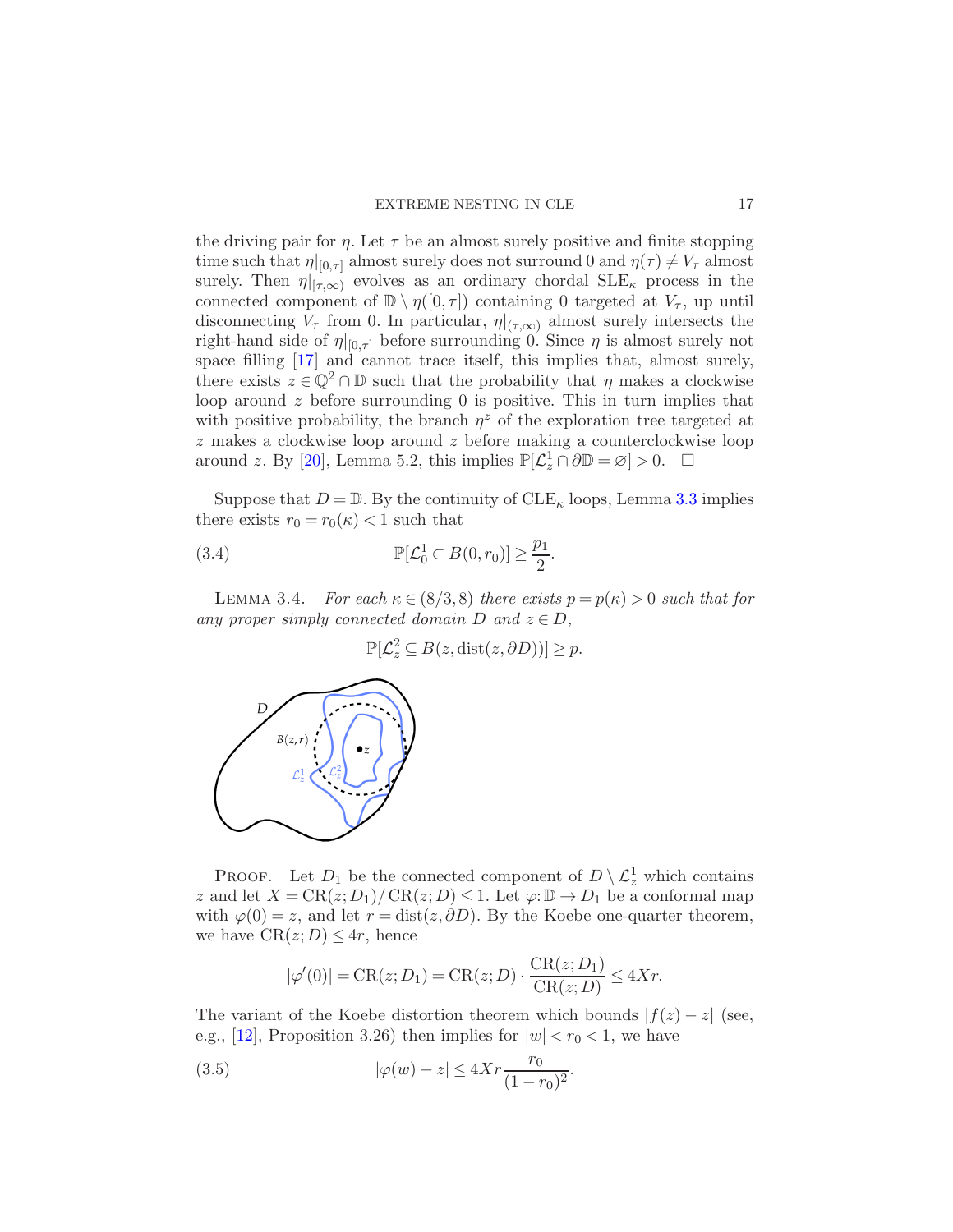the driving pair for  $\eta$ . Let  $\tau$  be an almost surely positive and finite stopping time such that  $\eta|_{[0,\tau]}$  almost surely does not surround 0 and  $\eta(\tau) \neq V_{\tau}$  almost surely. Then  $\eta|_{[\tau,\infty)}$  evolves as an ordinary chordal  $SLE_{\kappa}$  process in the connected component of  $\mathbb{D} \setminus \eta([0,\tau])$  containing 0 targeted at  $V_{\tau}$ , up until disconnecting  $V_{\tau}$  from 0. In particular,  $\eta|_{(\tau,\infty)}$  almost surely intersects the right-hand side of  $\eta|_{[0,\tau]}$  before surrounding 0. Since  $\eta$  is almost surely not space filling [\[17\]](#page-40-5) and cannot trace itself, this implies that, almost surely, there exists  $z \in \mathbb{Q}^2 \cap \mathbb{D}$  such that the probability that  $\eta$  makes a clockwise loop around  $z$  before surrounding  $\theta$  is positive. This in turn implies that with positive probability, the branch  $\eta^z$  of the exploration tree targeted at  $z$  makes a clockwise loop around  $z$  before making a counterclockwise loop around z. By [\[20](#page-40-0)], Lemma 5.2, this implies  $\mathbb{P}[\mathcal{L}_z^1 \cap \partial \mathbb{D} = \varnothing] > 0$ .  $\Box$ 

Suppose that  $D = \mathbb{D}$ . By the continuity of  $CLE_{\kappa}$  loops, Lemma [3.3](#page-15-1) implies there exists  $r_0 = r_0(\kappa) < 1$  such that

(3.4) 
$$
\mathbb{P}[\mathcal{L}_0^1 \subset B(0,r_0)] \geq \frac{p_1}{2}.
$$

<span id="page-16-2"></span>LEMMA 3.4. For each  $\kappa \in (8/3, 8)$  there exists  $p = p(\kappa) > 0$  such that for any proper simply connected domain D and  $z \in D$ ,

<span id="page-16-1"></span>
$$
\mathbb{P}[\mathcal{L}_z^2 \subseteq B(z, \text{dist}(z, \partial D))] \ge p.
$$



PROOF. Let  $D_1$  be the connected component of  $D \setminus \mathcal{L}_z^1$  which contains z and let  $X = \text{CR}(z; D_1) / \text{CR}(z; D) \leq 1$ . Let  $\varphi: \mathbb{D} \to D_1$  be a conformal map with  $\varphi(0) = z$ , and let  $r = \text{dist}(z, \partial D)$ . By the Koebe one-quarter theorem, we have  $CR(z; D) \leq 4r$ , hence

<span id="page-16-0"></span>
$$
|\varphi'(0)| = \text{CR}(z; D_1) = \text{CR}(z; D) \cdot \frac{\text{CR}(z; D_1)}{\text{CR}(z; D)} \le 4Xr.
$$

The variant of the Koebe distortion theorem which bounds  $|f(z) - z|$  (see, e.g., [\[12\]](#page-40-15), Proposition 3.26) then implies for  $|w| < r_0 < 1$ , we have

(3.5) 
$$
|\varphi(w) - z| \le 4Xr \frac{r_0}{(1 - r_0)^2}.
$$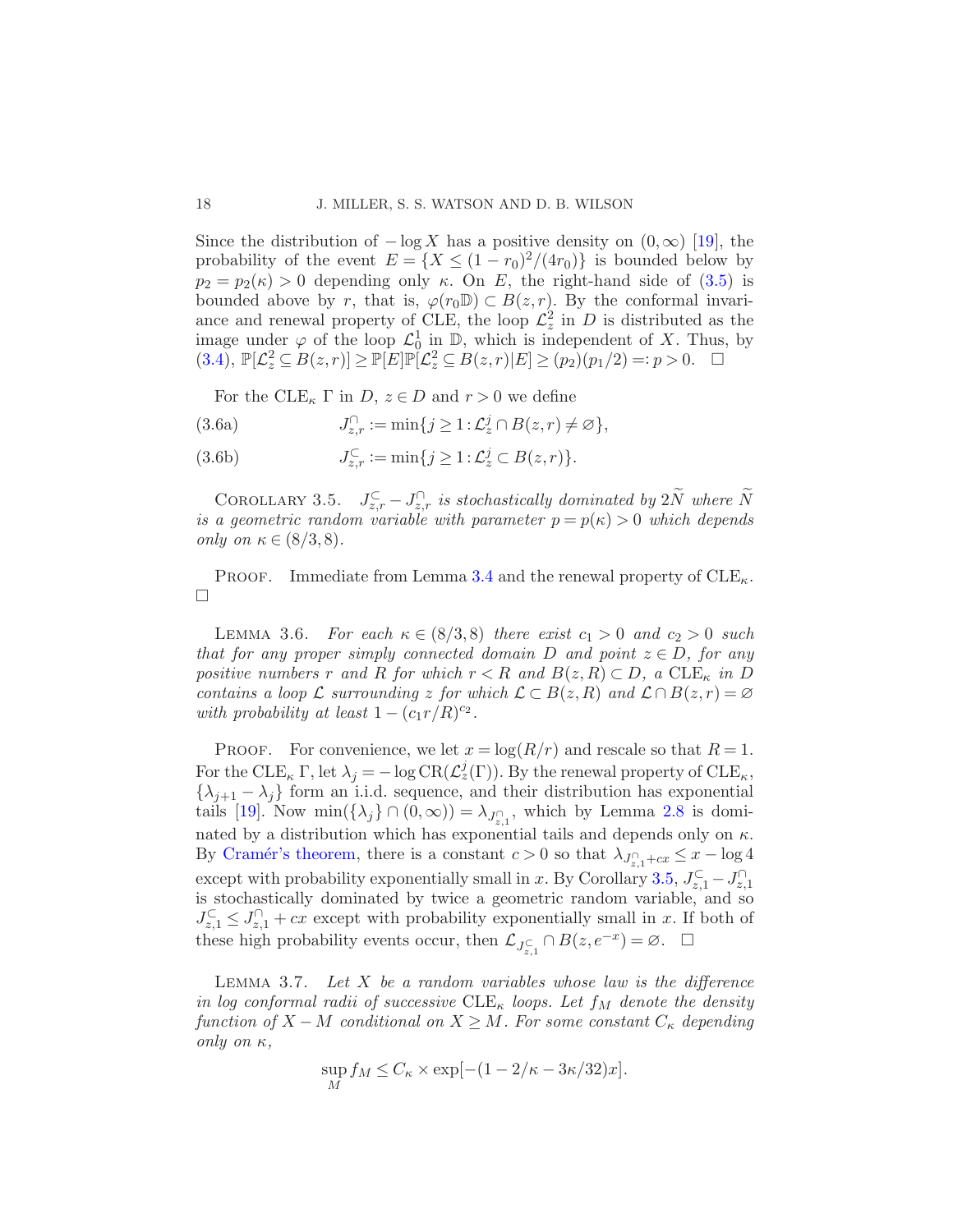Since the distribution of  $-\log X$  has a positive density on  $(0, \infty)$  [\[19](#page-40-6)], the probability of the event  $E = \{X \leq (1 - r_0)^2/(4r_0)\}\$ is bounded below by  $p_2 = p_2(\kappa) > 0$  depending only  $\kappa$ . On E, the right-hand side of [\(3.5\)](#page-16-0) is bounded above by r, that is,  $\varphi(r_0\mathbb{D}) \subset B(z,r)$ . By the conformal invariance and renewal property of CLE, the loop  $\mathcal{L}_z^2$  in D is distributed as the image under  $\varphi$  of the loop  $\mathcal{L}_0^1$  in  $\mathbb{D}$ , which is independent of X. Thus, by  $(3.4)$ ,  $\mathbb{P}[\mathcal{L}_z^2 \subseteq B(z,r)] \ge \mathbb{P}[E]\mathbb{P}[\mathcal{L}_z^2 \subseteq B(z,r)|E] \ge (p_2)(p_1/2) =: p > 0.$   $\Box$ 

<span id="page-17-4"></span><span id="page-17-0"></span>For the CLE<sub>K</sub>  $\Gamma$  in D,  $z \in D$  and  $r > 0$  we define

(3.6a) 
$$
J_{z,r}^{\cap} := \min\{j \geq 1 : \mathcal{L}_z^j \cap B(z,r) \neq \varnothing\},\,
$$

<span id="page-17-1"></span>(3.6b)  $J_{z,r}^{\subset} := \min\{j \ge 1 : L_z^j \subset B(z,r)\}.$ 

COROLLARY 3.5.  $J_{z,r}^{\mathbb{C}} - J_{z,r}^{\cap}$  is stochastically dominated by  $2\tilde{N}$  where  $\tilde{N}$ is a geometric random variable with parameter  $p = p(\kappa) > 0$  which depends only on  $\kappa \in (8/3,8)$ .

PROOF. Immediate from Lemma [3.4](#page-16-2) and the renewal property of  $CLE_{\kappa}$ .  $\Box$ 

<span id="page-17-3"></span>LEMMA 3.6. For each  $\kappa \in (8/3, 8)$  there exist  $c_1 > 0$  and  $c_2 > 0$  such that for any proper simply connected domain D and point  $z \in D$ , for any positive numbers r and R for which  $r < R$  and  $B(z, R) \subset D$ , a  $CLE_{\kappa}$  in D contains a loop  $\mathcal L$  surrounding z for which  $\mathcal L \subset B(z, R)$  and  $\mathcal L \cap B(z, r) = \emptyset$ with probability at least  $1 - (c_1 r/R)^{c_2}$ .

PROOF. For convenience, we let  $x = \log(R/r)$  and rescale so that  $R = 1$ . For the CLE<sub>κ</sub>  $\Gamma$ , let  $\lambda_j = -\log \text{CR}(\mathcal{L}_z^j(\Gamma))$ . By the renewal property of CLE<sub>κ</sub>,  $\{\lambda_{j+1} - \lambda_j\}$  form an i.i.d. sequence, and their distribution has exponential tails [\[19\]](#page-40-6). Now  $\min(\{\lambda_j\} \cap (0, \infty)) = \lambda_{J_{z,1}^{\cap}},$  which by Lemma [2.8](#page-12-1) is dominated by a distribution which has exponential tails and depends only on  $\kappa$ . By Cramér's theorem, there is a constant  $c > 0$  so that  $\lambda_{J_{z,1}^{\cap}+cx} \leq x - \log 4$ except with probability exponentially small in x. By Corollary [3.5,](#page-17-1)  $J_{z,1}^{\mathsf{C}} - J_{z,1}^{\cap}$ is stochastically dominated by twice a geometric random variable, and so  $J_{z,1}^{\mathsf{C}} \leq J_{z,1}^{\mathsf{C}} + cx$  except with probability exponentially small in x. If both of these high probability events occur, then  $\mathcal{L}_{J_{z,1}^{\subset}} \cap B(z, e^{-x}) = \varnothing$ .  $\Box$ 

<span id="page-17-2"></span>LEMMA 3.7. Let  $X$  be a random variables whose law is the difference in log conformal radii of successive CLE<sub> $\kappa$ </sub> loops. Let  $f_M$  denote the density function of  $X - M$  conditional on  $X \geq M$ . For some constant  $C_{\kappa}$  depending only on  $κ$ ,

$$
\sup_{M} f_{M} \leq C_{\kappa} \times \exp[-(1 - 2/\kappa - 3\kappa/32)x].
$$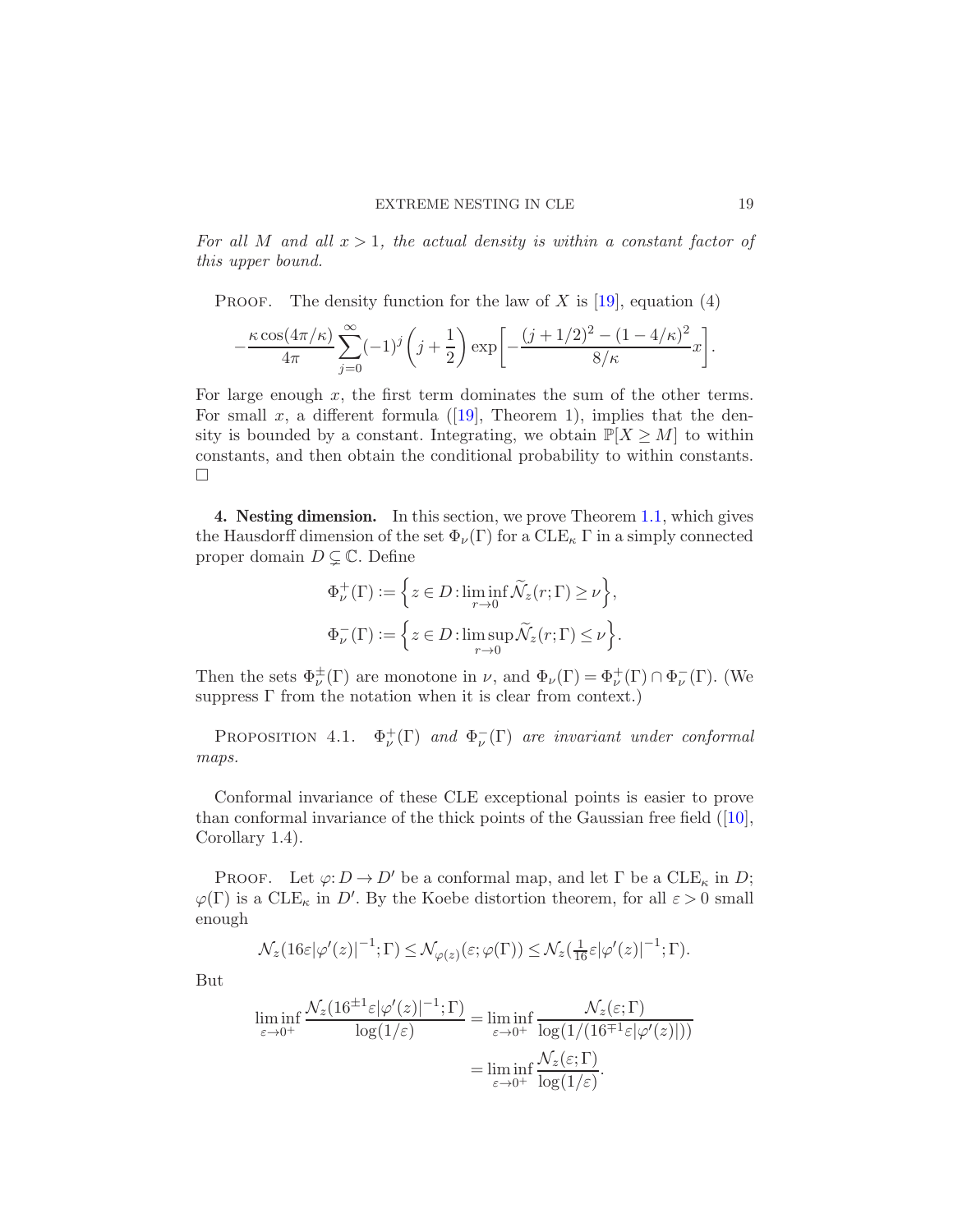For all M and all  $x > 1$ , the actual density is within a constant factor of this upper bound.

PROOF. The density function for the law of X is [\[19](#page-40-6)], equation (4)

$$
-\frac{\kappa \cos(4\pi/\kappa)}{4\pi}\sum_{j=0}^{\infty}(-1)^j\left(j+\frac{1}{2}\right)\exp\left[-\frac{(j+1/2)^2-(1-4/\kappa)^2}{8/\kappa}x\right].
$$

For large enough  $x$ , the first term dominates the sum of the other terms. Forsmall x, a different formula ([\[19\]](#page-40-6), Theorem 1), implies that the density is bounded by a constant. Integrating, we obtain  $\mathbb{P}[X \geq M]$  to within constants, and then obtain the conditional probability to within constants.  $\Box$ 

4. Nesting dimension. In this section, we prove Theorem [1.1,](#page-3-0) which gives the Hausdorff dimension of the set  $\Phi_{\nu}(\Gamma)$  for a  $CLE_{\kappa} \Gamma$  in a simply connected proper domain  $D \subsetneq \mathbb{C}$ . Define

$$
\Phi^+_{\nu}(\Gamma) := \left\{ z \in D : \liminf_{r \to 0} \widetilde{\mathcal{N}}_z(r; \Gamma) \ge \nu \right\},\
$$
  

$$
\Phi^-_{\nu}(\Gamma) := \left\{ z \in D : \limsup_{r \to 0} \widetilde{\mathcal{N}}_z(r; \Gamma) \le \nu \right\}.
$$

<span id="page-18-0"></span>Then the sets  $\Phi^{\pm}_{\nu}(\Gamma)$  are monotone in  $\nu$ , and  $\Phi_{\nu}(\Gamma) = \Phi^+_{\nu}(\Gamma) \cap \Phi^-_{\nu}(\Gamma)$ . (We suppress  $\Gamma$  from the notation when it is clear from context.)

PROPOSITION 4.1.  $\Phi^+_{\nu}(\Gamma)$  and  $\Phi^-_{\nu}(\Gamma)$  are invariant under conformal maps.

Conformal invariance of these CLE exceptional points is easier to prove thanconformal invariance of the thick points of the Gaussian free field  $([10],$  $([10],$  $([10],$ Corollary 1.4).

PROOF. Let  $\varphi: D \to D'$  be a conformal map, and let  $\Gamma$  be a  ${\rm CLE}_{\kappa}$  in  $D$ ;  $\varphi(\Gamma)$  is a CLE<sub>κ</sub> in D'. By the Koebe distortion theorem, for all  $\varepsilon > 0$  small enough

$$
\mathcal{N}_z(16\varepsilon|\varphi'(z)|^{-1};\Gamma) \leq \mathcal{N}_{\varphi(z)}(\varepsilon;\varphi(\Gamma)) \leq \mathcal{N}_z(\frac{1}{16}\varepsilon|\varphi'(z)|^{-1};\Gamma).
$$

But

$$
\liminf_{\varepsilon \to 0^+} \frac{\mathcal{N}_z(16^{\pm 1} \varepsilon |\varphi'(z)|^{-1}; \Gamma)}{\log(1/\varepsilon)} = \liminf_{\varepsilon \to 0^+} \frac{\mathcal{N}_z(\varepsilon; \Gamma)}{\log(1/(16^{\mp 1} \varepsilon |\varphi'(z)|))}
$$

$$
= \liminf_{\varepsilon \to 0^+} \frac{\mathcal{N}_z(\varepsilon; \Gamma)}{\log(1/\varepsilon)}.
$$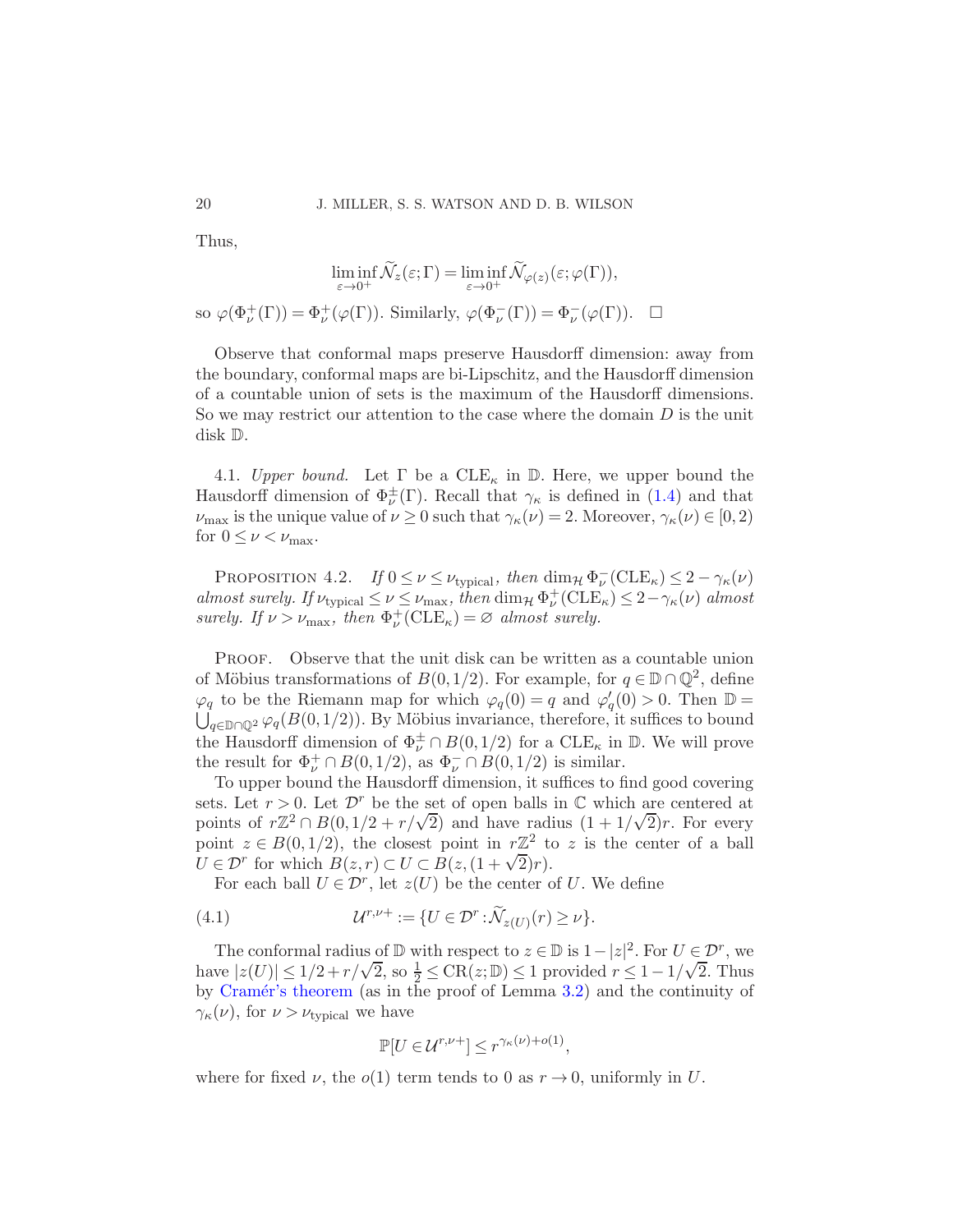Thus,

$$
\liminf_{\varepsilon \to 0^+} \widetilde{\mathcal{N}}_z(\varepsilon; \Gamma) = \liminf_{\varepsilon \to 0^+} \widetilde{\mathcal{N}}_{\varphi(z)}(\varepsilon; \varphi(\Gamma)),
$$

so  $\varphi(\Phi^+_{\nu}(\Gamma)) = \Phi^+_{\nu}(\varphi(\Gamma)).$  Similarly,  $\varphi(\Phi^-_{\nu}(\Gamma)) = \Phi^-_{\nu}(\varphi(\Gamma)).$   $\Box$ 

Observe that conformal maps preserve Hausdorff dimension: away from the boundary, conformal maps are bi-Lipschitz, and the Hausdorff dimension of a countable union of sets is the maximum of the Hausdorff dimensions. So we may restrict our attention to the case where the domain  $D$  is the unit disk D.

<span id="page-19-0"></span>4.1. Upper bound. Let  $\Gamma$  be a  $\text{CLE}_{\kappa}$  in  $\mathbb D$ . Here, we upper bound the Hausdorff dimension of  $\Phi_{\nu}^{\pm}(\Gamma)$ . Recall that  $\gamma_{\kappa}$  is defined in [\(1.4\)](#page-3-1) and that  $\nu_{\text{max}}$  is the unique value of  $\nu \geq 0$  such that  $\gamma_{\kappa}(\nu) = 2$ . Moreover,  $\gamma_{\kappa}(\nu) \in [0, 2)$ for  $0 \leq \nu < \nu_{\text{max}}$ .

<span id="page-19-1"></span>PROPOSITION 4.2. If  $0 \le \nu \le \nu_{\text{typical}}$ , then  $\dim_{\mathcal{H}} \Phi_{\nu}^-(\text{CLE}_\kappa) \le 2 - \gamma_{\kappa}(\nu)$ almost surely. If  $\nu_{\text{typical}} \leq \nu \leq \nu_{\text{max}}$ , then  $\dim_{\mathcal{H}} \Phi_{\nu}^+(\text{CLE}_\kappa) \leq 2 - \gamma_{\kappa}(\nu)$  almost surely. If  $\nu > \nu_{\text{max}}$ , then  $\Phi_{\nu}^{+}(\text{CLE}_{\kappa}) = \varnothing$  almost surely.

PROOF. Observe that the unit disk can be written as a countable union of Möbius transformations of  $B(0, 1/2)$ . For example, for  $q \in \mathbb{D} \cap \mathbb{Q}^2$ , define  $\varphi_q$  to be the Riemann map for which  $\varphi_q(0) = q$  and  $\varphi'_q(0) > 0$ . Then  $\mathbb{D} = \bigcup_{\zeta \in \mathbb{D} \cap \mathbb{D}^2} \varphi_q(B(0,1/2))$ . By Möbius invariance, therefore, it suffices to bound  $\bigcup_{q\in\mathbb{D}\cap\mathbb{Q}^2}\varphi_q(B(0,1/2)).$  By Möbius invariance, therefore, it suffices to bound the Hausdorff dimension of  $\Phi_{\nu}^{\pm} \cap B(0,1/2)$  for a  $CLE_{\kappa}$  in  $\mathbb{D}$ . We will prove the result for  $\Phi^+_\nu \cap B(0,1/2)$ , as  $\Phi^-_\nu \cap B(0,1/2)$  is similar.

To upper bound the Hausdorff dimension, it suffices to find good covering sets. Let  $r > 0$ . Let  $\mathcal{D}^r$  be the set of open balls in  $\mathbb C$  which are centered at points of  $r\mathbb{Z}^2 \cap B(0, 1/2 + r/\sqrt{2})$  and have radius  $(1 + 1/\sqrt{2})r$ . For every point  $z \in B(0,1/2)$ , the closest point in  $r\mathbb{Z}^2$  to z is the center of a ball  $U \in \mathcal{D}^r$  for which  $B(z,r) \subset U \subset B(z,(1+\sqrt{2})r)$ .

For each ball  $U \in \mathcal{D}^r$ , let  $z(U)$  be the center of U. We define

(4.1) 
$$
\mathcal{U}^{r,\nu+} := \{ U \in \mathcal{D}^r : \widetilde{\mathcal{N}}_{z(U)}(r) \geq \nu \}.
$$

The conformal radius of  $\mathbb D$  with respect to  $z \in \mathbb D$  is  $1-|z|^2$ . For  $U \in \mathcal D^r$ , we have  $|z(U)| \leq 1/2 + r/\sqrt{2}$ , so  $\frac{1}{2} \leq \text{CR}(z;\mathbb{D}) \leq 1$  provided  $r \leq 1 - 1/\sqrt{2}$ . Thus by Cramér's theorem (as in the proof of Lemma [3.2\)](#page-14-2) and the continuity of  $\gamma_{\kappa}(\nu)$ , for  $\nu > \nu_{\text{typical}}$  we have

<span id="page-19-2"></span>
$$
\mathbb{P}[U \in \mathcal{U}^{r,\nu+}] \le r^{\gamma_{\kappa}(\nu) + o(1)},
$$

where for fixed  $\nu$ , the  $o(1)$  term tends to 0 as  $r \to 0$ , uniformly in U.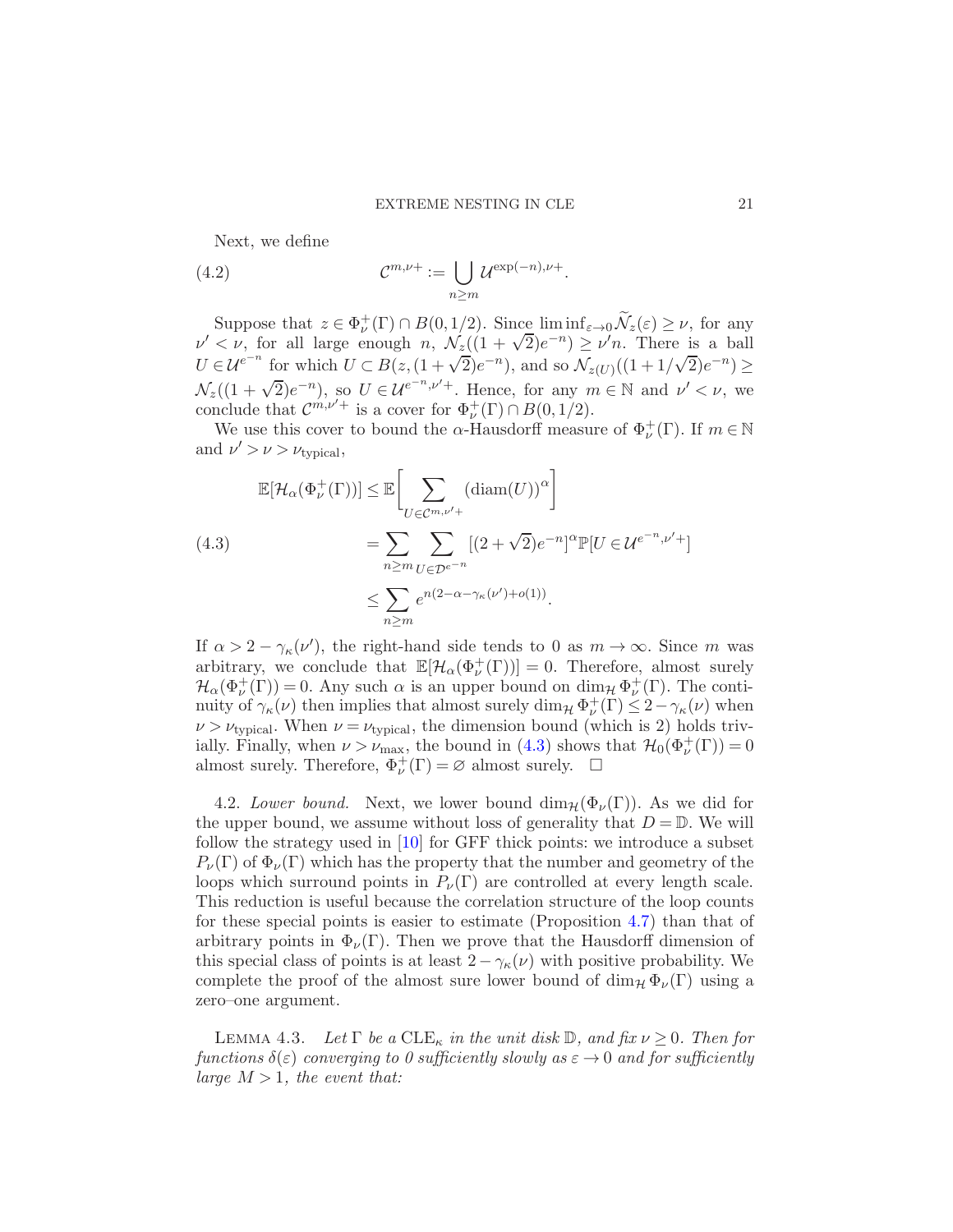<span id="page-20-3"></span>Next, we define

(4.2) 
$$
\mathcal{C}^{m,\nu+} := \bigcup_{n \geq m} \mathcal{U}^{\exp(-n),\nu+}.
$$

Suppose that  $z \in \Phi^+_\nu(\Gamma) \cap B(0,1/2)$ . Since  $\liminf_{\varepsilon \to 0} \widetilde{\mathcal{N}}_z(\varepsilon) \geq \nu$ , for any  $\nu' < \nu$ , for all large enough  $n$ ,  $\mathcal{N}_2((1 + \sqrt{2})e^{-n}) \geq \nu'n$ . There is a ball  $U \in \mathcal{U}^{e^{-n}}$  for which  $U \subset B(z, (1+\sqrt{2})e^{-n})$ , and so  $\mathcal{N}_{z(U)}((1+1/\sqrt{2})e^{-n}) \geq$  $\mathcal{N}_z((1+\sqrt{2})e^{-n})$ , so  $U \in \mathcal{U}^{e^{-n},\nu'+}$ . Hence, for any  $m \in \mathbb{N}$  and  $\nu' < \nu$ , we conclude that  $\mathcal{C}^{m,\nu'+}$  is a cover for  $\Phi^+_{\nu}(\Gamma) \cap B(0,1/2)$ .

We use this cover to bound the  $\alpha$ -Hausdorff measure of  $\Phi^+_{\nu}(\Gamma)$ . If  $m \in \mathbb{N}$ and  $\nu' > \nu > \nu_{\text{typical}}$ ,

<span id="page-20-1"></span>
$$
\mathbb{E}[\mathcal{H}_{\alpha}(\Phi_{\nu}^{+}(\Gamma))] \leq \mathbb{E}\Biggl[\sum_{U \in \mathcal{C}^{m,\nu'+}} (\text{diam}(U))^{\alpha}\Biggr]
$$
\n
$$
= \sum_{n \geq m} \sum_{U \in \mathcal{D}^{e^{-n}}} [(2 + \sqrt{2})e^{-n}]^{\alpha} \mathbb{P}[U \in \mathcal{U}^{e^{-n},\nu'+}]
$$
\n
$$
\leq \sum_{n \geq m} e^{n(2 - \alpha - \gamma_{\kappa}(\nu') + o(1))}.
$$

If  $\alpha > 2 - \gamma_{\kappa}(\nu')$ , the right-hand side tends to 0 as  $m \to \infty$ . Since m was arbitrary, we conclude that  $\mathbb{E}[\mathcal{H}_{\alpha}(\Phi_{\nu}^{+}(\Gamma))] = 0$ . Therefore, almost surely  $\mathcal{H}_{\alpha}(\Phi_{\nu}^{+}(\Gamma)) = 0$ . Any such  $\alpha$  is an upper bound on  $\dim_{\mathcal{H}} \Phi_{\nu}^{+}(\Gamma)$ . The continuity of  $\gamma_{\kappa}(\nu)$  then implies that almost surely  $\dim_{\mathcal{H}} \Phi_{\nu}^{+}(\Gamma) \leq 2 - \gamma_{\kappa}(\nu)$  when  $\nu > \nu_{\text{typical}}$ . When  $\nu = \nu_{\text{typical}}$ , the dimension bound (which is 2) holds trivially. Finally, when  $\nu > \nu_{\max}$ , the bound in [\(4.3\)](#page-20-1) shows that  $\mathcal{H}_0(\Phi^+_\nu(\Gamma)) = 0$ almost surely. Therefore,  $\Phi_{\nu}^{+}(\Gamma) = \emptyset$  almost surely.  $\Box$ 

<span id="page-20-0"></span>4.2. Lower bound. Next, we lower bound  $\dim_{\mathcal{H}}(\Phi_{\nu}(\Gamma))$ . As we did for the upper bound, we assume without loss of generality that  $D = \mathbb{D}$ . We will follow the strategy used in  $[10]$  for GFF thick points: we introduce a subset  $P_{\nu}(\Gamma)$  of  $\Phi_{\nu}(\Gamma)$  which has the property that the number and geometry of the loops which surround points in  $P_{\nu}(\Gamma)$  are controlled at every length scale. This reduction is useful because the correlation structure of the loop counts for these special points is easier to estimate (Proposition [4.7\)](#page-24-0) than that of arbitrary points in  $\Phi_{\nu}(\Gamma)$ . Then we prove that the Hausdorff dimension of this special class of points is at least  $2 - \gamma_{\kappa}(\nu)$  with positive probability. We complete the proof of the almost sure lower bound of  $\dim_{\mathcal{H}} \Phi_{\nu}(\Gamma)$  using a zero–one argument.

<span id="page-20-2"></span>LEMMA 4.3. Let  $\Gamma$  be a  $CLE_{\kappa}$  in the unit disk  $\mathbb{D}$ , and fix  $\nu \geq 0$ . Then for functions  $\delta(\varepsilon)$  converging to 0 sufficiently slowly as  $\varepsilon \to 0$  and for sufficiently large  $M > 1$ , the event that: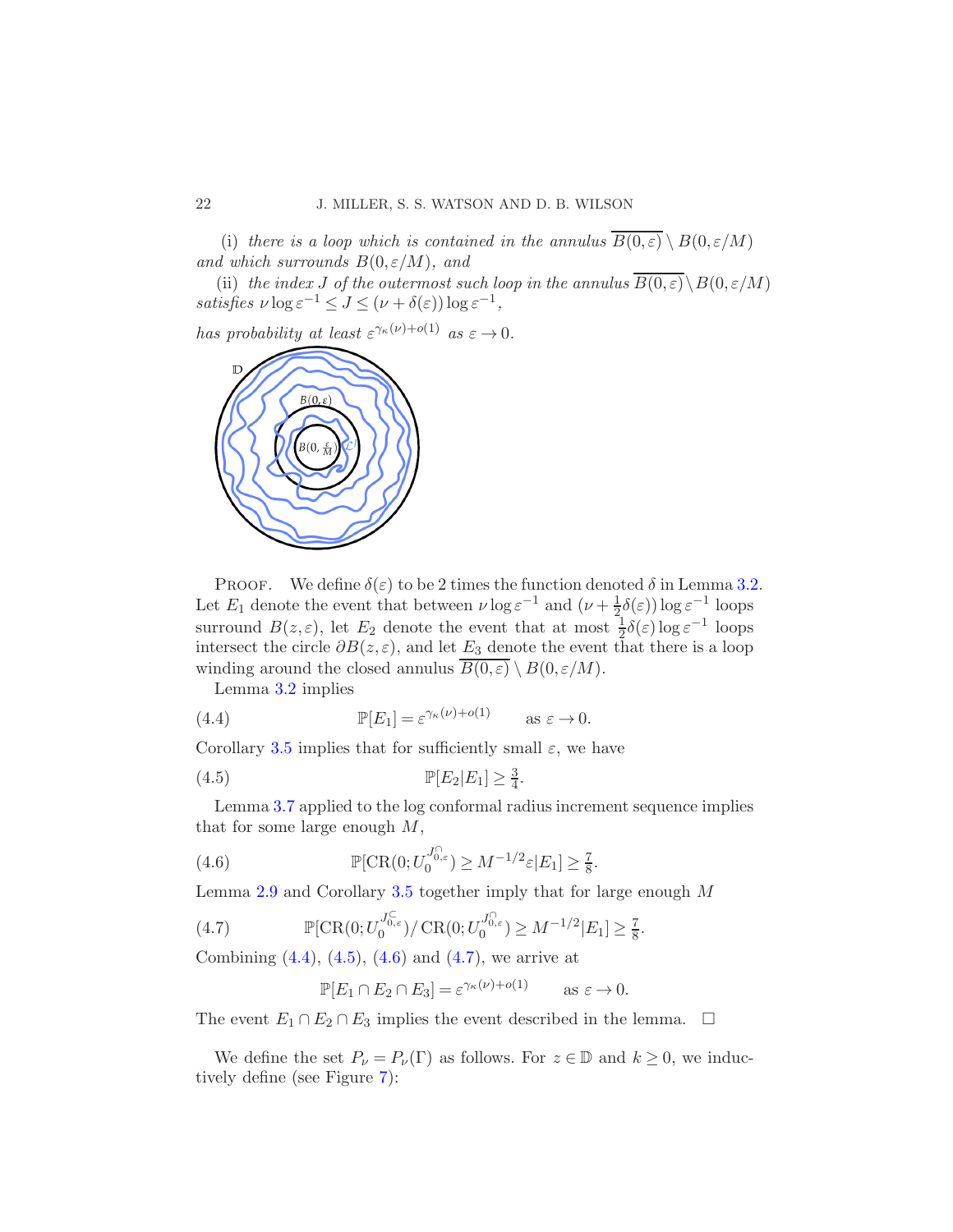(i) there is a loop which is contained in the annulus  $\overline{B(0,\varepsilon)} \setminus B(0,\varepsilon/M)$ and which surrounds  $B(0, \varepsilon/M)$ , and

(ii) the index J of the outermost such loop in the annulus  $\overline{B(0,\varepsilon)}\setminus B(0,\varepsilon/M)$ satisfies  $\nu \log \varepsilon^{-1} \le J \le (\nu + \delta(\varepsilon)) \log \varepsilon^{-1},$ 

has probability at least  $\varepsilon^{\gamma_{\kappa}(\nu)+o(1)}$  as  $\varepsilon \to 0$ .



PROOF. We define  $\delta(\varepsilon)$  to be 2 times the function denoted  $\delta$  in Lemma [3.2.](#page-14-2) Let  $E_1$  denote the event that between  $\nu \log \varepsilon^{-1}$  and  $(\nu + \frac{1}{2})$  $\frac{1}{2}\delta(\varepsilon)$ ) log  $\varepsilon^{-1}$  loops surround  $B(z, \varepsilon)$ , let  $E_2$  denote the event that at most  $\frac{1}{2}\delta(\varepsilon) \log \varepsilon^{-1}$  loops intersect the circle  $\partial B(z,\varepsilon)$ , and let  $E_3$  denote the event that there is a loop winding around the closed annulus  $\overline{B(0,\varepsilon)} \setminus B(0,\varepsilon/M)$ .

<span id="page-21-0"></span>Lemma [3.2](#page-14-2) implies

(4.4) 
$$
\mathbb{P}[E_1] = \varepsilon^{\gamma_{\kappa}(\nu) + o(1)} \quad \text{as } \varepsilon \to 0.
$$

Corollary [3.5](#page-17-1) implies that for sufficiently small  $\varepsilon$ , we have

<span id="page-21-1"></span><sup>P</sup>[E2|E1] <sup>≥</sup> <sup>3</sup> 4 (4.5) .

Lemma [3.7](#page-17-2) applied to the log conformal radius increment sequence implies that for some large enough  $M$ ,

(4.6) 
$$
\mathbb{P}[\text{CR}(0;U_0^{J_{0,\varepsilon}^{\cap}}) \geq M^{-1/2}\varepsilon|E_1] \geq \frac{7}{8}.
$$

Lemma [2.9](#page-13-1) and Corollary [3.5](#page-17-1) together imply that for large enough M

(4.7) 
$$
\mathbb{P}[\text{CR}(0;U_0^{J_{0,\varepsilon}^{\mathbb{C}}})/\text{CR}(0;U_0^{J_{0,\varepsilon}^{\mathbb{C}}}) \geq M^{-1/2}|E_1] \geq \frac{7}{8}.
$$

Combining  $(4.4)$ ,  $(4.5)$ ,  $(4.6)$  and  $(4.7)$ , we arrive at

<span id="page-21-3"></span><span id="page-21-2"></span>
$$
\mathbb{P}[E_1 \cap E_2 \cap E_3] = \varepsilon^{\gamma_\kappa(\nu) + o(1)} \quad \text{as } \varepsilon \to 0.
$$

The event  $E_1 \cap E_2 \cap E_3$  implies the event described in the lemma.  $\Box$ 

We define the set  $P_{\nu} = P_{\nu}(\Gamma)$  as follows. For  $z \in \mathbb{D}$  and  $k \geq 0$ , we inductively define (see Figure [7\)](#page-22-0):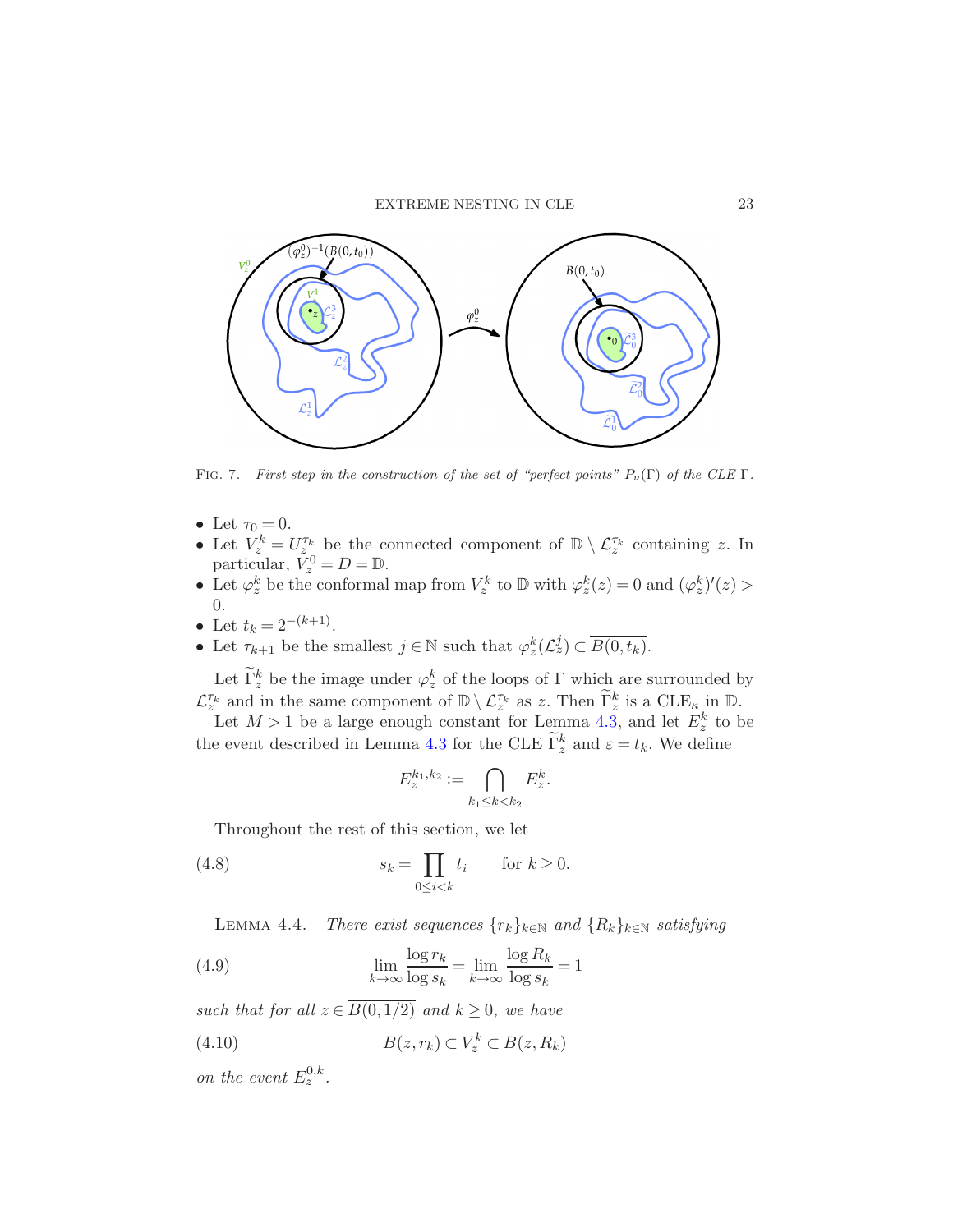

<span id="page-22-0"></span>FIG. 7. First step in the construction of the set of "perfect points"  $P_{\nu}(\Gamma)$  of the CLE  $\Gamma$ .

- Let  $\tau_0 = 0$ .
- Let  $V_z^k = U_{z_0}^{\tau_k}$  be the connected component of  $\mathbb{D} \setminus \mathcal{L}_z^{\tau_k}$  containing z. In particular,  $V_z^0 = D = \mathbb{D}$ .
- Let  $\varphi_z^k$  be the conformal map from  $V_z^k$  to  $\mathbb D$  with  $\varphi_z^k(z) = 0$  and  $(\varphi_z^k)'(z) >$ 0.
- Let  $t_k = 2^{-(k+1)}$ .
- Let  $\tau_{k+1}$  be the smallest  $j \in \mathbb{N}$  such that  $\varphi_z^k(\mathcal{L}_z^j) \subset \overline{B(0,t_k)}$ .

Let  $\tilde{\Gamma}_z^k$  be the image under  $\varphi_z^k$  of the loops of  $\Gamma$  which are surrounded by  $\mathcal{L}_{z}^{\tau_k}$  and in the same component of  $\mathbb{D}\setminus\mathcal{L}_{z}^{\tau_k}$  as z. Then  $\tilde{\Gamma}_{z}^k$  is a  $\text{CLE}_{\kappa}$  in  $\mathbb{D}$ .

Let  $M > 1$  be a large enough constant for Lemma [4.3,](#page-20-2) and let  $E_z^k$  to be the event described in Lemma [4.3](#page-20-2) for the CLE  $\tilde{\Gamma}_z^k$  and  $\varepsilon = t_k$ . We define

<span id="page-22-4"></span>
$$
E_z^{k_1,k_2} := \bigcap_{k_1 \le k < k_2} E_z^k.
$$

Throughout the rest of this section, we let

(4.8) 
$$
s_k = \prod_{0 \le i < k} t_i \quad \text{for } k \ge 0.
$$

<span id="page-22-3"></span><span id="page-22-2"></span>LEMMA 4.4. There exist sequences  $\{r_k\}_{k\in\mathbb{N}}$  and  $\{R_k\}_{k\in\mathbb{N}}$  satisfying

(4.9) 
$$
\lim_{k \to \infty} \frac{\log r_k}{\log s_k} = \lim_{k \to \infty} \frac{\log R_k}{\log s_k} = 1
$$

such that for all  $z \in \overline{B(0,1/2)}$  and  $k \geq 0$ , we have

<span id="page-22-1"></span>(4.10) 
$$
B(z,r_k) \subset V_z^k \subset B(z,R_k)
$$

on the event  $E_z^{0,k}$ .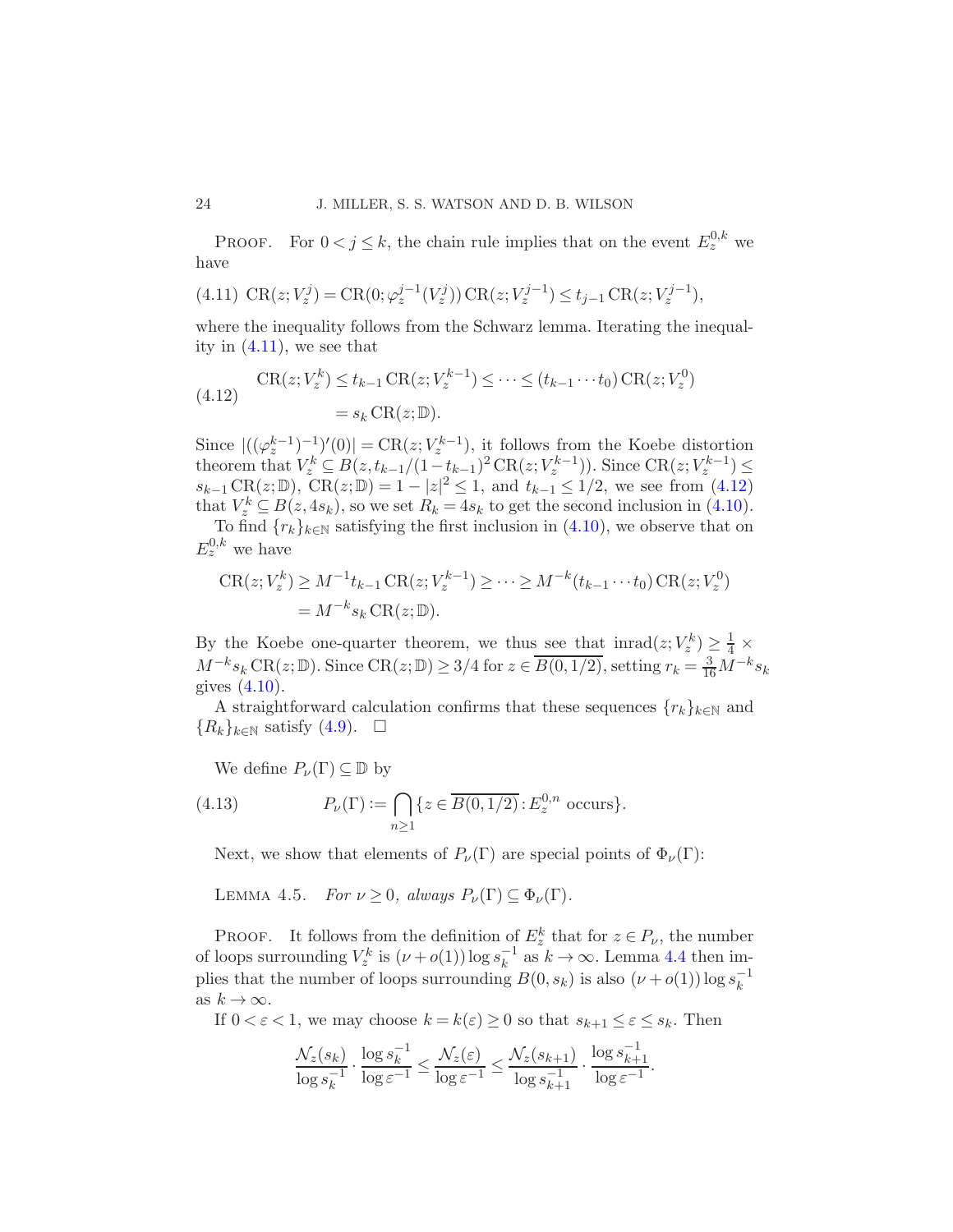PROOF. For  $0 < j \leq k$ , the chain rule implies that on the event  $E_z^{0,k}$  we have

<span id="page-23-0"></span>
$$
(4.11)\ \operatorname{CR}(z; V_z^j) = \operatorname{CR}(0; \varphi_z^{j-1}(V_z^j)) \operatorname{CR}(z; V_z^{j-1}) \le t_{j-1} \operatorname{CR}(z; V_z^{j-1}),
$$

where the inequality follows from the Schwarz lemma. Iterating the inequality in  $(4.11)$ , we see that

<span id="page-23-1"></span>
$$
\text{CR}(z; V_z^k) \le t_{k-1} \text{CR}(z; V_z^{k-1}) \le \dots \le (t_{k-1} \cdots t_0) \text{CR}(z; V_z^0)
$$

$$
= s_k \text{CR}(z; \mathbb{D}).
$$

Since  $|((\varphi_z^{k-1})^{-1})'(0)| = \text{CR}(z; V_z^{k-1}),$  it follows from the Koebe distortion theorem that  $V_z^k \subseteq B(z, t_{k-1}/(1-t_{k-1})^2 \text{CR}(z; V_z^{k-1}))$ . Since  $\text{CR}(z; V_z^{k-1}) \le$  $s_{k-1} \text{CR}(z;\mathbb{D})$ ,  $\text{CR}(z;\mathbb{D}) = 1 - |z|^2 \leq 1$ , and  $t_{k-1} \leq 1/2$ , we see from [\(4.12\)](#page-23-1) that  $V_z^k \subseteq B(z, 4s_k)$ , so we set  $R_k = 4s_k$  to get the second inclusion in [\(4.10\)](#page-22-1).

To find  $\{r_k\}_{k\in\mathbb{N}}$  satisfying the first inclusion in [\(4.10\)](#page-22-1), we observe that on  $E_z^{0,k}$  we have

$$
CR(z; V_z^k) \ge M^{-1} t_{k-1} CR(z; V_z^{k-1}) \ge \dots \ge M^{-k} (t_{k-1} \cdots t_0) CR(z; V_z^0)
$$
  
=  $M^{-k} s_k CR(z; \mathbb{D}).$ 

By the Koebe one-quarter theorem, we thus see that  $\text{inrad}(z;V_z^k) \geq \frac{1}{4} \times$  $M^{-k}s_k \text{CR}(z;\mathbb{D})$ . Since  $\text{CR}(z;\mathbb{D}) \geq 3/4$  for  $z \in \overline{B(0,1/2)}$ , setting  $r_k = \frac{3}{16}M^{-k}s_k$ gives [\(4.10\)](#page-22-1).

A straightforward calculation confirms that these sequences  ${r_k}_{k\in\mathbb{N}}$  and  ${R_k}_{k\in\mathbb{N}}$  satisfy  $(4.9)$ .  $\Box$ 

<span id="page-23-2"></span>We define  $P_{\nu}(\Gamma) \subseteq \mathbb{D}$  by

(4.13) 
$$
P_{\nu}(\Gamma) := \bigcap_{n \ge 1} \{ z \in \overline{B(0, 1/2)} : E_z^{0,n} \text{ occurs} \}.
$$

<span id="page-23-3"></span>Next, we show that elements of  $P_{\nu}(\Gamma)$  are special points of  $\Phi_{\nu}(\Gamma)$ :

LEMMA 4.5. For  $\nu \geq 0$ , always  $P_{\nu}(\Gamma) \subseteq \Phi_{\nu}(\Gamma)$ .

**PROOF.** It follows from the definition of  $E_z^k$  that for  $z \in P_\nu$ , the number of loops surrounding  $V_z^k$  is  $(\nu + o(1)) \log s_k^{-1}$  $k_k^{-1}$  as  $k \to \infty$ . Lemma [4.4](#page-22-3) then implies that the number of loops surrounding  $B(0, s_k)$  is also  $(\nu + o(1)) \log s_k^{-1}$ k as  $k \to \infty$ .

If  $0 < \varepsilon < 1$ , we may choose  $k = k(\varepsilon) \ge 0$  so that  $s_{k+1} \le \varepsilon \le s_k$ . Then

$$
\frac{\mathcal{N}_z(s_k)}{\log s_k^{-1}} \cdot \frac{\log s_k^{-1}}{\log \varepsilon^{-1}} \le \frac{\mathcal{N}_z(\varepsilon)}{\log \varepsilon^{-1}} \le \frac{\mathcal{N}_z(s_{k+1})}{\log s_{k+1}^{-1}} \cdot \frac{\log s_{k+1}^{-1}}{\log \varepsilon^{-1}}.
$$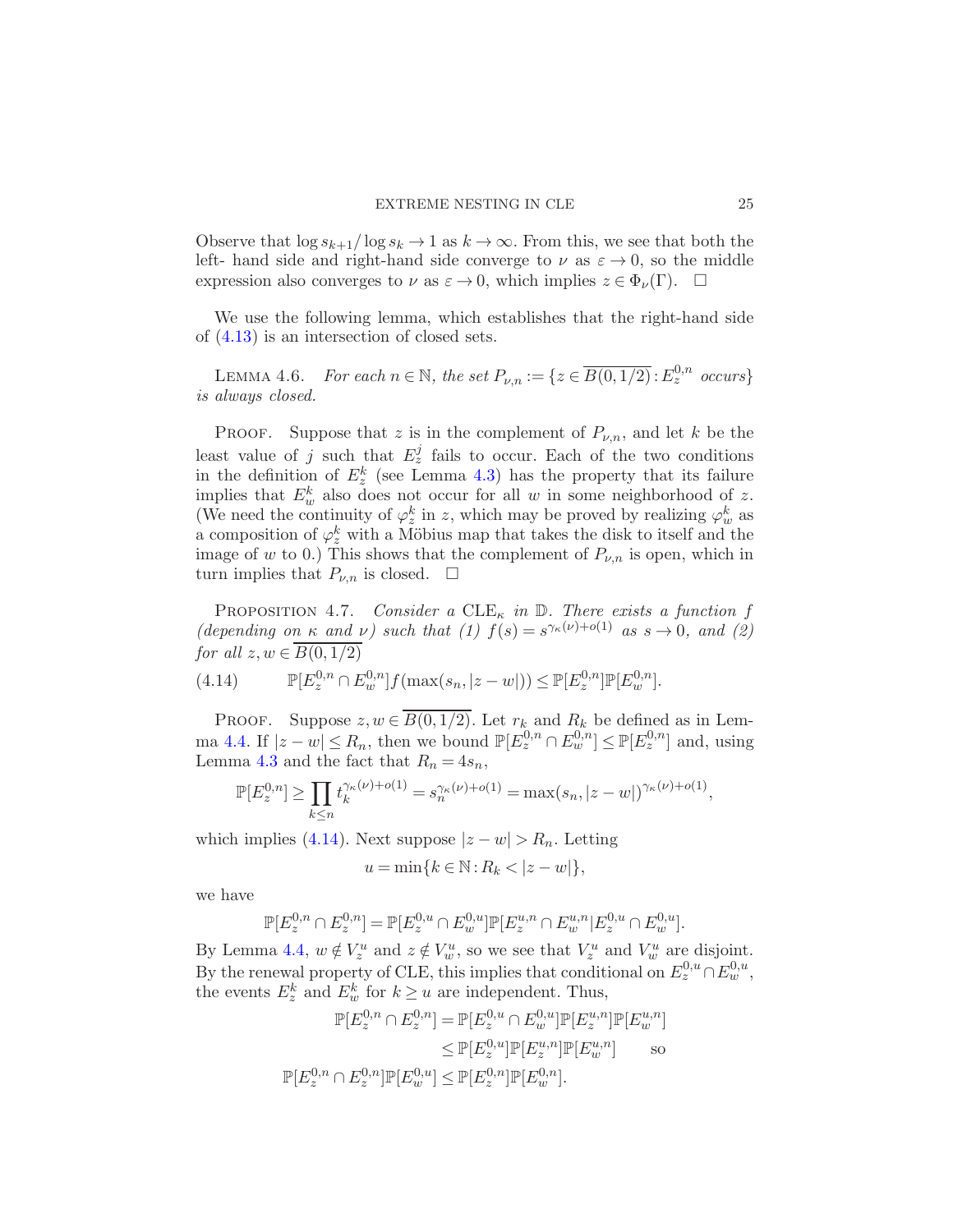Observe that  $\log s_{k+1}/\log s_k \to 1$  as  $k \to \infty$ . From this, we see that both the left- hand side and right-hand side converge to  $\nu$  as  $\varepsilon \to 0$ , so the middle expression also converges to  $\nu$  as  $\varepsilon \to 0$ , which implies  $z \in \Phi_{\nu}(\Gamma)$ .  $\Box$ 

<span id="page-24-2"></span>We use the following lemma, which establishes that the right-hand side of [\(4.13\)](#page-23-2) is an intersection of closed sets.

LEMMA 4.6. For each  $n \in \mathbb{N}$ , the set  $P_{\nu,n} := \{ z \in \overline{B(0,1/2)} : E_z^{0,n}$  occurs} is always closed.

**PROOF.** Suppose that z is in the complement of  $P_{\nu,n}$ , and let k be the least value of j such that  $E_z^j$  fails to occur. Each of the two conditions in the definition of  $E_z^k$  (see Lemma [4.3\)](#page-20-2) has the property that its failure implies that  $E_w^k$  also does not occur for all w in some neighborhood of z. (We need the continuity of  $\varphi_z^k$  in z, which may be proved by realizing  $\varphi_w^k$  as a composition of  $\varphi_z^k$  with a Möbius map that takes the disk to itself and the image of w to 0.) This shows that the complement of  $P_{\nu,n}$  is open, which in turn implies that  $P_{\nu,n}$  is closed.  $\square$ 

<span id="page-24-0"></span>PROPOSITION 4.7. Consider a CLE<sub> $\kappa$ </sub> in  $\mathbb{D}$ . There exists a function f (depending on  $\kappa$  and  $\nu$ ) such that (1)  $f(s) = s^{\gamma_{\kappa}(\nu) + o(1)}$  as  $s \to 0$ , and (2) for all  $z, w \in \overline{B(0, 1/2)}$ 

<span id="page-24-1"></span>(4.14) 
$$
\mathbb{P}[E_{z}^{0,n} \cap E_{w}^{0,n}]f(\max(s_n,|z-w|)) \leq \mathbb{P}[E_{z}^{0,n}] \mathbb{P}[E_{w}^{0,n}].
$$

PROOF. Suppose  $z, w \in \overline{B(0, 1/2)}$ . Let  $r_k$  and  $R_k$  be defined as in Lem-ma [4.4.](#page-22-3) If  $|z-w| \le R_n$ , then we bound  $\mathbb{P}[E^{0,n}_z \cap E^{0,n}_w] \le \mathbb{P}[E^{0,n}_z]$  and, using Lemma [4.3](#page-20-2) and the fact that  $R_n = 4s_n$ ,

$$
\mathbb{P}[E_z^{0,n}] \geq \prod_{k \leq n} t_k^{\gamma_{\kappa}(\nu) + o(1)} = s_n^{\gamma_{\kappa}(\nu) + o(1)} = \max(s_n, |z-w|)^{\gamma_{\kappa}(\nu) + o(1)},
$$

which implies [\(4.14\)](#page-24-1). Next suppose  $|z-w| > R_n$ . Letting

$$
u = \min\{k \in \mathbb{N} : R_k < |z - w|\},\
$$

we have

$$
\mathbb{P}[E_z^{0,n} \cap E_z^{0,n}] = \mathbb{P}[E_z^{0,u} \cap E_w^{0,u}] \mathbb{P}[E_z^{u,n} \cap E_w^{u,n}] E_z^{0,u} \cap E_w^{0,u}].
$$

By Lemma [4.4,](#page-22-3)  $w \notin V_z^u$  and  $z \notin V_w^u$ , so we see that  $V_z^u$  and  $V_w^u$  are disjoint. By the renewal property of CLE, this implies that conditional on  $E_z^{0,u} \cap E_w^{0,u}$ , the events  $E_z^k$  and  $E_w^k$  for  $k \ge u$  are independent. Thus,

$$
\mathbb{P}[E_z^{0,n} \cap E_z^{0,n}] = \mathbb{P}[E_z^{0,u} \cap E_w^{0,u}] \mathbb{P}[E_z^{u,n}] \mathbb{P}[E_w^{u,n}]
$$
  
\n
$$
\leq \mathbb{P}[E_z^{0,u}] \mathbb{P}[E_z^{u,n}] \mathbb{P}[E_w^{u,n}]
$$
 so  
\n
$$
\mathbb{P}[E_z^{0,n} \cap E_z^{0,n}] \mathbb{P}[E_w^{0,u}] \leq \mathbb{P}[E_z^{0,n}] \mathbb{P}[E_w^{0,n}].
$$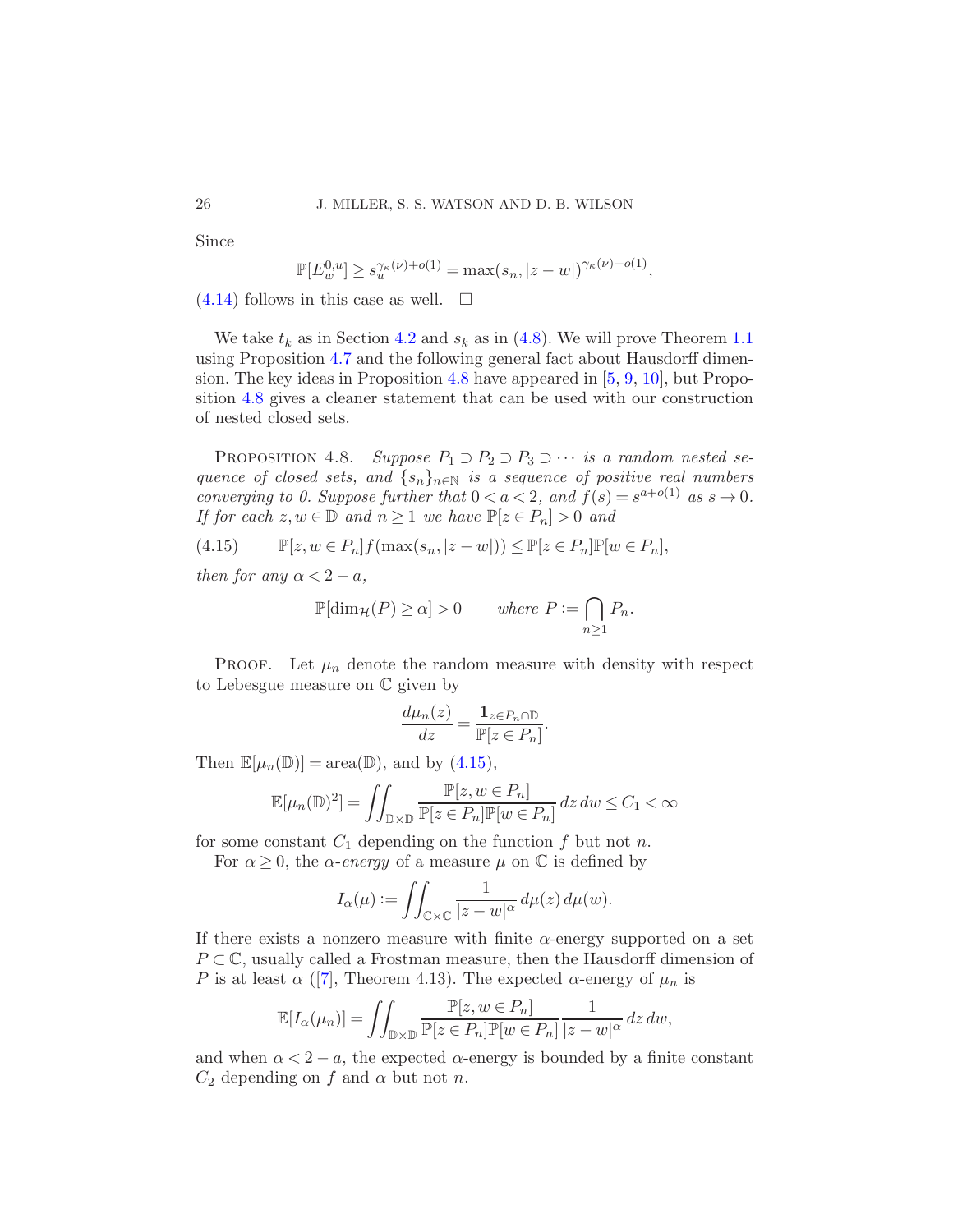Since

$$
\mathbb{P}[E_w^{0,u}] \ge s_u^{\gamma_{\kappa}(\nu) + o(1)} = \max(s_n, |z - w|)^{\gamma_{\kappa}(\nu) + o(1)},
$$

 $(4.14)$  follows in this case as well.  $\Box$ 

We take  $t_k$  as in Section [4.2](#page-20-0) and  $s_k$  as in [\(4.8\)](#page-22-4). We will prove Theorem [1.1](#page-3-0) using Proposition [4.7](#page-24-0) and the following general fact about Hausdorff dimension. The key ideas in Proposition [4.8](#page-25-0) have appeared in [\[5](#page-40-11), [9,](#page-40-16) [10\]](#page-40-3), but Proposition [4.8](#page-25-0) gives a cleaner statement that can be used with our construction of nested closed sets.

<span id="page-25-0"></span>PROPOSITION 4.8. Suppose  $P_1 \supset P_2 \supset P_3 \supset \cdots$  is a random nested sequence of closed sets, and  $\{s_n\}_{n\in\mathbb{N}}$  is a sequence of positive real numbers converging to 0. Suppose further that  $0 < a < 2$ , and  $f(s) = s^{a+o(1)}$  as  $s \to 0$ . If for each  $z, w \in \mathbb{D}$  and  $n \geq 1$  we have  $\mathbb{P}[z \in P_n] > 0$  and

$$
(4.15) \qquad \mathbb{P}[z, w \in P_n] f(\max(s_n, |z - w|)) \le \mathbb{P}[z \in P_n] \mathbb{P}[w \in P_n],
$$

then for any  $\alpha < 2 - a$ ,

<span id="page-25-1"></span>
$$
\mathbb{P}[\dim_{\mathcal{H}}(P) \ge \alpha] > 0 \quad \text{where } P := \bigcap_{n \ge 1} P_n.
$$

PROOF. Let  $\mu_n$  denote the random measure with density with respect to Lebesgue measure on C given by

$$
\frac{d\mu_n(z)}{dz} = \frac{\mathbf{1}_{z \in P_n \cap \mathbb{D}}}{\mathbb{P}[z \in P_n]}.
$$

Then  $\mathbb{E}[\mu_n(\mathbb{D})] = \text{area}(\mathbb{D})$ , and by  $(4.15)$ ,

$$
\mathbb{E}[\mu_n(\mathbb{D})^2] = \iint_{\mathbb{D} \times \mathbb{D}} \frac{\mathbb{P}[z, w \in P_n]}{\mathbb{P}[z \in P_n] \mathbb{P}[w \in P_n]} dz dw \le C_1 < \infty
$$

for some constant  $C_1$  depending on the function f but not n.

For  $\alpha \geq 0$ , the  $\alpha$ -energy of a measure  $\mu$  on  $\mathbb C$  is defined by

$$
I_{\alpha}(\mu) := \iint_{\mathbb{C} \times \mathbb{C}} \frac{1}{|z - w|^{\alpha}} d\mu(z) d\mu(w).
$$

If there exists a nonzero measure with finite  $\alpha$ -energy supported on a set  $P \subset \mathbb{C}$ , usually called a Frostman measure, then the Hausdorff dimension of P is at least  $\alpha$  ([\[7](#page-40-17)], Theorem 4.13). The expected  $\alpha$ -energy of  $\mu_n$  is

$$
\mathbb{E}[I_{\alpha}(\mu_n)] = \iint_{\mathbb{D}\times\mathbb{D}} \frac{\mathbb{P}[z, w \in P_n]}{\mathbb{P}[z \in P_n] \mathbb{P}[w \in P_n]} \frac{1}{|z - w|^{\alpha}} dz dw,
$$

and when  $\alpha < 2 - a$ , the expected  $\alpha$ -energy is bounded by a finite constant  $C_2$  depending on f and  $\alpha$  but not n.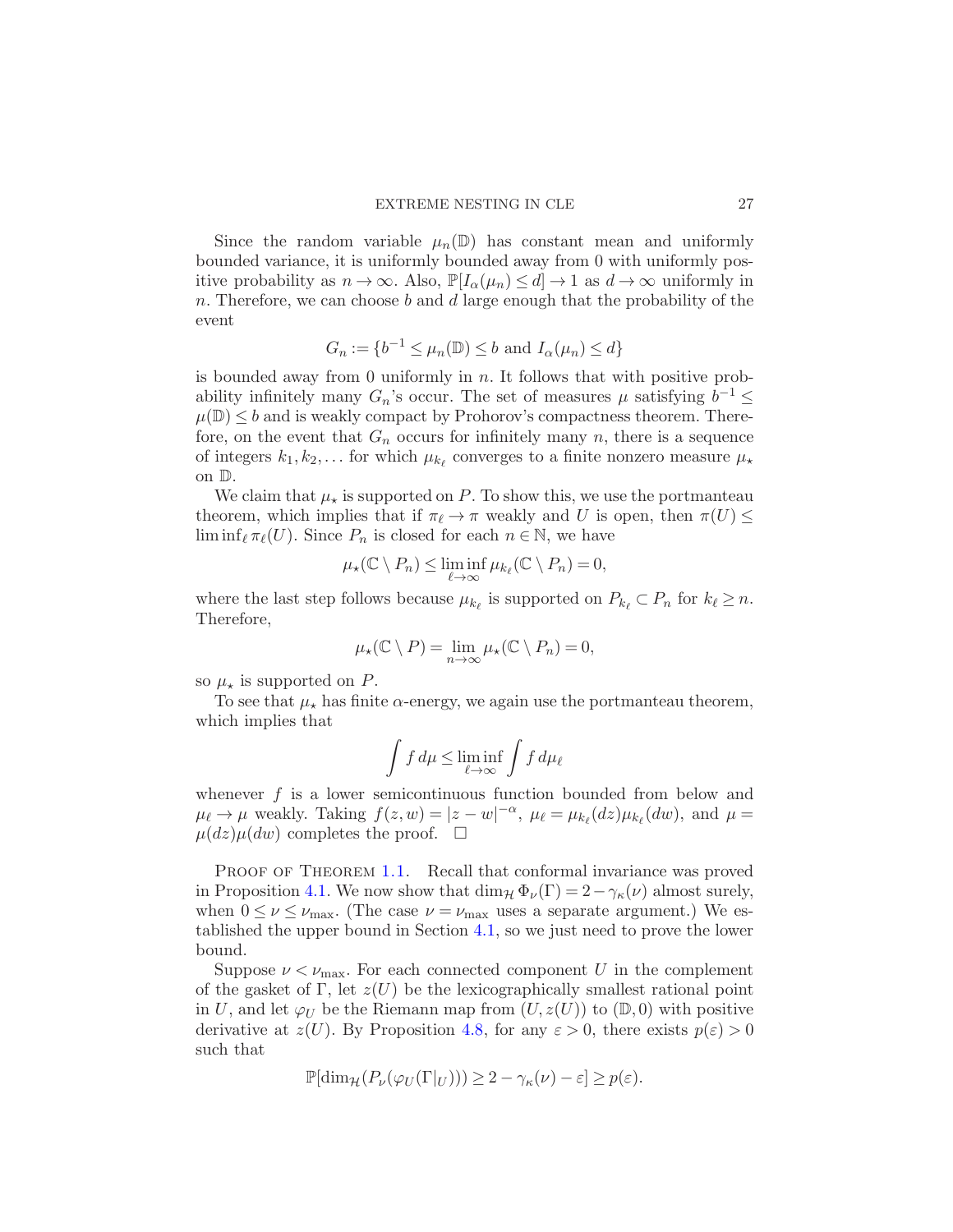Since the random variable  $\mu_n(\mathbb{D})$  has constant mean and uniformly bounded variance, it is uniformly bounded away from 0 with uniformly positive probability as  $n \to \infty$ . Also,  $\mathbb{P}[I_{\alpha}(\mu_n) \leq d] \to 1$  as  $d \to \infty$  uniformly in n. Therefore, we can choose  $b$  and  $d$  large enough that the probability of the event

$$
G_n := \{ b^{-1} \le \mu_n(\mathbb{D}) \le b \text{ and } I_\alpha(\mu_n) \le d \}
$$

is bounded away from 0 uniformly in  $n$ . It follows that with positive probability infinitely many  $G_n$ 's occur. The set of measures  $\mu$  satisfying  $b^{-1} \leq$  $\mu(\mathbb{D}) \leq b$  and is weakly compact by Prohorov's compactness theorem. Therefore, on the event that  $G_n$  occurs for infinitely many n, there is a sequence of integers  $k_1, k_2, \ldots$  for which  $\mu_{k_\ell}$  converges to a finite nonzero measure  $\mu_\star$ on D.

We claim that  $\mu_{\star}$  is supported on P. To show this, we use the portmanteau theorem, which implies that if  $\pi_{\ell} \to \pi$  weakly and U is open, then  $\pi(U) \leq$  $\liminf_{\ell} \pi_{\ell}(U)$ . Since  $P_n$  is closed for each  $n \in \mathbb{N}$ , we have

$$
\mu_{\star}(\mathbb{C}\setminus P_n)\leq \liminf_{\ell\to\infty}\mu_{k_{\ell}}(\mathbb{C}\setminus P_n)=0,
$$

where the last step follows because  $\mu_{k_\ell}$  is supported on  $P_{k_\ell} \subset P_n$  for  $k_\ell \geq n$ . Therefore,

$$
\mu_{\star}(\mathbb{C}\setminus P)=\lim_{n\to\infty}\mu_{\star}(\mathbb{C}\setminus P_n)=0,
$$

so  $\mu_{\star}$  is supported on P.

To see that  $\mu_{\star}$  has finite  $\alpha$ -energy, we again use the portmanteau theorem, which implies that

$$
\int f\,d\mu\leq \liminf_{\ell\to\infty}\int f\,d\mu_\ell
$$

whenever  $f$  is a lower semicontinuous function bounded from below and  $\mu_{\ell} \to \mu$  weakly. Taking  $f(z, w) = |z - w|^{-\alpha}, \ \mu_{\ell} = \mu_{k_{\ell}}(dz)\mu_{k_{\ell}}(dw)$ , and  $\mu =$  $\mu(dz)\mu(dw)$  completes the proof.  $\Box$ 

PROOF OF THEOREM [1.1.](#page-3-0) Recall that conformal invariance was proved in Proposition [4.1.](#page-18-0) We now show that  $\dim_{\mathcal{H}} \Phi_{\nu}(\Gamma) = 2 - \gamma_{\kappa}(\nu)$  almost surely, when  $0 \leq \nu \leq \nu_{\text{max}}$ . (The case  $\nu = \nu_{\text{max}}$  uses a separate argument.) We established the upper bound in Section [4.1,](#page-19-0) so we just need to prove the lower bound.

Suppose  $\nu < \nu_{\text{max}}$ . For each connected component U in the complement of the gasket of Γ, let  $z(U)$  be the lexicographically smallest rational point in U, and let  $\varphi_U$  be the Riemann map from  $(U, z(U))$  to  $(\mathbb{D}, 0)$  with positive derivative at  $z(U)$ . By Proposition [4.8,](#page-25-0) for any  $\varepsilon > 0$ , there exists  $p(\varepsilon) > 0$ such that

$$
\mathbb{P}[\dim_{\mathcal{H}}(P_{\nu}(\varphi_U(\Gamma|_U))) \geq 2 - \gamma_{\kappa}(\nu) - \varepsilon] \geq p(\varepsilon).
$$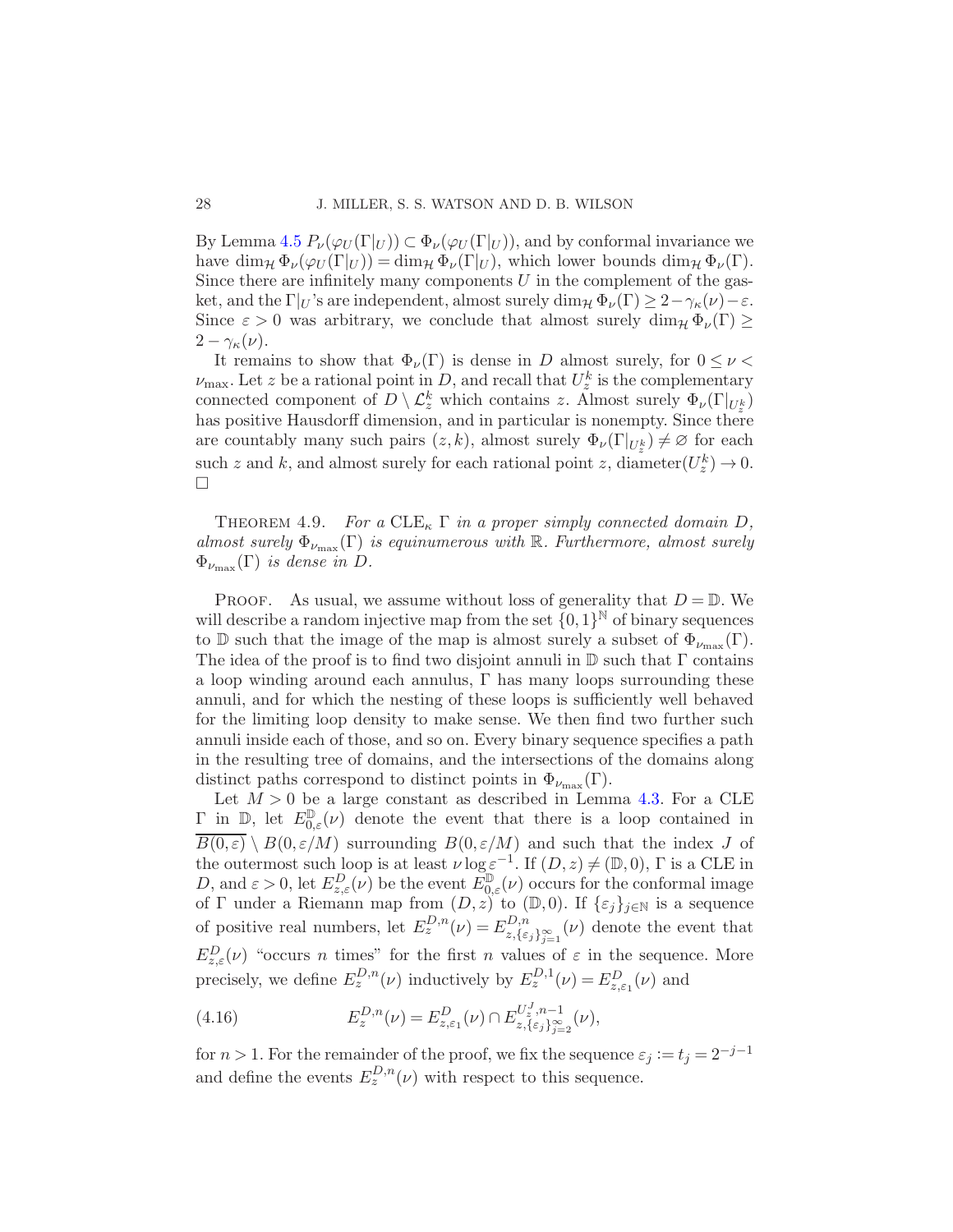By Lemma [4.5](#page-23-3)  $P_{\nu}(\varphi_{U}(\Gamma|_{U})) \subset \Phi_{\nu}(\varphi_{U}(\Gamma|_{U}))$ , and by conformal invariance we have  $\dim_{\mathcal{H}} \Phi_{\nu}(\varphi_U(\Gamma|_U)) = \dim_{\mathcal{H}} \Phi_{\nu}(\Gamma|_U)$ , which lower bounds  $\dim_{\mathcal{H}} \Phi_{\nu}(\Gamma)$ . Since there are infinitely many components  $U$  in the complement of the gasket, and the  $\Gamma|_U$ 's are independent, almost surely dim<sub>H</sub>  $\Phi_{\nu}(\Gamma) \geq 2 - \gamma_{\kappa}(\nu) - \varepsilon$ . Since  $\varepsilon > 0$  was arbitrary, we conclude that almost surely dim<sub>H</sub>  $\Phi_{\nu}(\Gamma)$  $2-\gamma_{\kappa}(\nu).$ 

It remains to show that  $\Phi_{\nu}(\Gamma)$  is dense in D almost surely, for  $0 \leq \nu <$  $\nu_{\text{max}}$ . Let z be a rational point in D, and recall that  $U_z^k$  is the complementary connected component of  $D \setminus \mathcal{L}_z^k$  which contains z. Almost surely  $\Phi_{\nu}(\Gamma|_{U_z^k})$ has positive Hausdorff dimension, and in particular is nonempty. Since there are countably many such pairs  $(z, k)$ , almost surely  $\Phi_{\nu}(\Gamma|_{U_z^k}) \neq \emptyset$  for each such z and k, and almost surely for each rational point z, diameter $(U_z^k) \to 0$ .  $\Box$ 

<span id="page-27-0"></span>THEOREM 4.9. For a  $CLE<sub>k</sub>$   $\Gamma$  in a proper simply connected domain D, almost surely  $\Phi_{\nu_{\text{max}}}(\Gamma)$  is equinumerous with R. Furthermore, almost surely  $\Phi_{\nu_{\max}}(\Gamma)$  is dense in D.

PROOF. As usual, we assume without loss of generality that  $D = \mathbb{D}$ . We will describe a random injective map from the set  $\{0,1\}^{\mathbb{N}}$  of binary sequences to D such that the image of the map is almost surely a subset of  $\Phi_{\nu_{\text{max}}}(\Gamma)$ . The idea of the proof is to find two disjoint annuli in  $\mathbb D$  such that  $\Gamma$  contains a loop winding around each annulus,  $\Gamma$  has many loops surrounding these annuli, and for which the nesting of these loops is sufficiently well behaved for the limiting loop density to make sense. We then find two further such annuli inside each of those, and so on. Every binary sequence specifies a path in the resulting tree of domains, and the intersections of the domains along distinct paths correspond to distinct points in  $\Phi_{\nu_{\text{max}}}(\Gamma)$ .

Let  $M > 0$  be a large constant as described in Lemma [4.3.](#page-20-2) For a CLE  $\Gamma$  in  $\mathbb{D}$ , let  $E_{0,\varepsilon}^{\mathbb{D}}(\nu)$  denote the event that there is a loop contained in  $\overline{B(0,\varepsilon)} \setminus B(0,\varepsilon/M)$  surrounding  $B(0,\varepsilon/M)$  and such that the index J of the outermost such loop is at least  $\nu \log \varepsilon^{-1}$ . If  $(D, z) \neq (\mathbb{D}, 0)$ ,  $\Gamma$  is a CLE in D, and  $\varepsilon > 0$ , let  $E_{z,\varepsilon}^D(\nu)$  be the event  $E_{0,\varepsilon}^{\mathbb{D}}(\nu)$  occurs for the conformal image of Γ under a Riemann map from  $(D, z)$  to  $(\mathbb{D}, 0)$ . If  $\{\varepsilon_j\}_{j\in\mathbb{N}}$  is a sequence of positive real numbers, let  $E_z^{D,n}(\nu) = E_{z,\{\varepsilon_j\}_{j=1}^\infty}^{D,n}(\nu)$  denote the event that  $E_{z,\varepsilon}^D(\nu)$  "occurs n times" for the first n values of  $\varepsilon$  in the sequence. More precisely, we define  $E_z^{D,n}(\nu)$  inductively by  $E_z^{D,1}(\nu) = E_{z,\varepsilon_1}^D(\nu)$  and

<span id="page-27-1"></span>(4.16) 
$$
E_z^{D,n}(\nu) = E_{z,\varepsilon_1}^D(\nu) \cap E_{z,\{\varepsilon_j\}_{j=2}^\infty}^{U_z^J,n-1}(\nu),
$$

for  $n > 1$ . For the remainder of the proof, we fix the sequence  $\varepsilon_j := t_j = 2^{-j-1}$ and define the events  $E_z^{D,n}(\nu)$  with respect to this sequence.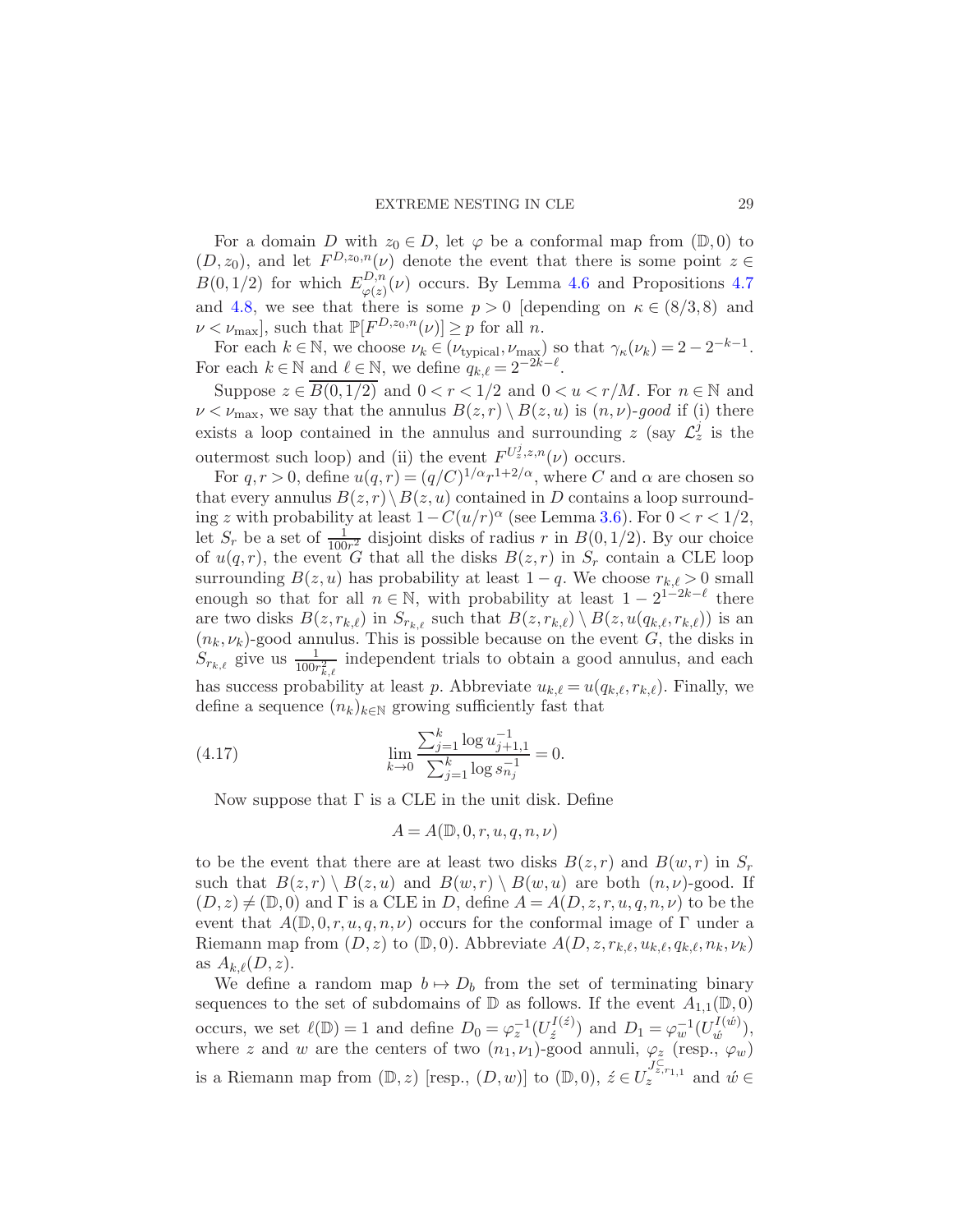For a domain D with  $z_0 \in D$ , let  $\varphi$  be a conformal map from  $(\mathbb{D}, 0)$  to  $(D, z_0)$ , and let  $F^{D, z_0, n}(\nu)$  denote the event that there is some point  $z \in$  $B(0,1/2)$  for which  $E_{\rho(z)}^{D,n}$  $\varphi(z)(\nu)$  occurs. By Lemma [4.6](#page-24-2) and Propositions [4.7](#page-24-0) and [4.8,](#page-25-0) we see that there is some  $p > 0$  [depending on  $\kappa \in (8/3, 8)$  and  $\nu < \nu_{\text{max}}$ , such that  $\mathbb{P}[F^{D,z_0,n}(\nu)] \geq p$  for all n.

For each  $k \in \mathbb{N}$ , we choose  $\nu_k \in (\nu_{\text{typical}}, \nu_{\text{max}})$  so that  $\gamma_{\kappa}(\nu_k) = 2 - 2^{-k-1}$ . For each  $k \in \mathbb{N}$  and  $\ell \in \mathbb{N}$ , we define  $q_{k,\ell} = 2^{-2k-\ell}$ .

Suppose  $z \in B(0, 1/2)$  and  $0 < r < 1/2$  and  $0 < u < r/M$ . For  $n \in \mathbb{N}$  and  $\nu < \nu_{\text{max}}$ , we say that the annulus  $B(z,r) \setminus B(z,u)$  is  $(n,\nu)$ -good if (i) there exists a loop contained in the annulus and surrounding z (say  $\mathcal{L}_z^j$  is the outermost such loop) and (ii) the event  $F^{U_z^j, z, n}(\nu)$  occurs.

For  $q, r > 0$ , define  $u(q, r) = (q/C)^{1/\alpha} r^{1+2/\alpha}$ , where C and  $\alpha$  are chosen so that every annulus  $B(z, r) \setminus B(z, u)$  contained in D contains a loop surrounding z with probability at least  $1 - C(u/r)^{\alpha}$  (see Lemma [3.6\)](#page-17-3). For  $0 < r < 1/2$ , let  $S_r$  be a set of  $\frac{1}{100r^2}$  disjoint disks of radius r in  $B(0, 1/2)$ . By our choice of  $u(q,r)$ , the event G that all the disks  $B(z,r)$  in  $S_r$  contain a CLE loop surrounding  $B(z, u)$  has probability at least  $1 - q$ . We choose  $r_{k,\ell} > 0$  small enough so that for all  $n \in \mathbb{N}$ , with probability at least  $1 - 2^{1-2k-\ell}$  there are two disks  $B(z, r_{k,\ell})$  in  $S_{r_{k,\ell}}$  such that  $B(z, r_{k,\ell}) \setminus B(z, u(q_{k,\ell}, r_{k,\ell}))$  is an  $(n_k, \nu_k)$ -good annulus. This is possible because on the event G, the disks in  $S_{r_{k,\ell}}$  give us  $\frac{1}{100r_{k,\ell}^2}$  independent trials to obtain a good annulus, and each has success probability at least p. Abbreviate  $u_{k,\ell} = u(q_{k,\ell}, r_{k,\ell})$ . Finally, we define a sequence  $(n_k)_{k \in \mathbb{N}}$  growing sufficiently fast that

(4.17) 
$$
\lim_{k \to 0} \frac{\sum_{j=1}^{k} \log u_{j+1,1}^{-1}}{\sum_{j=1}^{k} \log s_{n_j}^{-1}} = 0.
$$

Now suppose that  $\Gamma$  is a CLE in the unit disk. Define

<span id="page-28-0"></span>
$$
A = A(\mathbb{D}, 0, r, u, q, n, \nu)
$$

to be the event that there are at least two disks  $B(z, r)$  and  $B(w, r)$  in  $S_r$ such that  $B(z, r) \ B(z, u)$  and  $B(w, r) \ B(w, u)$  are both  $(n, \nu)$ -good. If  $(D, z) \neq (\mathbb{D}, 0)$  and  $\Gamma$  is a CLE in D, define  $A = A(D, z, r, u, q, n, \nu)$  to be the event that  $A(\mathbb{D},0,r,u,q,n,\nu)$  occurs for the conformal image of  $\Gamma$  under a Riemann map from  $(D, z)$  to  $(\mathbb{D}, 0)$ . Abbreviate  $A(D, z, r_{k,\ell}, u_{k,\ell}, q_{k,\ell}, n_k, \nu_k)$ as  $A_{k,\ell}(D,z)$ .

We define a random map  $b \mapsto D_b$  from the set of terminating binary sequences to the set of subdomains of  $\mathbb D$  as follows. If the event  $A_{1,1}(\mathbb D, 0)$ occurs, we set  $\ell(\mathbb{D}) = 1$  and define  $D_0 = \varphi_z^{-1}(U_z^{I(z)})$  $\mathcal{L}^{I(\acute{z})}_{\acute{z}}$  and  $D_1 = \varphi_w^{-1}(U_{\acute{w}}^{I(\acute{w})})$  $\begin{pmatrix} u^{(w)} \\ \tilde{w} \end{pmatrix}$ where z and w are the centers of two  $(n_1, \nu_1)$ -good annuli,  $\varphi_z$  (resp.,  $\varphi_w$ ) is a Riemann map from  $(\mathbb{D}, z)$  [resp.,  $(D, w)$ ] to  $(\mathbb{D}, 0)$ ,  $\acute{z} \in U_z^{J_{z,r_{1,1}}^{\mathbb{C}}}$  and  $\acute{w} \in$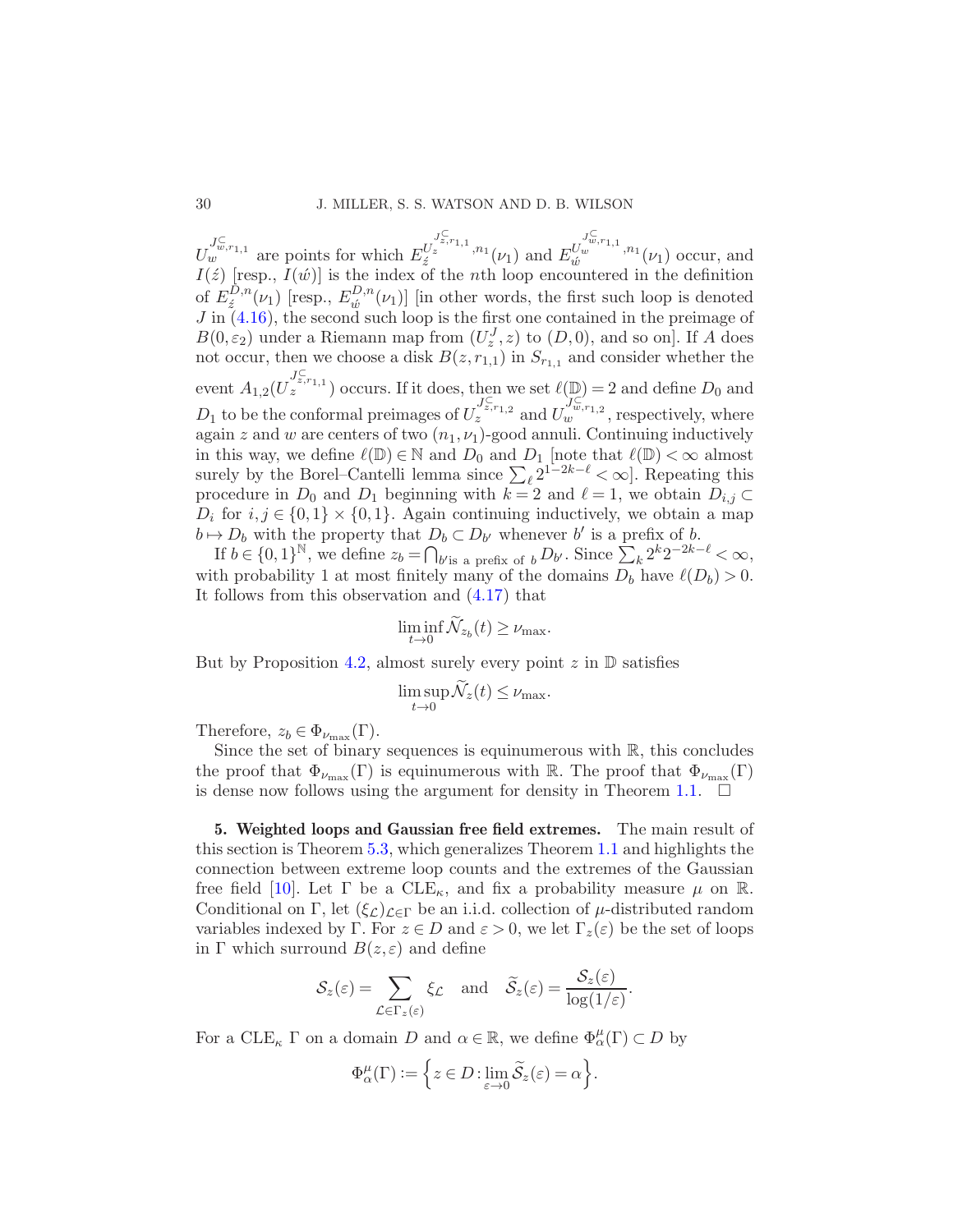$U_{w}^{J_{w,r_{1,1}}^{\subset}}$  are points for which  $E_{\hat{z}}^{U}$  $J_z^{\subset}$ <br> $z$ , $r$ <sub>1,1</sub>, $n_1$  $\sum_{\substack{i=1 \ i \neq j}}^{U_z^{(1)},(l_1)}$  and  $E_{\acute{w}}^{U_z^{(2)}}$  $\int_w^{J_w^{\subset}$ , $r_{1,1}, r_{1}$  $\begin{bmatrix} w & n_1 \\ w & w \end{bmatrix}$  ( $\nu_1$ ) occur, and  $I(\acute{z})$  [resp.,  $I(\acute{w})$ ] is the index of the nth loop encountered in the definition of  $E_z^{D,n}$  $E^{D,n}_{\acute{\nu}}(\nu_1)$  [resp.,  $E^{D,n}_{\acute{\nu}}$  $\omega_{\omega}^{D,n}(\nu_1)$  [in other words, the first such loop is denoted  $J$  in  $(4.16)$ , the second such loop is the first one contained in the preimage of  $B(0, \varepsilon_2)$  under a Riemann map from  $(U_z^J, z)$  to  $(D, 0)$ , and so on]. If A does not occur, then we choose a disk  $B(z, r_{1,1})$  in  $S_{r_{1,1}}$  and consider whether the event  $A_{1,2}(U_z^{\int_{z}^C, r_{1,1}})$  occurs. If it does, then we set  $\ell(\mathbb{D})=2$  and define  $D_0$  and  $D_1$  to be the conformal preimages of  $U_z^{J_{z,r_1,2}^C}$  and  $U_w^{J_{w,r_1,2}^C}$ , respectively, where again z and w are centers of two  $(n_1, \nu_1)$ -good annuli. Continuing inductively in this way, we define  $\ell(\mathbb{D}) \in \mathbb{N}$  and  $D_0$  and  $D_1$  [note that  $\ell(\mathbb{D}) < \infty$  almost surely by the Borel–Cantelli lemma since  $\sum_{\ell} 2^{1-2k-\ell} < \infty$ . Repeating this procedure in  $D_0$  and  $D_1$  beginning with  $k = 2$  and  $\ell = 1$ , we obtain  $D_{i,j} \subset$  $D_i$  for  $i, j \in \{0, 1\} \times \{0, 1\}$ . Again continuing inductively, we obtain a map  $b \mapsto D_b$  with the property that  $D_b \subset D_{b'}$  whenever b' is a prefix of b.

If  $b \in \{0,1\}^{\mathbb{N}}$ , we define  $z_b = \bigcap_{b' \text{is a prefix of } b} D_{b'}$ . Since  $\sum_{k} 2^k 2^{-2k-\ell} < \infty$ , with probability 1 at most finitely many of the domains  $D_b$  have  $\ell(D_b) > 0$ . It follows from this observation and [\(4.17\)](#page-28-0) that

$$
\liminf_{t \to 0} \mathcal{N}_{z_b}(t) \geq \nu_{\text{max}}.
$$

But by Proposition [4.2,](#page-19-1) almost surely every point  $z$  in  $\mathbb D$  satisfies

$$
\limsup_{t \to 0} \mathcal{N}_z(t) \leq \nu_{\text{max}}.
$$

Therefore,  $z_b \in \Phi_{\nu_{\text{max}}}(\Gamma)$ .

Since the set of binary sequences is equinumerous with  $\mathbb{R}$ , this concludes the proof that  $\Phi_{\nu_{\text{max}}}(\Gamma)$  is equinumerous with R. The proof that  $\Phi_{\nu_{\text{max}}}(\Gamma)$ is dense now follows using the argument for density in Theorem [1.1.](#page-3-0)  $\Box$ 

<span id="page-29-0"></span>5. Weighted loops and Gaussian free field extremes. The main result of this section is Theorem [5.3,](#page-34-0) which generalizes Theorem [1.1](#page-3-0) and highlights the connection between extreme loop counts and the extremes of the Gaussian free field [\[10](#page-40-3)]. Let  $\Gamma$  be a CLE<sub> $\kappa$ </sub>, and fix a probability measure  $\mu$  on R. Conditional on Γ, let  $(\xi_{\mathcal{L}})_{\mathcal{L}\in\Gamma}$  be an i.i.d. collection of  $\mu$ -distributed random variables indexed by Γ. For  $z \in D$  and  $\varepsilon > 0$ , we let  $\Gamma_z(\varepsilon)$  be the set of loops in  $\Gamma$  which surround  $B(z, \varepsilon)$  and define

$$
\mathcal{S}_z(\varepsilon) = \sum_{\mathcal{L}\in\Gamma_z(\varepsilon)} \xi_{\mathcal{L}} \quad \text{and} \quad \widetilde{\mathcal{S}}_z(\varepsilon) = \frac{\mathcal{S}_z(\varepsilon)}{\log(1/\varepsilon)}.
$$

For a  $\text{CLE}_{\kappa} \Gamma$  on a domain D and  $\alpha \in \mathbb{R}$ , we define  $\Phi^{\mu}_{\alpha}(\Gamma) \subset D$  by

$$
\Phi^{\mu}_{\alpha}(\Gamma) := \left\{ z \in D : \lim_{\varepsilon \to 0} \widetilde{\mathcal{S}}_{z}(\varepsilon) = \alpha \right\}.
$$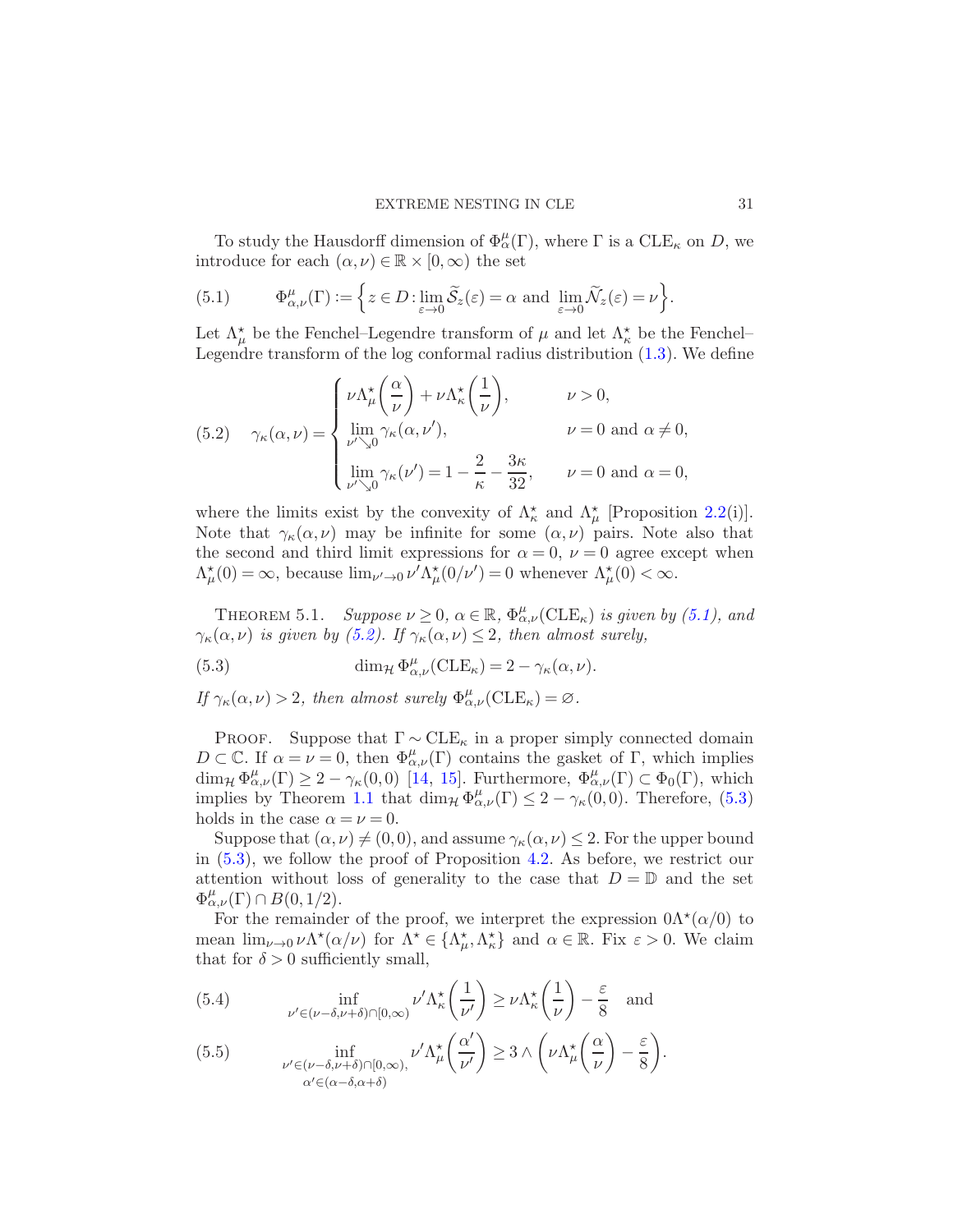To study the Hausdorff dimension of  $\Phi_{\alpha}^{\mu}(\Gamma)$ , where  $\Gamma$  is a  ${\rm CLE}_{\kappa}$  on D, we introduce for each  $(\alpha, \nu) \in \mathbb{R} \times [0, \infty)$  the set

<span id="page-30-0"></span>(5.1) 
$$
\Phi_{\alpha,\nu}^{\mu}(\Gamma) := \left\{ z \in D : \lim_{\varepsilon \to 0} \widetilde{S}_z(\varepsilon) = \alpha \text{ and } \lim_{\varepsilon \to 0} \widetilde{\mathcal{N}}_z(\varepsilon) = \nu \right\}.
$$

Let  $\Lambda^{\star}_{\mu}$  be the Fenchel–Legendre transform of  $\mu$  and let  $\Lambda^{\star}_{\kappa}$  be the Fenchel– Legendre transform of the log conformal radius distribution [\(1.3\)](#page-3-2). We define

<span id="page-30-1"></span>(5.2) 
$$
\gamma_{\kappa}(\alpha,\nu) = \begin{cases} \nu \Lambda_{\mu}^{\star} \left( \frac{\alpha}{\nu} \right) + \nu \Lambda_{\kappa}^{\star} \left( \frac{1}{\nu} \right), & \nu > 0, \\ \lim_{\nu \searrow 0} \gamma_{\kappa}(\alpha,\nu'), & \nu = 0 \text{ and } \alpha \neq 0, \\ \lim_{\nu \searrow 0} \gamma_{\kappa}(\nu') = 1 - \frac{2}{\kappa} - \frac{3\kappa}{32}, & \nu = 0 \text{ and } \alpha = 0, \end{cases}
$$

where the limits exist by the convexity of  $\Lambda_{\kappa}^*$  and  $\Lambda_{\mu}^*$  [Proposition [2.2\(](#page-8-0)i)]. Note that  $\gamma_{\kappa}(\alpha,\nu)$  may be infinite for some  $(\alpha,\nu)$  pairs. Note also that the second and third limit expressions for  $\alpha = 0, \nu = 0$  agree except when  $\Lambda^{\star}_{\mu}(0) = \infty$ , because  $\lim_{\nu' \to 0} \nu' \Lambda^{\star}_{\mu}(0/\nu') = 0$  whenever  $\Lambda^{\star}_{\mu}(0) < \infty$ .

<span id="page-30-4"></span>THEOREM 5.1. Suppose  $\nu \geq 0$ ,  $\alpha \in \mathbb{R}$ ,  $\Phi^{\mu}_{\alpha,\nu}(\text{CLE}_{\kappa})$  is given by [\(5.1\)](#page-30-0), and  $\gamma_{\kappa}(\alpha,\nu)$  is given by [\(5.2\)](#page-30-1). If  $\gamma_{\kappa}(\alpha,\nu) \leq 2$ , then almost surely,

<span id="page-30-2"></span>(5.3) 
$$
\dim_{\mathcal{H}} \Phi^{\mu}_{\alpha,\nu}(\text{CLE}_{\kappa}) = 2 - \gamma_{\kappa}(\alpha,\nu).
$$

If  $\gamma_{\kappa}(\alpha,\nu) > 2$ , then almost surely  $\Phi_{\alpha,\nu}^{\mu}(\text{CLE}_{\kappa}) = \varnothing$ .

PROOF. Suppose that  $\Gamma \sim \text{CLE}_{\kappa}$  in a proper simply connected domain  $D \subset \mathbb{C}$ . If  $\alpha = \nu = 0$ , then  $\Phi^{\mu}_{\alpha,\nu}(\Gamma)$  contains the gasket of Γ, which implies  $\dim_{\mathcal{H}} \Phi^{\mu}_{\alpha,\nu}(\Gamma) \geq 2 - \gamma_{\kappa}(0,0)$  [\[14](#page-40-7), [15\]](#page-40-8). Furthermore,  $\Phi^{\mu}_{\alpha,\nu}(\Gamma) \subset \Phi_0(\Gamma)$ , which implies by Theorem [1.1](#page-3-0) that  $\dim_{\mathcal{H}} \Phi^{\mu}_{\alpha,\nu}(\Gamma) \leq 2 - \gamma_{\kappa}(0,0)$ . Therefore, [\(5.3\)](#page-30-2) holds in the case  $\alpha = \nu = 0$ .

Suppose that  $(\alpha, \nu) \neq (0, 0)$ , and assume  $\gamma_{\kappa}(\alpha, \nu) \leq 2$ . For the upper bound in [\(5.3\)](#page-30-2), we follow the proof of Proposition [4.2.](#page-19-1) As before, we restrict our attention without loss of generality to the case that  $D = \mathbb{D}$  and the set  $\Phi^{\mu}_{\alpha,\nu}(\Gamma) \cap B(0,1/2).$ 

For the remainder of the proof, we interpret the expression  $0\Lambda^*(\alpha/0)$  to mean  $\lim_{\nu \to 0} \nu \Lambda^* (\alpha/\nu)$  for  $\Lambda^* \in {\Lambda^*_{\mu}, \Lambda^*_{\kappa}}$  and  $\alpha \in \mathbb{R}$ . Fix  $\varepsilon > 0$ . We claim that for  $\delta > 0$  sufficiently small,

<span id="page-30-3"></span>(5.4) 
$$
\inf_{\nu' \in (\nu - \delta, \nu + \delta) \cap [0, \infty)} \nu' \Lambda_{\kappa}^{\star} \left(\frac{1}{\nu'}\right) \ge \nu \Lambda_{\kappa}^{\star} \left(\frac{1}{\nu}\right) - \frac{\varepsilon}{8} \text{ and}
$$

(5.5) 
$$
\inf_{\substack{\nu' \in (\nu - \delta, \nu + \delta) \cap [0, \infty), \\ \alpha' \in (\alpha - \delta, \alpha + \delta)}} \nu' \Lambda^*_{\mu} \left( \frac{\alpha'}{\nu'} \right) \geq 3 \wedge \left( \nu \Lambda^*_{\mu} \left( \frac{\alpha}{\nu} \right) - \frac{\varepsilon}{8} \right).
$$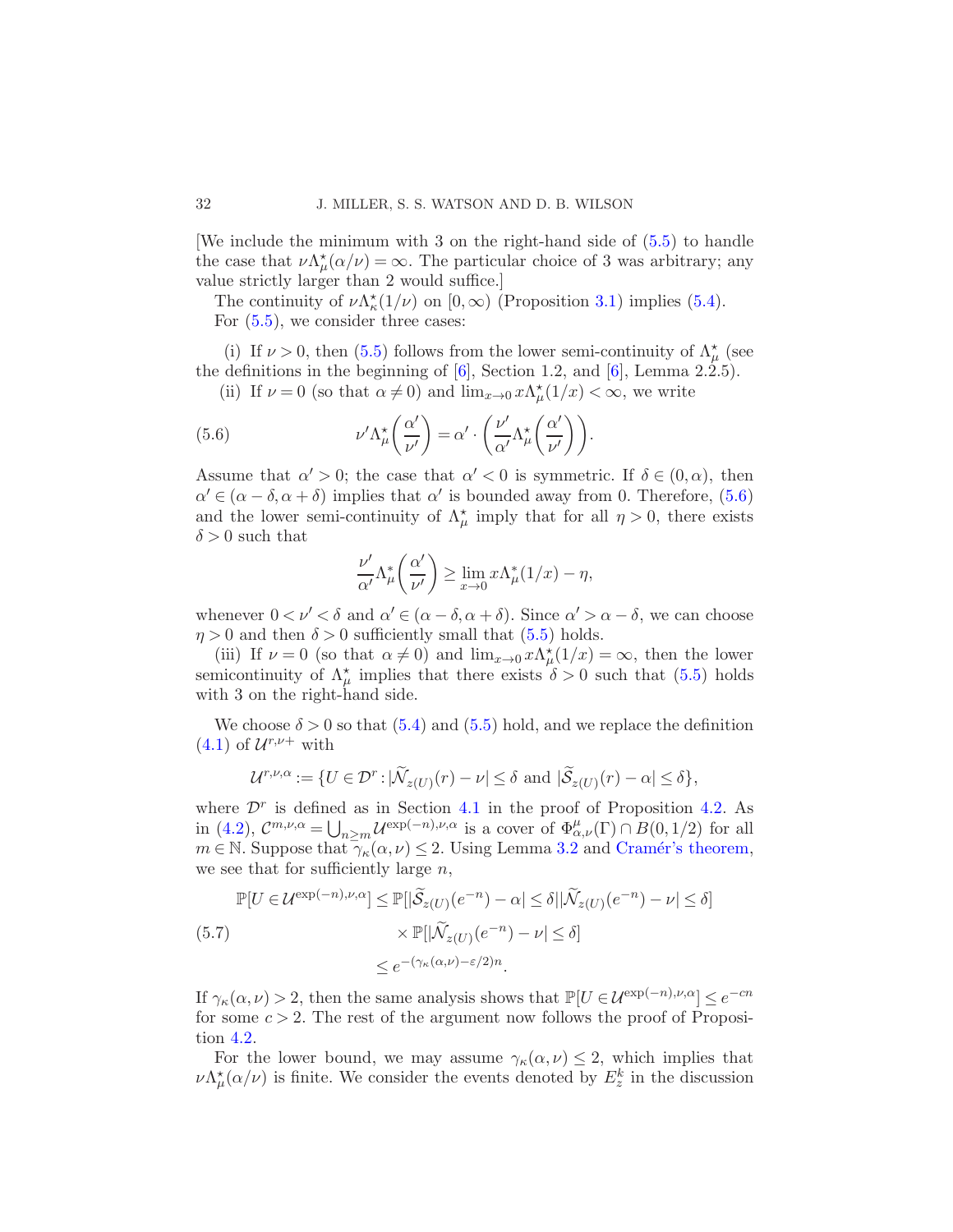[We include the minimum with 3 on the right-hand side of [\(5.5\)](#page-30-3) to handle the case that  $\nu \Lambda^*_{\mu}(\alpha/\nu) = \infty$ . The particular choice of 3 was arbitrary; any value strictly larger than 2 would suffice.]

The continuity of  $\nu \Lambda_{\kappa}^*(1/\nu)$  on  $[0,\infty)$  (Proposition [3.1\)](#page-14-0) implies [\(5.4\)](#page-30-3). For [\(5.5\)](#page-30-3), we consider three cases:

(i) If  $\nu > 0$ , then [\(5.5\)](#page-30-3) follows from the lower semi-continuity of  $\Lambda^{\star}_{\mu}$  (see the definitions in the beginning of  $[6]$ , Section 1.2, and  $[6]$ , Lemma 2.2.5).

(ii) If  $\nu = 0$  (so that  $\alpha \neq 0$ ) and  $\lim_{x \to 0} x \Lambda^*_{\mu}(1/x) < \infty$ , we write

(5.6) 
$$
\nu' \Lambda^*_{\mu} \left( \frac{\alpha'}{\nu'} \right) = \alpha' \cdot \left( \frac{\nu'}{\alpha'} \Lambda^*_{\mu} \left( \frac{\alpha'}{\nu'} \right) \right).
$$

Assume that  $\alpha' > 0$ ; the case that  $\alpha' < 0$  is symmetric. If  $\delta \in (0, \alpha)$ , then  $\alpha' \in (\alpha - \delta, \alpha + \delta)$  implies that  $\alpha'$  is bounded away from 0. Therefore, [\(5.6\)](#page-31-0) and the lower semi-continuity of  $\Lambda^*_{\mu}$  imply that for all  $\eta > 0$ , there exists  $\delta > 0$  such that

<span id="page-31-0"></span>
$$
\frac{\nu'}{\alpha'}\Lambda^*_{\mu}\left(\frac{\alpha'}{\nu'}\right) \ge \lim_{x\to 0} x\Lambda^*_{\mu}(1/x) - \eta,
$$

whenever  $0 < \nu' < \delta$  and  $\alpha' \in (\alpha - \delta, \alpha + \delta)$ . Since  $\alpha' > \alpha - \delta$ , we can choose  $\eta > 0$  and then  $\delta > 0$  sufficiently small that [\(5.5\)](#page-30-3) holds.

(iii) If  $\nu = 0$  (so that  $\alpha \neq 0$ ) and  $\lim_{x\to 0} x \Lambda^*_{\mu}(1/x) = \infty$ , then the lower semicontinuity of  $\Lambda^{\star}_{\mu}$  implies that there exists  $\delta > 0$  such that [\(5.5\)](#page-30-3) holds with 3 on the right-hand side.

We choose  $\delta > 0$  so that  $(5.4)$  and  $(5.5)$  hold, and we replace the definition  $(4.1)$  of  $\mathcal{U}^{r,\nu+}$  with

$$
\mathcal{U}^{r,\nu,\alpha} := \{ U \in \mathcal{D}^r : |\widetilde{\mathcal{N}}_{z(U)}(r) - \nu| \le \delta \text{ and } |\widetilde{\mathcal{S}}_{z(U)}(r) - \alpha| \le \delta \},\
$$

where  $\mathcal{D}^r$  is defined as in Section [4.1](#page-19-0) in the proof of Proposition [4.2.](#page-19-1) As in [\(4.2\)](#page-20-3),  $\mathcal{C}^{m,\nu,\alpha} = \bigcup_{n \geq m} \mathcal{U}^{\exp(-n),\nu,\alpha}$  is a cover of  $\Phi^{\mu}_{\alpha,\nu}(\Gamma) \cap B(0,1/2)$  for all  $m \in \mathbb{N}$ . Suppose that  $\gamma_{\kappa}(\alpha, \nu) \leq 2$ . Using Lemma [3.2](#page-14-2) and Cramér's theorem, we see that for sufficiently large  $n$ ,

<span id="page-31-1"></span>
$$
\mathbb{P}[U \in \mathcal{U}^{\exp(-n), \nu, \alpha}] \le \mathbb{P}[|\widetilde{\mathcal{S}}_{z(U)}(e^{-n}) - \alpha| \le \delta ||\widetilde{\mathcal{N}}_{z(U)}(e^{-n}) - \nu| \le \delta]
$$
  
(5.7)  

$$
\times \mathbb{P}[|\widetilde{\mathcal{N}}_{z(U)}(e^{-n}) - \nu| \le \delta]
$$
  

$$
\le e^{-(\gamma_\kappa(\alpha, \nu) - \varepsilon/2)n}.
$$

If  $\gamma_{\kappa}(\alpha,\nu) > 2$ , then the same analysis shows that  $\mathbb{P}[U \in \mathcal{U}^{\exp(-n),\nu,\alpha}] \leq e^{-cn}$ for some  $c > 2$ . The rest of the argument now follows the proof of Proposition [4.2.](#page-19-1)

For the lower bound, we may assume  $\gamma_{\kappa}(\alpha,\nu) \leq 2$ , which implies that  $\nu \Lambda^{\star}_{\mu}(\alpha|\nu)$  is finite. We consider the events denoted by  $E^{k}_{z}$  in the discussion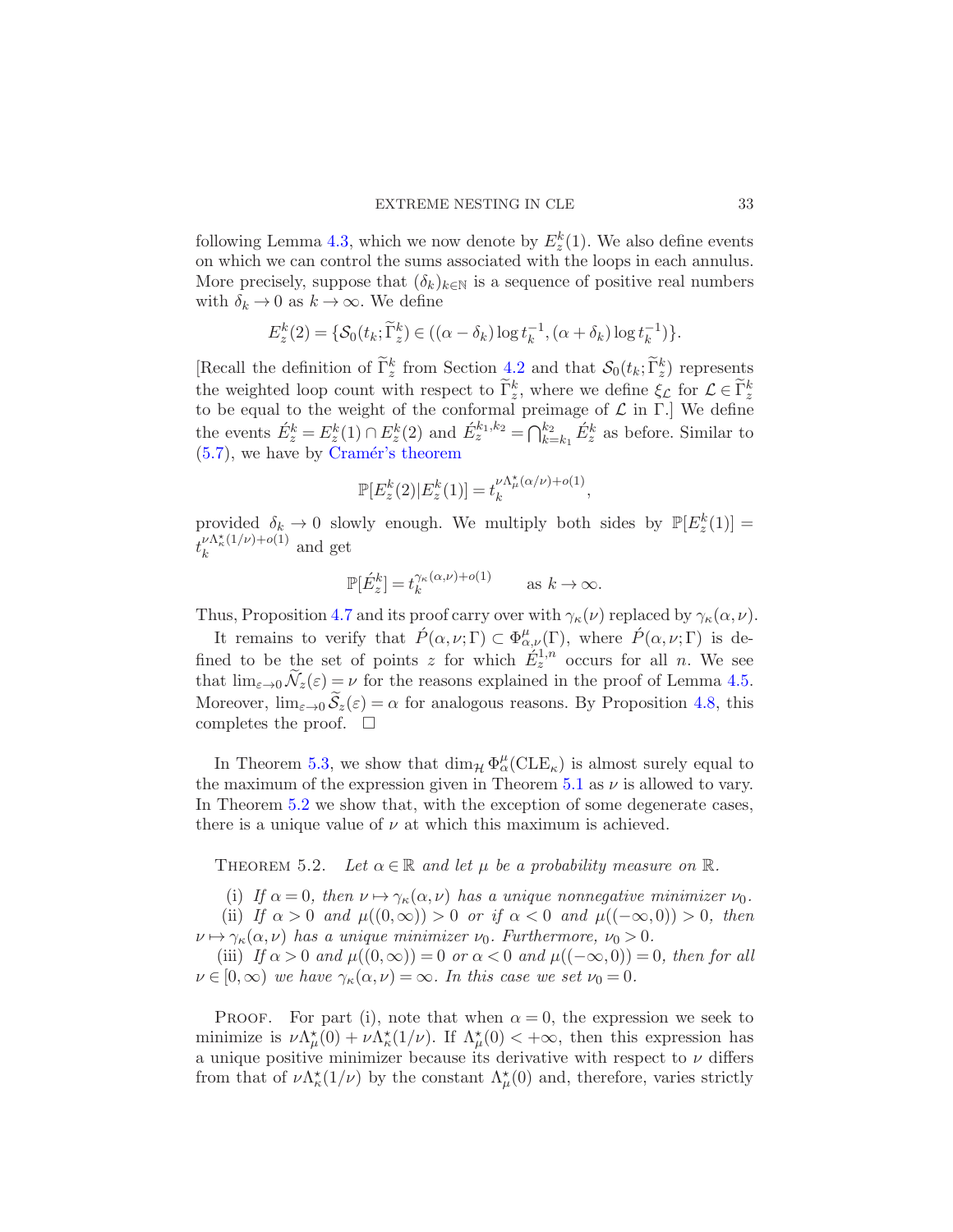following Lemma [4.3,](#page-20-2) which we now denote by  $E_z^k(1)$ . We also define events on which we can control the sums associated with the loops in each annulus. More precisely, suppose that  $(\delta_k)_{k\in\mathbb{N}}$  is a sequence of positive real numbers with  $\delta_k \to 0$  as  $k \to \infty$ . We define

$$
E_z^k(2) = \{ \mathcal{S}_0(t_k; \widetilde{\Gamma}_z^k) \in ((\alpha - \delta_k) \log t_k^{-1}, (\alpha + \delta_k) \log t_k^{-1}) \}.
$$

[Recall the definition of  $\Gamma_z^k$  from Section [4.2](#page-20-0) and that  $\mathcal{S}_0(t_k; \tilde{\Gamma}_z^k)$  represents the weighted loop count with respect to  $\tilde{\Gamma}_z^k$ , where we define  $\xi_L$  for  $\mathcal{L} \in \tilde{\Gamma}_z^k$ to be equal to the weight of the conformal preimage of  $\mathcal L$  in Γ.] We define the events  $\acute{E}^k_z = E^k_z(1) \cap E^k_z(2)$  and  $\acute{E}^{k_1,k_2}_z = \bigcap_{k=k_1}^{k_2} \acute{E}^k_z$  as before. Similar to  $(5.7)$ , we have by Cramér's theorem

$$
\mathbb{P}[E_z^k(2)|E_z^k(1)] = t_k^{\nu \Lambda_\mu^{\star}(\alpha/\nu) + o(1)},
$$

provided  $\delta_k \to 0$  slowly enough. We multiply both sides by  $\mathbb{P}[E^k_z(1)] =$  $t_k^{\nu \Lambda_\kappa^\star(1/\nu)+o(1)}$  and get

$$
\mathbb{P}[\acute{E}^k_z] = t_k^{\gamma_\kappa(\alpha,\nu)+o(1)} \quad \text{as } k \to \infty.
$$

Thus, Proposition [4.7](#page-24-0) and its proof carry over with  $\gamma_{\kappa}(\nu)$  replaced by  $\gamma_{\kappa}(\alpha,\nu)$ .

It remains to verify that  $\hat{P}(\alpha,\nu;\Gamma) \subset \Phi^{\mu}_{\alpha,\nu}(\Gamma)$ , where  $\hat{P}(\alpha,\nu;\Gamma)$  is defined to be the set of points z for which  $\dot{E}_z^{1,n}$  occurs for all n. We see that  $\lim_{\varepsilon\to 0} \widetilde{\mathcal{N}}_z(\varepsilon) = \nu$  for the reasons explained in the proof of Lemma [4.5.](#page-23-3) Moreover,  $\lim_{\varepsilon\to 0} \widetilde{\mathcal{S}}_z(\varepsilon) = \alpha$  for analogous reasons. By Proposition [4.8,](#page-25-0) this completes the proof.  $\quad \Box$ 

In Theorem [5.3,](#page-34-0) we show that  $\dim_{\mathcal{H}} \Phi_\alpha^{\mu}(\text{CLE}_\kappa)$  is almost surely equal to the maximum of the expression given in Theorem [5.1](#page-30-4) as  $\nu$  is allowed to vary. In Theorem [5.2](#page-32-0) we show that, with the exception of some degenerate cases, there is a unique value of  $\nu$  at which this maximum is achieved.

<span id="page-32-0"></span>THEOREM 5.2. Let  $\alpha \in \mathbb{R}$  and let  $\mu$  be a probability measure on  $\mathbb{R}$ .

(i) If  $\alpha = 0$ , then  $\nu \mapsto \gamma_{\kappa}(\alpha, \nu)$  has a unique nonnegative minimizer  $\nu_0$ . (ii) If  $\alpha > 0$  and  $\mu((0,\infty)) > 0$  or if  $\alpha < 0$  and  $\mu((-\infty,0)) > 0$ , then  $\nu \mapsto \gamma_{\kappa}(\alpha, \nu)$  has a unique minimizer  $\nu_0$ . Furthermore,  $\nu_0 > 0$ .

(iii) If  $\alpha > 0$  and  $\mu((0, \infty)) = 0$  or  $\alpha < 0$  and  $\mu((-\infty, 0)) = 0$ , then for all  $\nu \in [0,\infty)$  we have  $\gamma_{\kappa}(\alpha,\nu) = \infty$ . In this case we set  $\nu_0 = 0$ .

PROOF. For part (i), note that when  $\alpha = 0$ , the expression we seek to minimize is  $\nu \Lambda^{\star}_{\mu}(0) + \nu \Lambda^{\star}_{\kappa}(1/\nu)$ . If  $\Lambda^{\star}_{\mu}(0) < +\infty$ , then this expression has a unique positive minimizer because its derivative with respect to  $\nu$  differs from that of  $\nu \Lambda^*_{\kappa}(1/\nu)$  by the constant  $\Lambda^*_{\mu}(0)$  and, therefore, varies strictly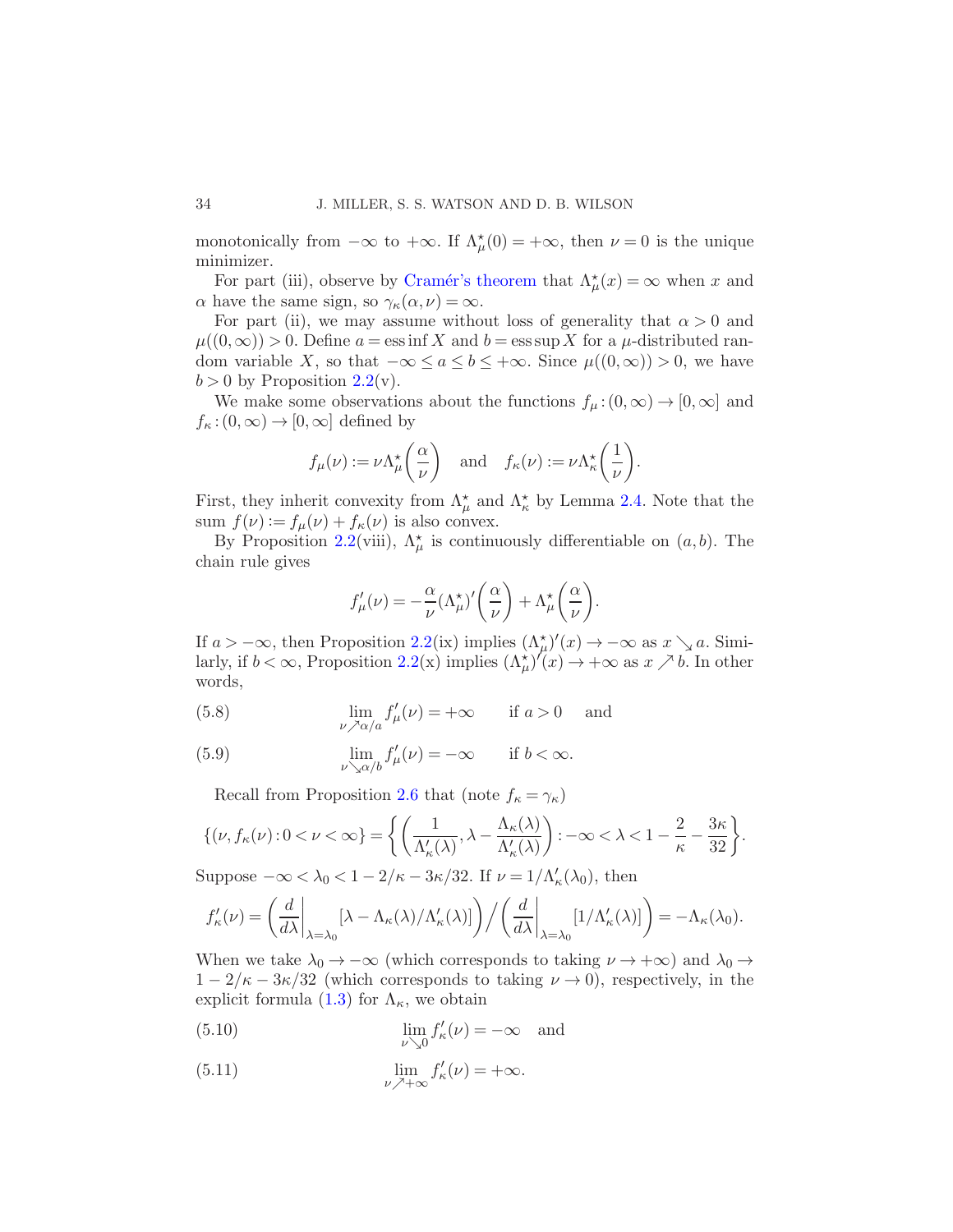monotonically from  $-\infty$  to  $+\infty$ . If  $\Lambda^*_{\mu}(0) = +\infty$ , then  $\nu = 0$  is the unique minimizer.

For part (iii), observe by Cramér's theorem that  $\Lambda^*_{\mu}(x) = \infty$  when x and  $\alpha$  have the same sign, so  $\gamma_{\kappa}(\alpha,\nu) = \infty$ .

For part (ii), we may assume without loss of generality that  $\alpha > 0$  and  $\mu((0,\infty)) > 0$ . Define  $a = \operatorname{ess\,inf} X$  and  $b = \operatorname{ess\,sup} X$  for a  $\mu$ -distributed random variable X, so that  $-\infty \le a \le b \le +\infty$ . Since  $\mu((0,\infty)) > 0$ , we have  $b > 0$  by Proposition [2.2\(](#page-8-0)v).

We make some observations about the functions  $f_{\mu}:(0,\infty) \to [0,\infty]$  and  $f_{\kappa}:(0,\infty)\to[0,\infty]$  defined by

$$
f_{\mu}(\nu) := \nu \Lambda_{\mu}^{\star} \left( \frac{\alpha}{\nu} \right)
$$
 and  $f_{\kappa}(\nu) := \nu \Lambda_{\kappa}^{\star} \left( \frac{1}{\nu} \right)$ .

First, they inherit convexity from  $\Lambda_{\mu}^{\star}$  and  $\Lambda_{\kappa}^{\star}$  by Lemma [2.4.](#page-10-1) Note that the sum  $f(\nu) := f_{\mu}(\nu) + f_{\kappa}(\nu)$  is also convex.

By Proposition [2.2\(](#page-8-0)viii),  $\Lambda^*_{\mu}$  is continuously differentiable on  $(a, b)$ . The chain rule gives

$$
f'_{\mu}(\nu)=-\frac{\alpha}{\nu}(\Lambda_{\mu}^{\star})'\bigg(\frac{\alpha}{\nu}\bigg)+\Lambda_{\mu}^{\star}\bigg(\frac{\alpha}{\nu}\bigg).
$$

If  $a > -\infty$ , then Proposition [2.2\(](#page-8-0)ix) implies  $(\Lambda^*_{\mu})'(x) \to -\infty$  as  $x \searrow a$ . Similarly, if  $b < \infty$ , Proposition [2.2\(](#page-8-0)x) implies  $(\Lambda^*_{\mu})'(x) \to +\infty$  as  $x \nearrow b$ . In other words,

(5.8) 
$$
\lim_{\nu \nearrow \alpha/a} f'_{\mu}(\nu) = +\infty \quad \text{if } a > 0 \text{ and}
$$

(5.9) 
$$
\lim_{\nu \searrow \alpha/b} f'_{\mu}(\nu) = -\infty \quad \text{if } b < \infty.
$$

Recall from Proposition [2.6](#page-11-2) that (note  $f_{\kappa} = \gamma_{\kappa}$ )

$$
\{(\nu, f_{\kappa}(\nu) : 0 < \nu < \infty\} = \left\{ \left( \frac{1}{\Lambda_{\kappa}'(\lambda)}, \lambda - \frac{\Lambda_{\kappa}(\lambda)}{\Lambda_{\kappa}'(\lambda)} \right) : -\infty < \lambda < 1 - \frac{2}{\kappa} - \frac{3\kappa}{32} \right\}.
$$

Suppose  $-\infty < \lambda_0 < 1 - 2/\kappa - 3\kappa/32$ . If  $\nu = 1/\Lambda_{\kappa}'(\lambda_0)$ , then

$$
f'_{\kappa}(\nu) = \left(\frac{d}{d\lambda}\bigg|_{\lambda=\lambda_0} [\lambda - \Lambda_{\kappa}(\lambda)/\Lambda'_{\kappa}(\lambda)]\right) / \left(\frac{d}{d\lambda}\bigg|_{\lambda=\lambda_0} [1/\Lambda'_{\kappa}(\lambda)]\right) = -\Lambda_{\kappa}(\lambda_0).
$$

When we take  $\lambda_0 \to -\infty$  (which corresponds to taking  $\nu \to +\infty$ ) and  $\lambda_0 \to$  $1 - 2/\kappa - 3\kappa/32$  (which corresponds to taking  $\nu \to 0$ ), respectively, in the explicit formula [\(1.3\)](#page-3-2) for  $\Lambda_{\kappa}$ , we obtain

(5.10) 
$$
\lim_{\nu \searrow 0} f_{\kappa}'(\nu) = -\infty \quad \text{and}
$$

(5.11) 
$$
\lim_{\nu \nearrow +\infty} f_{\kappa}'(\nu) = +\infty.
$$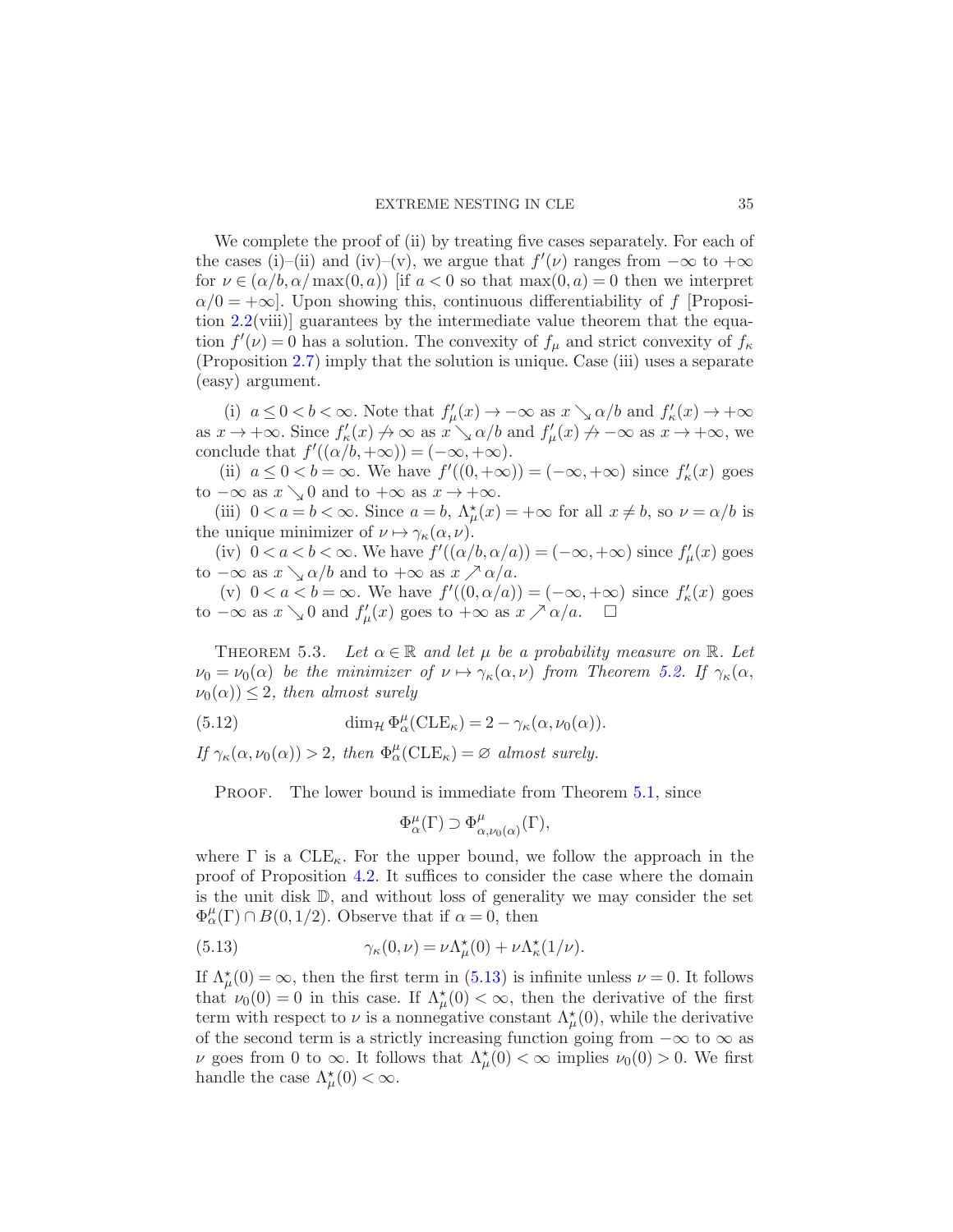We complete the proof of (ii) by treating five cases separately. For each of the cases (i)–(ii) and (iv)–(v), we argue that  $f'(\nu)$  ranges from  $-\infty$  to  $+\infty$ for  $\nu \in (\alpha/b, \alpha/\max(0, a))$  if  $a < 0$  so that  $\max(0, a) = 0$  then we interpret  $\alpha/0 = +\infty$ . Upon showing this, continuous differentiability of f [Proposition [2.2\(](#page-8-0)viii)] guarantees by the intermediate value theorem that the equation  $f'(\nu) = 0$  has a solution. The convexity of  $f_{\mu}$  and strict convexity of  $f_{\kappa}$ (Proposition [2.7\)](#page-12-2) imply that the solution is unique. Case (iii) uses a separate (easy) argument.

(i)  $a \leq 0 < b < \infty$ . Note that  $f'_{\mu}(x) \to -\infty$  as  $x \searrow \alpha/b$  and  $f'_{\kappa}(x) \to +\infty$ as  $x \to +\infty$ . Since  $f'_{\kappa}(x) \to \infty$  as  $x \searrow \alpha/b$  and  $f'_{\mu}(x) \to -\infty$  as  $x \to +\infty$ , we conclude that  $f'((\alpha/b, +\infty)) = (-\infty, +\infty)$ .

(ii)  $a \leq 0 < b = \infty$ . We have  $f'((0, +\infty)) = (-\infty, +\infty)$  since  $f'_{\kappa}(x)$  goes to  $-\infty$  as  $x \searrow 0$  and to  $+\infty$  as  $x \to +\infty$ .

(iii)  $0 < a = b < \infty$ . Since  $a = b$ ,  $\Lambda^*_{\mu}(x) = +\infty$  for all  $x \neq b$ , so  $\nu = \alpha/b$  is the unique minimizer of  $\nu \mapsto \gamma_{\kappa}(\alpha, \nu)$ .

(iv)  $0 < a < b < \infty$ . We have  $f'((\alpha/b, \alpha/a)) = (-\infty, +\infty)$  since  $f'_{\mu}(x)$  goes to  $-\infty$  as  $x \searrow \alpha/b$  and to  $+\infty$  as  $x \nearrow \alpha/a$ .

(v)  $0 < a < b = \infty$ . We have  $f'((0, \alpha/a)) = (-\infty, +\infty)$  since  $f'_{\kappa}(x)$  goes to  $-\infty$  as  $x \searrow 0$  and  $f'_{\mu}(x)$  goes to  $+\infty$  as  $x \nearrow \alpha/a$ .  $\Box$ 

<span id="page-34-0"></span>THEOREM 5.3. Let  $\alpha \in \mathbb{R}$  and let  $\mu$  be a probability measure on  $\mathbb{R}$ . Let  $\nu_0 = \nu_0(\alpha)$  be the minimizer of  $\nu \mapsto \gamma_\kappa(\alpha, \nu)$  from Theorem [5.2.](#page-32-0) If  $\gamma_\kappa(\alpha, \nu)$  $\nu_0(\alpha) \leq 2$ , then almost surely

(5.12) 
$$
\dim_{\mathcal{H}} \Phi_{\alpha}^{\mu}(\text{CLE}_{\kappa}) = 2 - \gamma_{\kappa}(\alpha, \nu_0(\alpha)).
$$

If  $\gamma_{\kappa}(\alpha,\nu_0(\alpha)) > 2$ , then  $\Phi_{\alpha}^{\mu}(\text{CLE}_{\kappa}) = \varnothing$  almost surely.

PROOF. The lower bound is immediate from Theorem [5.1,](#page-30-4) since

<span id="page-34-1"></span> $\Phi_\alpha^\mu(\Gamma) \supset \Phi_\alpha^\mu$  $^{\mu}_{\alpha,\nu_0(\alpha)}(\Gamma),$ 

where  $\Gamma$  is a  $CLE_{\kappa}$ . For the upper bound, we follow the approach in the proof of Proposition [4.2.](#page-19-1) It suffices to consider the case where the domain is the unit disk D, and without loss of generality we may consider the set  $\Phi_{\alpha}^{\mu}(\Gamma) \cap B(0,1/2)$ . Observe that if  $\alpha = 0$ , then

(5.13) 
$$
\gamma_{\kappa}(0,\nu) = \nu \Lambda_{\mu}^{\star}(0) + \nu \Lambda_{\kappa}^{\star}(1/\nu).
$$

If  $\Lambda^{\star}_{\mu}(0) = \infty$ , then the first term in [\(5.13\)](#page-34-1) is infinite unless  $\nu = 0$ . It follows that  $\nu_0(0) = 0$  in this case. If  $\Lambda^*_{\mu}(0) < \infty$ , then the derivative of the first term with respect to  $\nu$  is a nonnegative constant  $\Lambda^*_{\mu}(0)$ , while the derivative of the second term is a strictly increasing function going from  $-\infty$  to  $\infty$  as  $\nu$  goes from 0 to  $\infty$ . It follows that  $\Lambda^*_{\mu}(0) < \infty$  implies  $\nu_0(0) > 0$ . We first handle the case  $\Lambda^{\star}_{\mu}(0) < \infty$ .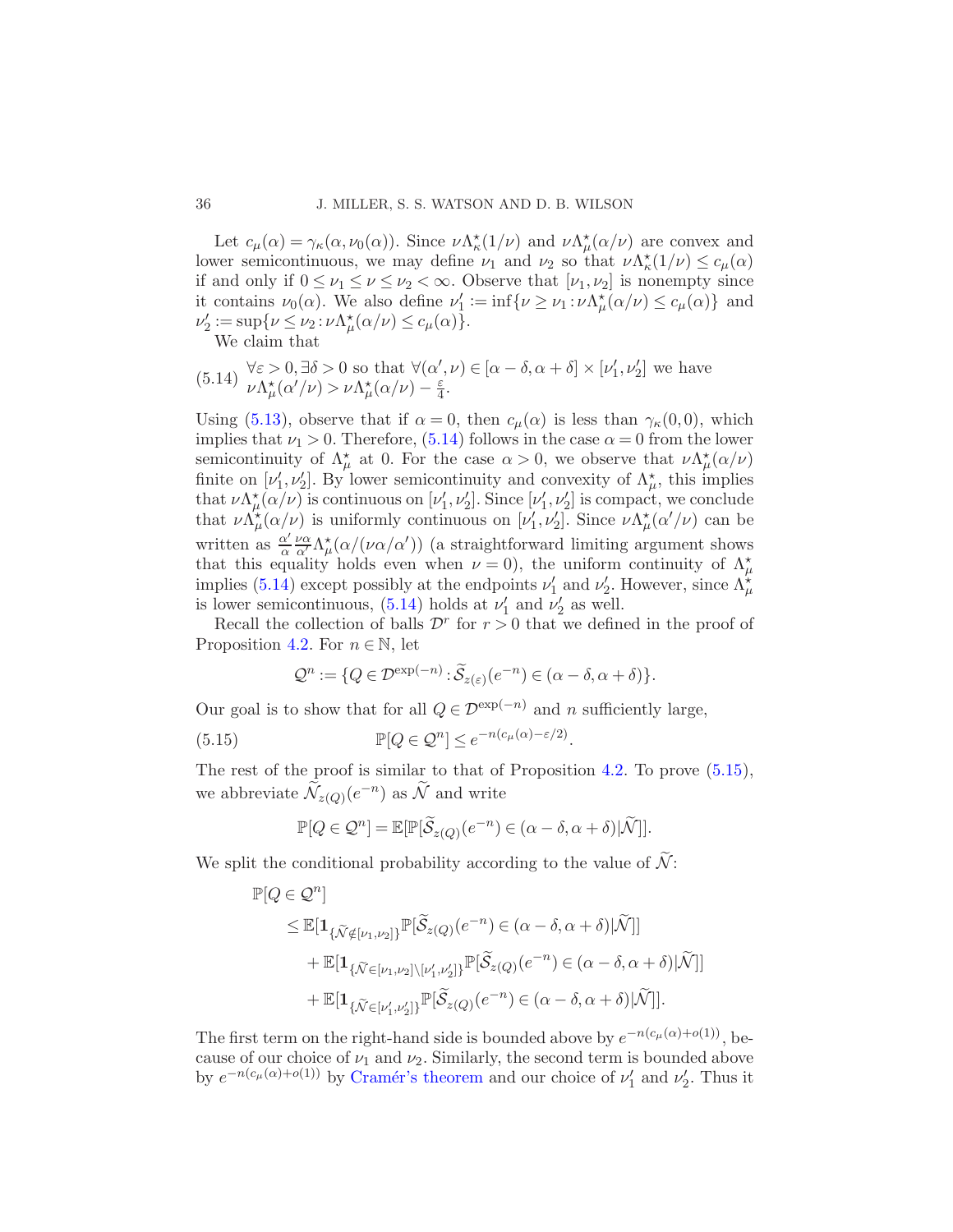Let  $c_{\mu}(\alpha) = \gamma_{\kappa}(\alpha, \nu_0(\alpha))$ . Since  $\nu \Lambda_{\kappa}^*(1/\nu)$  and  $\nu \Lambda_{\mu}^*(\alpha/\nu)$  are convex and lower semicontinuous, we may define  $\nu_1$  and  $\nu_2$  so that  $\nu \Lambda^*_{\kappa}(1/\nu) \leq c_{\mu}(\alpha)$ if and only if  $0 \le \nu_1 \le \nu \le \nu_2 < \infty$ . Observe that  $[\nu_1, \nu_2]$  is nonempty since it contains  $\nu_0(\alpha)$ . We also define  $\nu'_1 := \inf \{ \nu \ge \nu_1 : \nu \Lambda_\mu^*(\alpha/\nu) \le c_\mu(\alpha) \}$  and  $\nu_2' := \sup \{ \nu \leq \nu_2 : \nu \Lambda_\mu^{\star}(\alpha/\nu) \leq c_\mu(\alpha) \}.$ 

<span id="page-35-0"></span>We claim that

(5.14) 
$$
\forall \varepsilon > 0, \exists \delta > 0
$$
 so that  $\forall (\alpha', \nu) \in [\alpha - \delta, \alpha + \delta] \times [\nu'_1, \nu'_2]$  we have  $\nu \Lambda^*_{\mu}(\alpha'/\nu) > \nu \Lambda^*_{\mu}(\alpha/\nu) - \frac{\varepsilon}{4}$ .

Using [\(5.13\)](#page-34-1), observe that if  $\alpha = 0$ , then  $c_{\mu}(\alpha)$  is less than  $\gamma_{\kappa}(0,0)$ , which implies that  $\nu_1 > 0$ . Therefore, [\(5.14\)](#page-35-0) follows in the case  $\alpha = 0$  from the lower semicontinuity of  $\Lambda^{\star}_{\mu}$  at 0. For the case  $\alpha > 0$ , we observe that  $\nu \Lambda^{\star}_{\mu}(\alpha/\nu)$ finite on  $[\nu'_1, \nu'_2]$ . By lower semicontinuity and convexity of  $\Lambda^*_{\mu}$ , this implies that  $\nu \Lambda^*_{\mu}(\alpha|\nu)$  is continuous on  $[\nu'_1, \nu'_2]$ . Since  $[\nu'_1, \nu'_2]$  is compact, we conclude that  $\nu \Lambda^*_{\mu}(\alpha/\nu)$  is uniformly continuous on  $[\nu'_1, \nu'_2]$ . Since  $\nu \Lambda^*_{\mu}(\alpha'/\nu)$  can be written as  $\frac{\alpha'}{a}$ α να <sup>α</sup>′ Λ ⋆ µ (α/(να/α′ )) (a straightforward limiting argument shows that this equality holds even when  $\nu = 0$ , the uniform continuity of  $\Lambda^*_{\mu}$ implies [\(5.14\)](#page-35-0) except possibly at the endpoints  $\nu'_1$  and  $\nu'_2$ . However, since  $\Lambda_{\mu}^{\star}$ is lower semicontinuous, [\(5.14\)](#page-35-0) holds at  $\nu'_1$  and  $\nu'_2$  as well.

Recall the collection of balls  $\mathcal{D}^r$  for  $r > 0$  that we defined in the proof of Proposition [4.2.](#page-19-1) For  $n \in \mathbb{N}$ , let

<span id="page-35-1"></span>
$$
\mathcal{Q}^n := \{ Q \in \mathcal{D}^{\exp(-n)} : \widetilde{\mathcal{S}}_{z(\varepsilon)}(e^{-n}) \in (\alpha - \delta, \alpha + \delta) \}.
$$

Our goal is to show that for all  $Q \in \mathcal{D}^{\exp(-n)}$  and n sufficiently large,

(5.15) 
$$
\mathbb{P}[Q \in \mathcal{Q}^n] \leq e^{-n(c_\mu(\alpha) - \varepsilon/2)}.
$$

The rest of the proof is similar to that of Proposition [4.2.](#page-19-1) To prove  $(5.15)$ , we abbreviate  $\widetilde{\mathcal{N}}_{z(Q)}(e^{-n})$  as  $\widetilde{\mathcal{N}}$  and write

$$
\mathbb{P}[Q \in \mathcal{Q}^n] = \mathbb{E}[\mathbb{P}[\widetilde{\mathcal{S}}_{z(Q)}(e^{-n}) \in (\alpha - \delta, \alpha + \delta)|\widetilde{\mathcal{N}}]].
$$

We split the conditional probability according to the value of  $\widetilde{\mathcal{N}}$ :

$$
\mathbb{P}[Q \in \mathcal{Q}^n]
$$
  
\n
$$
\leq \mathbb{E}[\mathbf{1}_{\{\widetilde{\mathcal{N}} \notin [\nu_1, \nu_2]\}} \mathbb{P}[\widetilde{\mathcal{S}}_{z(Q)}(e^{-n}) \in (\alpha - \delta, \alpha + \delta)|\widetilde{\mathcal{N}}]]
$$
  
\n
$$
+ \mathbb{E}[\mathbf{1}_{\{\widetilde{\mathcal{N}} \in [\nu_1, \nu_2]\} \backslash [\nu_1', \nu_2']\}} \mathbb{P}[\widetilde{\mathcal{S}}_{z(Q)}(e^{-n}) \in (\alpha - \delta, \alpha + \delta)|\widetilde{\mathcal{N}}]]
$$
  
\n
$$
+ \mathbb{E}[\mathbf{1}_{\{\widetilde{\mathcal{N}} \in [\nu_1', \nu_2']\}} \mathbb{P}[\widetilde{\mathcal{S}}_{z(Q)}(e^{-n}) \in (\alpha - \delta, \alpha + \delta)|\widetilde{\mathcal{N}}]].
$$

The first term on the right-hand side is bounded above by  $e^{-n(c_\mu(\alpha)+o(1))}$ , because of our choice of  $\nu_1$  and  $\nu_2$ . Similarly, the second term is bounded above by  $e^{-n(c_\mu(\alpha)+o(1))}$  by Cramér's theorem and our choice of  $\nu'_1$  and  $\nu'_2$ . Thus it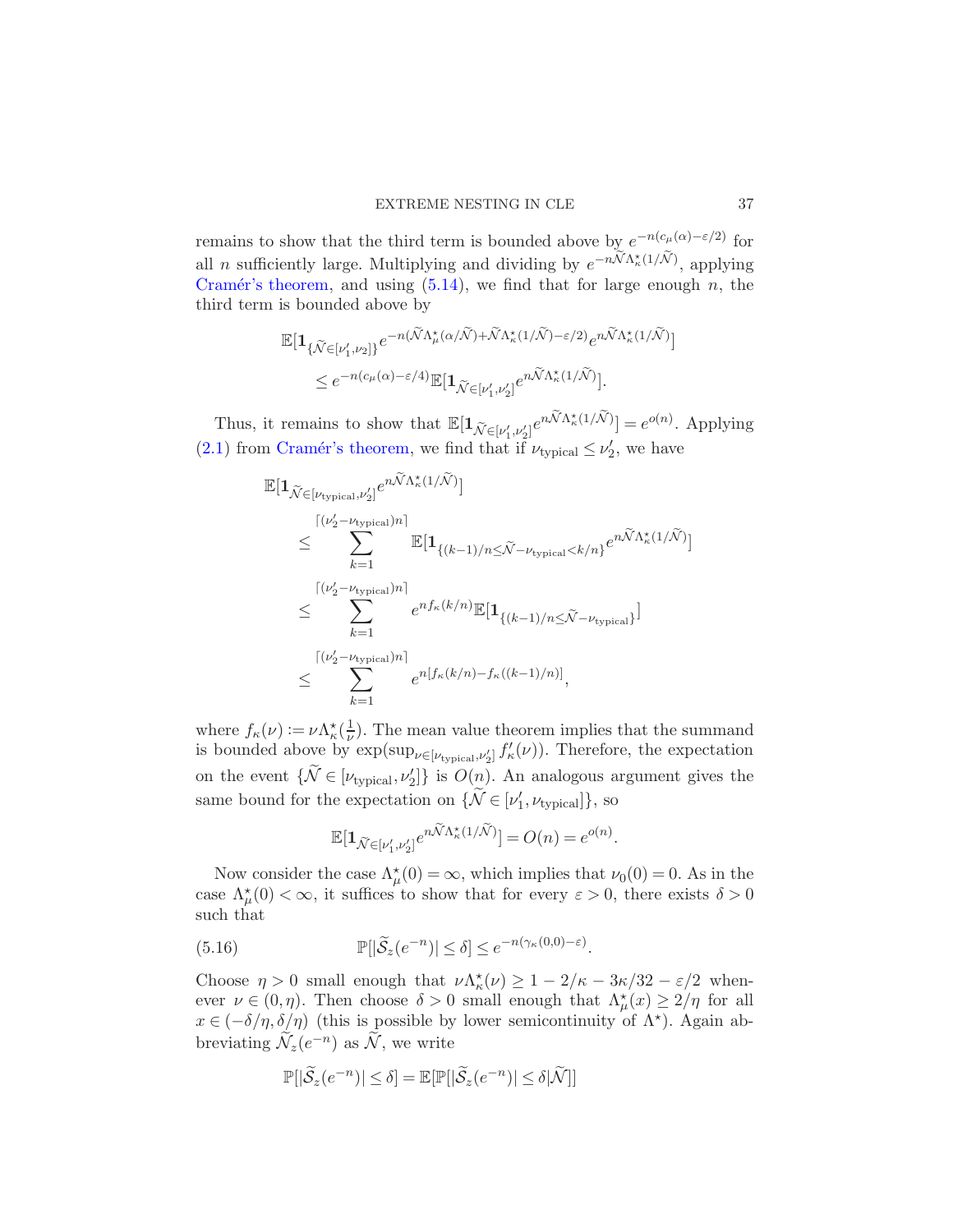remains to show that the third term is bounded above by  $e^{-n(c_\mu(\alpha)-\varepsilon/2)}$  for all *n* sufficiently large. Multiplying and dividing by  $e^{-n\widetilde{\mathcal{N}}\Lambda^*_{\kappa}(1/\widetilde{\mathcal{N}})}$ , applying Cramér's theorem, and using  $(5.14)$ , we find that for large enough n, the third term is bounded above by

$$
\mathbb{E}[\mathbf{1}_{\{\tilde{\mathcal{N}} \in [\nu_1', \nu_2]\}} e^{-n(\tilde{\mathcal{N}} \Lambda_\mu^{\star}(\alpha/\tilde{\mathcal{N}}) + \tilde{\mathcal{N}} \Lambda_\kappa^{\star}(1/\tilde{\mathcal{N}}) - \varepsilon/2)} e^{n\tilde{\mathcal{N}} \Lambda_\kappa^{\star}(1/\tilde{\mathcal{N}})}] \le e^{-n(c_\mu(\alpha) - \varepsilon/4)} \mathbb{E}[\mathbf{1}_{\tilde{\mathcal{N}} \in [\nu_1', \nu_2']} e^{n\tilde{\mathcal{N}} \Lambda_\kappa^{\star}(1/\tilde{\mathcal{N}})}].
$$

Thus, it remains to show that  $\mathbb{E}[\mathbf{1}_{\widetilde{\mathcal{N}} \in [\nu'_1, \nu'_2]} e^{n\widetilde{\mathcal{N}}\Lambda^{\star}_{\kappa}(1/\widetilde{\mathcal{N}})}] = e^{o(n)}$ . Applying [\(2.1\)](#page-8-1) from Cramér's theorem, we find that if  $\nu_{\text{typical}} \leq \nu_2'$ , we have

$$
\mathbb{E}[\mathbf{1}_{\tilde{\mathcal{N}} \in [\nu_{\text{typical}}, \nu_2']} e^{n\tilde{\mathcal{N}} \Lambda_\kappa^*(1/\tilde{\mathcal{N}})}]
$$
\n
$$
\leq \sum_{k=1}^{\lceil (\nu_2' - \nu_{\text{typical}}) n \rceil} \mathbb{E}[\mathbf{1}_{\{(k-1)/n \leq \tilde{\mathcal{N}} - \nu_{\text{typical}} < k/n\}} e^{n\tilde{\mathcal{N}} \Lambda_\kappa^*(1/\tilde{\mathcal{N}})}]
$$
\n
$$
\leq \sum_{k=1}^{\lceil (\nu_2' - \nu_{\text{typical}}) n \rceil} e^{n f_\kappa(k/n)} \mathbb{E}[\mathbf{1}_{\{(k-1)/n \leq \tilde{\mathcal{N}} - \nu_{\text{typical}}\}}]
$$
\n
$$
\leq \sum_{k=1}^{\lceil (\nu_2' - \nu_{\text{typical}}) n \rceil} e^{n [f_\kappa(k/n) - f_\kappa((k-1)/n)]},
$$

where  $f_{\kappa}(\nu) := \nu \Lambda_{\kappa}^* \left( \frac{1}{\nu} \right)$  $\frac{1}{\nu}$ ). The mean value theorem implies that the summand is bounded above by  $\exp(\sup_{\nu \in [\nu_{\text{typical}}, \nu_2']} f'_{\kappa}(\nu))$ . Therefore, the expectation on the event  $\{\widetilde{\mathcal{N}} \in [\nu_{\text{typical}}, \nu_2']\}$  is  $O(n)$ . An analogous argument gives the same bound for the expectation on  $\{\widetilde{\mathcal{N}} \in [\nu'_1, \nu_{\text{typical}}]\},$  so

<span id="page-36-0"></span>
$$
\mathbb{E}[\mathbf{1}_{\widetilde{\mathcal{N}}\in [\nu_1',\nu_2']}e^{n\widetilde{\mathcal{N}}\Lambda_\kappa^{\star}(1/\widetilde{\mathcal{N}})}]=O(n)=e^{o(n)}.
$$

Now consider the case  $\Lambda^*_{\mu}(0) = \infty$ , which implies that  $\nu_0(0) = 0$ . As in the case  $\Lambda^{\star}_{\mu}(0) < \infty$ , it suffices to show that for every  $\varepsilon > 0$ , there exists  $\delta > 0$ such that

(5.16) 
$$
\mathbb{P}[\vert \widetilde{\mathcal{S}}_z(e^{-n}) \vert \leq \delta] \leq e^{-n(\gamma_{\kappa}(0,0)-\varepsilon)}.
$$

Choose  $\eta > 0$  small enough that  $\nu \Lambda_{\kappa}^*(\nu) \geq 1 - 2/\kappa - 3\kappa/32 - \varepsilon/2$  whenever  $\nu \in (0, \eta)$ . Then choose  $\delta > 0$  small enough that  $\Lambda^{\star}_{\mu}(x) \geq 2/\eta$  for all  $x \in (-\delta/\eta, \delta/\eta)$  (this is possible by lower semicontinuity of  $\Lambda^*$ ). Again abbreviating  $\widetilde{\mathcal{N}}_z(e^{-n})$  as  $\widetilde{\mathcal{N}}$ , we write

$$
\mathbb{P}[|\widetilde{\mathcal{S}}_z(e^{-n})| \le \delta] = \mathbb{E}[\mathbb{P}[|\widetilde{\mathcal{S}}_z(e^{-n})| \le \delta|\widetilde{\mathcal{N}}]]
$$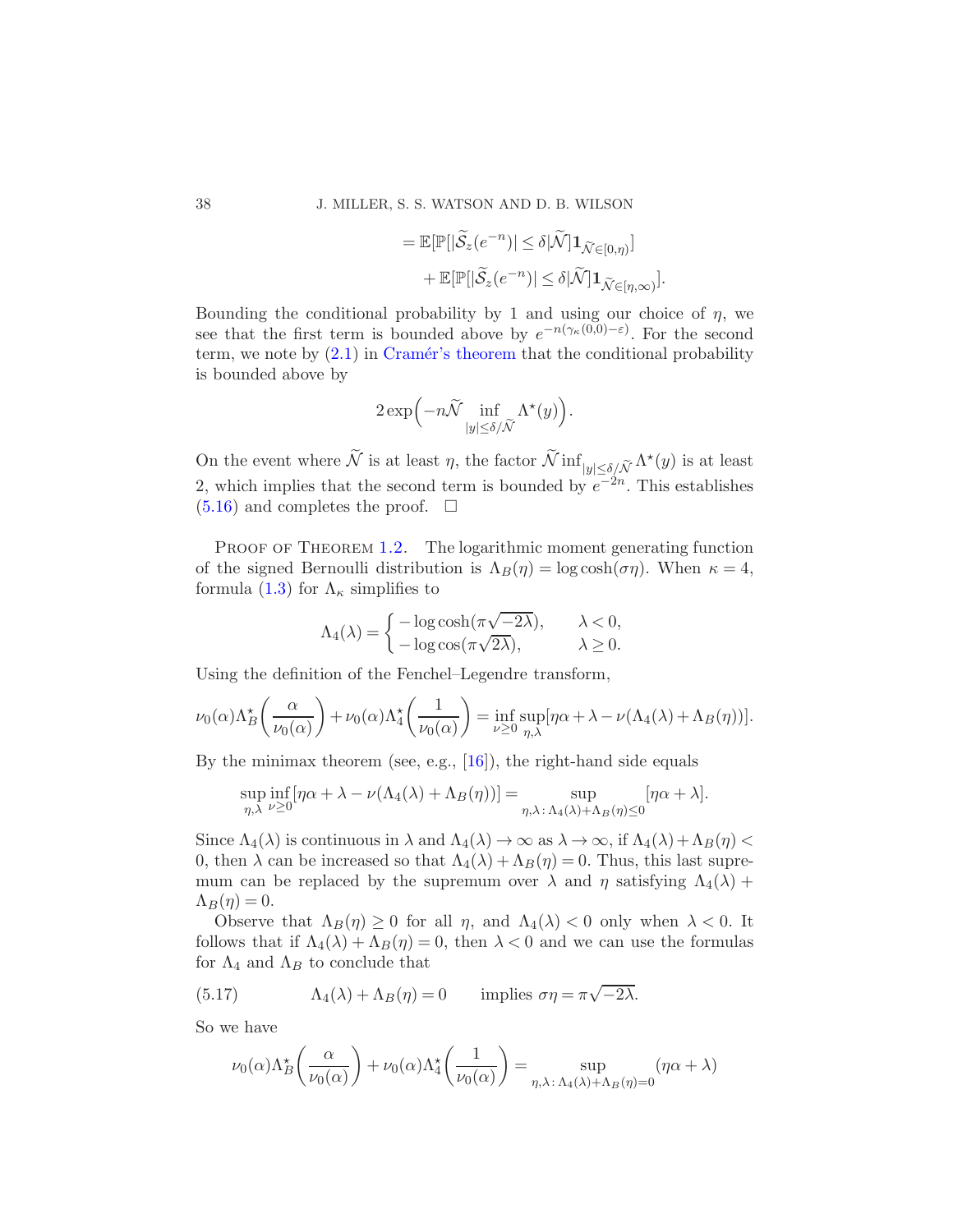$$
= \mathbb{E}[\mathbb{P}[|\widetilde{\mathcal{S}}_z(e^{-n})| \le \delta |\widetilde{\mathcal{N}}] \mathbf{1}_{\widetilde{\mathcal{N}} \in [0,\eta)}]
$$
  
+ 
$$
\mathbb{E}[\mathbb{P}[|\widetilde{\mathcal{S}}_z(e^{-n})| \le \delta |\widetilde{\mathcal{N}}] \mathbf{1}_{\widetilde{\mathcal{N}} \in [\eta,\infty)}].
$$

Bounding the conditional probability by 1 and using our choice of  $\eta$ , we see that the first term is bounded above by  $e^{-n(\gamma_{\kappa}(0,0)-\varepsilon)}$ . For the second term, we note by  $(2.1)$  in Cramér's theorem that the conditional probability is bounded above by

$$
2\exp\Bigl(-n\widetilde{\mathcal{N}}\inf_{|y|\leq\delta/\widetilde{\mathcal{N}}}\Lambda^\star(y)\Bigr).
$$

On the event where  $\tilde{N}$  is at least  $\eta$ , the factor  $\tilde{N}$  inf $\lim_{|y| \le \delta/\tilde{N}} \Lambda^*(y)$  is at least 2, which implies that the second term is bounded by  $e^{-2n}$ . This establishes  $(5.16)$  and completes the proof.  $\Box$ 

PROOF OF THEOREM [1.2.](#page-6-0) The logarithmic moment generating function of the signed Bernoulli distribution is  $\Lambda_B(\eta) = \log \cosh(\sigma \eta)$ . When  $\kappa = 4$ , formula [\(1.3\)](#page-3-2) for  $\Lambda_{\kappa}$  simplifies to

$$
\Lambda_4(\lambda) = \begin{cases}\n-\log \cosh(\pi \sqrt{-2\lambda}), & \lambda < 0, \\
-\log \cos(\pi \sqrt{2\lambda}), & \lambda \ge 0.\n\end{cases}
$$

Using the definition of the Fenchel–Legendre transform,

$$
\nu_0(\alpha)\Lambda_B^{\star}\left(\frac{\alpha}{\nu_0(\alpha)}\right) + \nu_0(\alpha)\Lambda_4^{\star}\left(\frac{1}{\nu_0(\alpha)}\right) = \inf_{\nu \geq 0} \sup_{\eta,\lambda} [\eta\alpha + \lambda - \nu(\Lambda_4(\lambda) + \Lambda_B(\eta))].
$$

By the minimax theorem (see, e.g., [\[16](#page-40-18)]), the right-hand side equals

$$
\sup_{\eta,\lambda} \inf_{\nu \geq 0} [\eta \alpha + \lambda - \nu(\Lambda_4(\lambda) + \Lambda_B(\eta))] = \sup_{\eta,\lambda \colon \Lambda_4(\lambda) + \Lambda_B(\eta) \leq 0} [\eta \alpha + \lambda].
$$

Since  $\Lambda_4(\lambda)$  is continuous in  $\lambda$  and  $\Lambda_4(\lambda) \to \infty$  as  $\lambda \to \infty$ , if  $\Lambda_4(\lambda) + \Lambda_B(\eta) <$ 0, then  $\lambda$  can be increased so that  $\Lambda_4(\lambda) + \Lambda_B(\eta) = 0$ . Thus, this last supremum can be replaced by the supremum over  $\lambda$  and  $\eta$  satisfying  $\Lambda_4(\lambda)$  +  $\Lambda_B(\eta) = 0.$ 

Observe that  $\Lambda_B(\eta) \geq 0$  for all  $\eta$ , and  $\Lambda_4(\lambda) < 0$  only when  $\lambda < 0$ . It follows that if  $\Lambda_4(\lambda) + \Lambda_B(\eta) = 0$ , then  $\lambda < 0$  and we can use the formulas for  $\Lambda_4$  and  $\Lambda_B$  to conclude that

(5.17) 
$$
\Lambda_4(\lambda) + \Lambda_B(\eta) = 0 \quad \text{implies } \sigma\eta = \pi\sqrt{-2\lambda}.
$$

So we have

<span id="page-37-0"></span>
$$
\nu_0(\alpha)\Lambda_B^{\star}\left(\frac{\alpha}{\nu_0(\alpha)}\right) + \nu_0(\alpha)\Lambda_4^{\star}\left(\frac{1}{\nu_0(\alpha)}\right) = \sup_{\eta,\lambda \colon \Lambda_4(\lambda) + \Lambda_B(\eta) = 0} (\eta \alpha + \lambda)
$$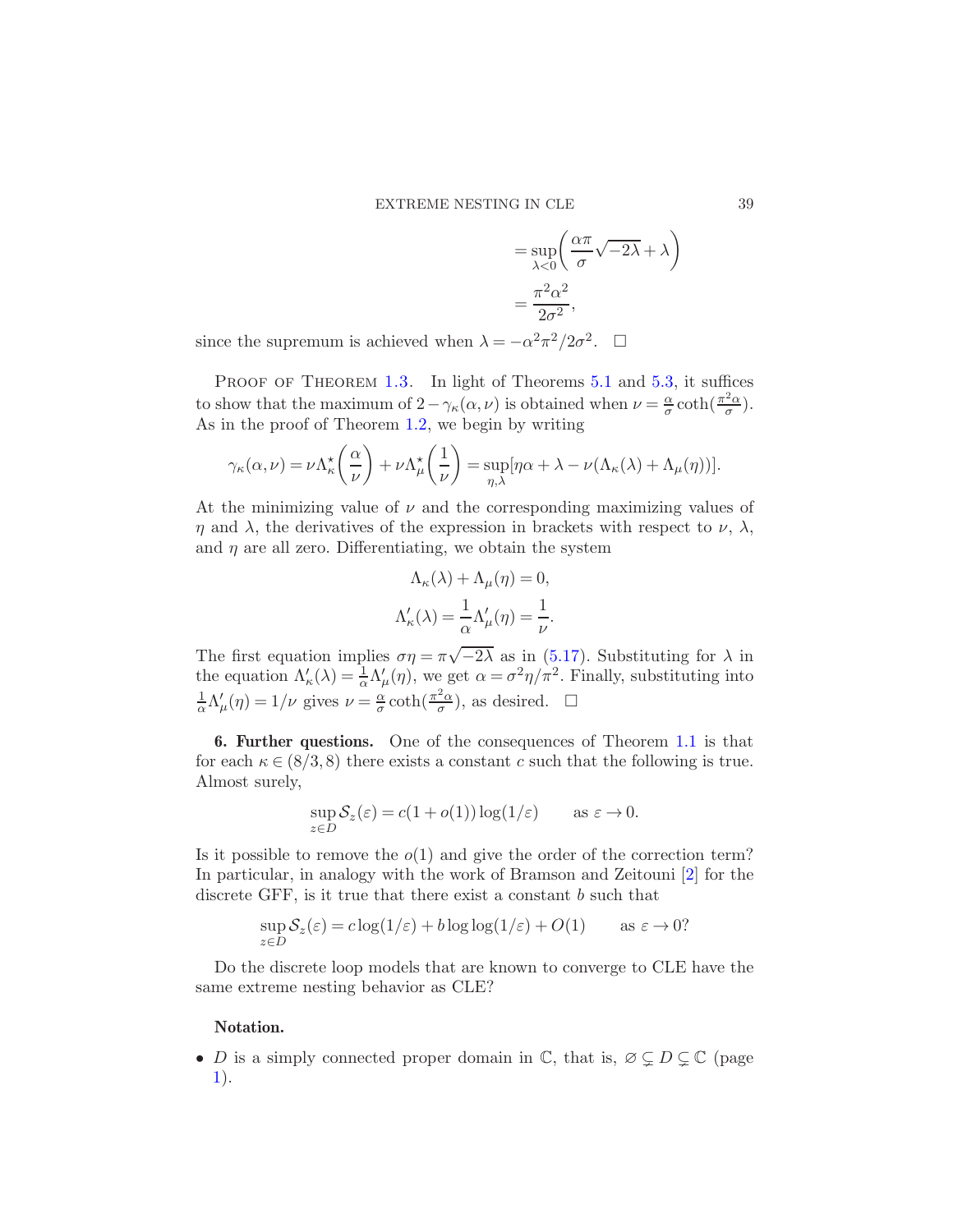$$
= \sup_{\lambda < 0} \left( \frac{\alpha \pi}{\sigma} \sqrt{-2\lambda} + \lambda \right)
$$
\n
$$
= \frac{\pi^2 \alpha^2}{2\sigma^2},
$$

since the supremum is achieved when  $\lambda = -\alpha^2 \pi^2/2\sigma^2$ .  $\Box$ 

PROOF OF THEOREM [1.3.](#page-6-1) In light of Theorems [5.1](#page-30-4) and [5.3,](#page-34-0) it suffices to show that the maximum of  $2 - \gamma_{\kappa}(\alpha, \nu)$  is obtained when  $\nu = \frac{\alpha}{\sigma}$  $\frac{\alpha}{\sigma}$  coth( $\frac{\pi^2 \alpha}{\sigma}$  $\frac{2\alpha}{\sigma}).$ As in the proof of Theorem [1.2,](#page-6-0) we begin by writing

$$
\gamma_{\kappa}(\alpha,\nu) = \nu \Lambda_{\kappa}^{\star} \left( \frac{\alpha}{\nu} \right) + \nu \Lambda_{\mu}^{\star} \left( \frac{1}{\nu} \right) = \sup_{\eta,\lambda} [\eta \alpha + \lambda - \nu (\Lambda_{\kappa}(\lambda) + \Lambda_{\mu}(\eta))].
$$

At the minimizing value of  $\nu$  and the corresponding maximizing values of  $\eta$  and  $\lambda$ , the derivatives of the expression in brackets with respect to  $\nu$ ,  $\lambda$ , and  $\eta$  are all zero. Differentiating, we obtain the system

$$
\Lambda_{\kappa}(\lambda) + \Lambda_{\mu}(\eta) = 0,
$$
  

$$
\Lambda_{\kappa}'(\lambda) = \frac{1}{\alpha} \Lambda_{\mu}'(\eta) = \frac{1}{\nu}.
$$

The first equation implies  $\sigma \eta = \pi \sqrt{-2\lambda}$  as in [\(5.17\)](#page-37-0). Substituting for  $\lambda$  in the equation  $\Lambda'_{\kappa}(\lambda) = \frac{1}{\alpha} \Lambda'_{\mu}(\eta)$ , we get  $\alpha = \sigma^2 \eta / \pi^2$ . Finally, substituting into 1  $\frac{1}{\alpha}\Lambda_{\mu}'(\eta) = 1/\nu$  gives  $\nu = \frac{\alpha}{\sigma}$  $\frac{\alpha}{\sigma}$  coth( $\frac{\pi^2\alpha}{\sigma}$  $(\frac{2\alpha}{\sigma})$ , as desired.  $\square$ 

6. Further questions. One of the consequences of Theorem [1.1](#page-3-0) is that for each  $\kappa \in (8/3, 8)$  there exists a constant c such that the following is true. Almost surely,

$$
\sup_{z \in D} S_z(\varepsilon) = c(1 + o(1)) \log(1/\varepsilon) \qquad \text{as } \varepsilon \to 0.
$$

Is it possible to remove the  $o(1)$  and give the order of the correction term? In particular, in analogy with the work of Bramson and Zeitouni [\[2](#page-39-2)] for the discrete GFF, is it true that there exist a constant b such that

$$
\sup_{z \in D} S_z(\varepsilon) = c \log(1/\varepsilon) + b \log \log(1/\varepsilon) + O(1) \qquad \text{as } \varepsilon \to 0?
$$

Do the discrete loop models that are known to converge to CLE have the same extreme nesting behavior as CLE?

## Notation.

• D is a simply connected proper domain in  $\mathbb{C}$ , that is,  $\emptyset \subsetneq D \subsetneq \mathbb{C}$  (page [1\)](#page-0-0).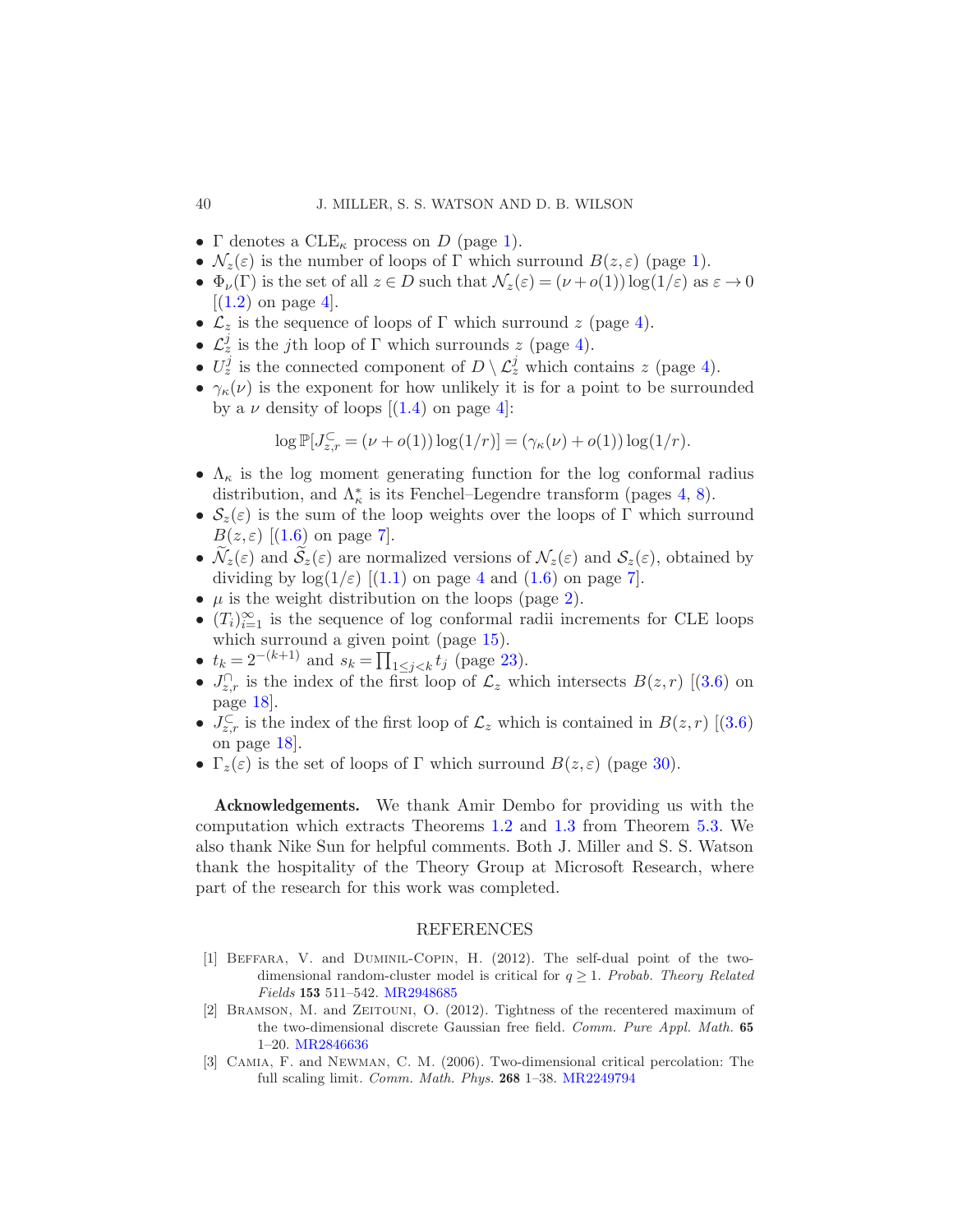- Γ denotes a  $CLE_{\kappa}$  process on D (page [1\)](#page-0-1).
- $\mathcal{N}_z(\varepsilon)$  is the number of loops of  $\Gamma$  which surround  $B(z,\varepsilon)$  (page [1\)](#page-0-1).
- $\Phi_{\nu}(\Gamma)$  is the set of all  $z \in D$  such that  $\mathcal{N}_z(\varepsilon) = (\nu + o(1)) \log(1/\varepsilon)$  as  $\varepsilon \to 0$  $[(1.2)$  $[(1.2)$  on page 4.
- $\mathcal{L}_z$  is the sequence of loops of  $\Gamma$  which surround  $z$  (page [4\)](#page-3-3).
- $\mathcal{L}_z^j$  is the jth loop of  $\Gamma$  which surrounds z (page [4\)](#page-3-3).
- $U_z^j$  is the connected component of  $D \setminus \mathcal{L}_z^j$  which contains z (page [4\)](#page-3-3).
- $\gamma_{\kappa}(\nu)$  is the exponent for how unlikely it is for a point to be surrounded bya  $\nu$  density of loops  $[(1.4)$  $[(1.4)$  on page 4:

$$
\log \mathbb{P}[J_{z,r}^{\mathbb{C}} = (\nu + o(1)) \log(1/r)] = (\gamma_{\kappa}(\nu) + o(1)) \log(1/r).
$$

- $\Lambda_{\kappa}$  is the log moment generating function for the log conformal radius distribution, and  $\Lambda_{\kappa}^*$  is its Fenchel–Legendre transform (pages [4,](#page-3-2) [8\)](#page-7-2).
- $S_z(\varepsilon)$  is the sum of the loop weights over the loops of  $\Gamma$  which surround  $B(z,\varepsilon)$ [[\(1.6\)](#page-6-3) on page [7\]](#page-6-3).
- $\mathcal{N}_z(\varepsilon)$  and  $\mathcal{S}_z(\varepsilon)$  are normalized versions of  $\mathcal{N}_z(\varepsilon)$  and  $\mathcal{S}_z(\varepsilon)$ , obtained by dividingby  $log(1/\varepsilon)$  [[\(1.1\)](#page-3-4) on page [4](#page-3-4) and [\(1.6\)](#page-6-3) on page [7\]](#page-6-3).
- $\mu$  is the weight distribution on the loops (page [2\)](#page-0-1).
- $(T_i)_{i=1}^{\infty}$  is the sequence of log conformal radii increments for CLE loops which surround a given point (page  $15$ ).
- $t_k = 2^{-(k+1)}$  and  $s_k = \prod_{1 \leq j < k} t_j$  (page [23\)](#page-21-3).
- • $J_{z,r}^{\cap}$  is the index of the first loop of  $\mathcal{L}_z$  which intersects  $B(z,r)$  [[\(3.6\)](#page-17-4) on page [18\]](#page-17-4).
- • $J_{z,r}^{\mathbb{C}}$  is the index of the first loop of  $\mathcal{L}_z$  which is contained in  $B(z,r)$  [[\(3.6\)](#page-17-4) on page [18\]](#page-17-4).
- $\Gamma_z(\varepsilon)$  is the set of loops of  $\Gamma$  which surround  $B(z,\varepsilon)$  (page [30\)](#page-29-0).

Acknowledgements. We thank Amir Dembo for providing us with the computation which extracts Theorems [1.2](#page-6-0) and [1.3](#page-6-1) from Theorem [5.3.](#page-34-0) We also thank Nike Sun for helpful comments. Both J. Miller and S. S. Watson thank the hospitality of the Theory Group at Microsoft Research, where part of the research for this work was completed.

## REFERENCES

- <span id="page-39-0"></span>[1] Beffara, V. and Duminil-Copin, H. (2012). The self-dual point of the twodimensional random-cluster model is critical for  $q \geq 1$ . Probab. Theory Related Fields 153 511–542. [MR2948685](http://www.ams.org/mathscinet-getitem?mr=2948685)
- <span id="page-39-2"></span>[2] Bramson, M. and Zeitouni, O. (2012). Tightness of the recentered maximum of the two-dimensional discrete Gaussian free field. Comm. Pure Appl. Math. 65 1–20. [MR2846636](http://www.ams.org/mathscinet-getitem?mr=2846636)
- <span id="page-39-1"></span>[3] Camia, F. and Newman, C. M. (2006). Two-dimensional critical percolation: The full scaling limit. Comm. Math. Phys. 268 1–38. [MR2249794](http://www.ams.org/mathscinet-getitem?mr=2249794)